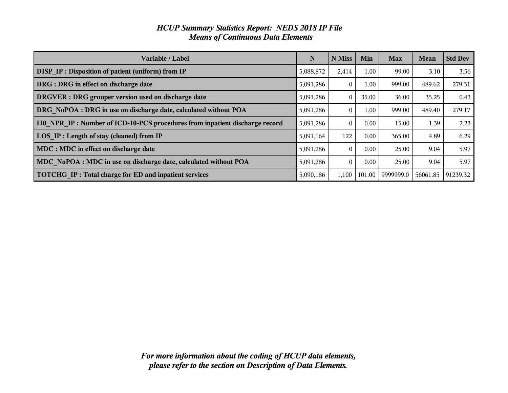| <b>HCUP Summary Statistics Report: NEDS 2018 IP File</b> |  |
|----------------------------------------------------------|--|
| <b>Means of Continuous Data Elements</b>                 |  |

| Variable / Label                                                                  | N         | N Miss   | Min    | <b>Max</b> | <b>Mean</b> | <b>Std Dev</b> |
|-----------------------------------------------------------------------------------|-----------|----------|--------|------------|-------------|----------------|
| <b>DISP IP: Disposition of patient (uniform) from IP</b>                          | 5,088,872 | 2,414    | 1.00   | 99.00      | 3.10        | 3.56           |
| DRG : DRG in effect on discharge date                                             | 5,091,286 | $\Omega$ | 1.00   | 999.00     | 489.62      | 279.31         |
| <b>DRGVER</b> : DRG grouper version used on discharge date                        | 5,091,286 | $\Omega$ | 35.00  | 36.00      | 35.25       | 0.43           |
| DRG NoPOA : DRG in use on discharge date, calculated without POA                  | 5,091,286 | $\Omega$ | 1.00   | 999.00     | 489.40      | 279.17         |
| <b>IO</b> NPR IP: Number of ICD-10-PCS procedures from inpatient discharge record | 5,091,286 | $\theta$ | 0.00   | 15.00      | 1.39        | 2.23           |
| LOS IP : Length of stay (cleaned) from IP                                         | 5,091,164 | 122      | 0.00   | 365.00     | 4.89        | 6.29           |
| MDC : MDC in effect on discharge date                                             | 5,091,286 | $\Omega$ | 0.00   | 25.00      | 9.04        | 5.97           |
| MDC NoPOA : MDC in use on discharge date, calculated without POA                  | 5,091,286 | $\Omega$ | 0.00   | 25.00      | 9.04        | 5.97           |
| <b>TOTCHG IP: Total charge for ED and inpatient services</b>                      | 5,090,186 | 1,100    | 101.00 | 9999999.0  | 56061.85    | 91239.32       |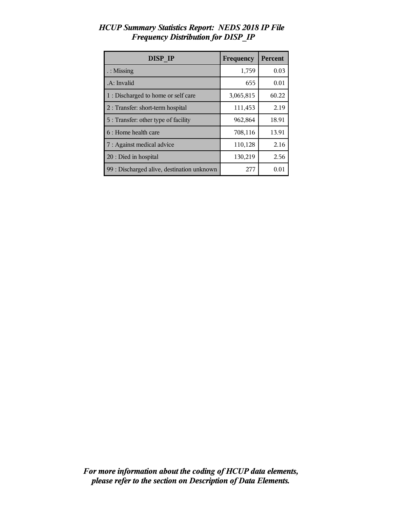| <b>DISP IP</b>                             | Frequency | Percent |
|--------------------------------------------|-----------|---------|
| $\therefore$ Missing                       | 1,759     | 0.03    |
| .A: Invalid                                | 655       | 0.01    |
| 1 : Discharged to home or self care        | 3,065,815 | 60.22   |
| 2 : Transfer: short-term hospital          | 111,453   | 2.19    |
| 5 : Transfer: other type of facility       | 962,864   | 18.91   |
| 6 : Home health care                       | 708,116   | 13.91   |
| 7 : Against medical advice                 | 110,128   | 2.16    |
| 20 : Died in hospital                      | 130,219   | 2.56    |
| 99 : Discharged alive, destination unknown | 277       | 0.01    |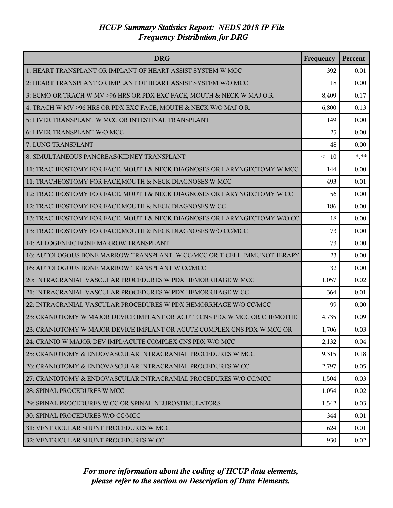| <b>DRG</b>                                                               | Frequency | Percent |
|--------------------------------------------------------------------------|-----------|---------|
| 1: HEART TRANSPLANT OR IMPLANT OF HEART ASSIST SYSTEM W MCC              | 392       | 0.01    |
| 2: HEART TRANSPLANT OR IMPLANT OF HEART ASSIST SYSTEM W/O MCC            | 18        | 0.00    |
| 3: ECMO OR TRACH W MV >96 HRS OR PDX EXC FACE, MOUTH & NECK W MAJ O.R.   | 8,409     | 0.17    |
| 4: TRACH W MV >96 HRS OR PDX EXC FACE, MOUTH & NECK W/O MAJ O.R.         | 6,800     | 0.13    |
| 5: LIVER TRANSPLANT W MCC OR INTESTINAL TRANSPLANT                       | 149       | 0.00    |
| 6: LIVER TRANSPLANT W/O MCC                                              | 25        | 0.00    |
| 7: LUNG TRANSPLANT                                                       | 48        | 0.00    |
| 8: SIMULTANEOUS PANCREAS/KIDNEY TRANSPLANT                               | $\leq 10$ | $***$   |
| 11: TRACHEOSTOMY FOR FACE, MOUTH & NECK DIAGNOSES OR LARYNGECTOMY W MCC  | 144       | 0.00    |
| 11: TRACHEOSTOMY FOR FACE, MOUTH & NECK DIAGNOSES W MCC                  | 493       | 0.01    |
| 12: TRACHEOSTOMY FOR FACE, MOUTH & NECK DIAGNOSES OR LARYNGECTOMY W CC   | 56        | 0.00    |
| 12: TRACHEOSTOMY FOR FACE, MOUTH & NECK DIAGNOSES W CC                   | 186       | 0.00    |
| 13: TRACHEOSTOMY FOR FACE, MOUTH & NECK DIAGNOSES OR LARYNGECTOMY W/O CC | 18        | 0.00    |
| 13: TRACHEOSTOMY FOR FACE, MOUTH & NECK DIAGNOSES W/O CC/MCC             | 73        | 0.00    |
| 14: ALLOGENEIC BONE MARROW TRANSPLANT                                    | 73        | 0.00    |
| 16: AUTOLOGOUS BONE MARROW TRANSPLANT W CC/MCC OR T-CELL IMMUNOTHERAPY   | 23        | 0.00    |
| 16: AUTOLOGOUS BONE MARROW TRANSPLANT W CC/MCC                           | 32        | 0.00    |
| 20: INTRACRANIAL VASCULAR PROCEDURES W PDX HEMORRHAGE W MCC              | 1,057     | 0.02    |
| 21: INTRACRANIAL VASCULAR PROCEDURES W PDX HEMORRHAGE W CC               | 364       | 0.01    |
| 22: INTRACRANIAL VASCULAR PROCEDURES W PDX HEMORRHAGE W/O CC/MCC         | 99        | 0.00    |
| 23: CRANIOTOMY W MAJOR DEVICE IMPLANT OR ACUTE CNS PDX W MCC OR CHEMOTHE | 4,735     | 0.09    |
| 23: CRANIOTOMY W MAJOR DEVICE IMPLANT OR ACUTE COMPLEX CNS PDX W MCC OR  | 1,706     | 0.03    |
| 24: CRANIO W MAJOR DEV IMPL/ACUTE COMPLEX CNS PDX W/O MCC                | 2,132     | 0.04    |
| 25: CRANIOTOMY & ENDOVASCULAR INTRACRANIAL PROCEDURES W MCC              | 9,315     | 0.18    |
| 26: CRANIOTOMY & ENDOVASCULAR INTRACRANIAL PROCEDURES W CC               | 2,797     | 0.05    |
| 27: CRANIOTOMY & ENDOVASCULAR INTRACRANIAL PROCEDURES W/O CC/MCC         | 1,504     | 0.03    |
| 28: SPINAL PROCEDURES W MCC                                              | 1,054     | 0.02    |
| 29: SPINAL PROCEDURES W CC OR SPINAL NEUROSTIMULATORS                    | 1,542     | 0.03    |
| 30: SPINAL PROCEDURES W/O CC/MCC                                         | 344       | 0.01    |
| 31: VENTRICULAR SHUNT PROCEDURES W MCC                                   | 624       | 0.01    |
| 32: VENTRICULAR SHUNT PROCEDURES W CC                                    | 930       | 0.02    |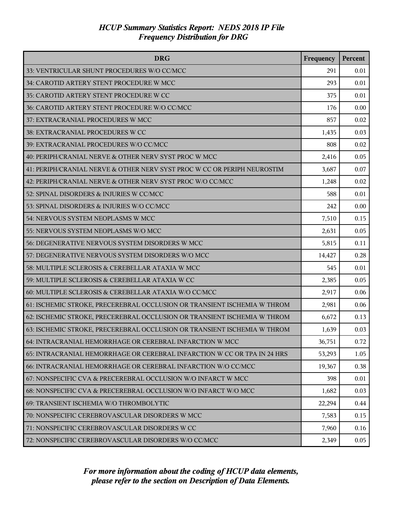| <b>DRG</b>                                                               | Frequency | Percent |
|--------------------------------------------------------------------------|-----------|---------|
| 33: VENTRICULAR SHUNT PROCEDURES W/O CC/MCC                              | 291       | 0.01    |
| 34: CAROTID ARTERY STENT PROCEDURE W MCC                                 | 293       | 0.01    |
| 35: CAROTID ARTERY STENT PROCEDURE W CC                                  | 375       | 0.01    |
| 36: CAROTID ARTERY STENT PROCEDURE W/O CC/MCC                            | 176       | 0.00    |
| 37: EXTRACRANIAL PROCEDURES W MCC                                        | 857       | 0.02    |
| 38: EXTRACRANIAL PROCEDURES W CC                                         | 1,435     | 0.03    |
| 39: EXTRACRANIAL PROCEDURES W/O CC/MCC                                   | 808       | 0.02    |
| 40: PERIPH/CRANIAL NERVE & OTHER NERV SYST PROC W MCC                    | 2,416     | 0.05    |
| 41: PERIPH/CRANIAL NERVE & OTHER NERV SYST PROC W CC OR PERIPH NEUROSTIM | 3,687     | 0.07    |
| 42: PERIPH/CRANIAL NERVE & OTHER NERV SYST PROC W/O CC/MCC               | 1,248     | 0.02    |
| 52: SPINAL DISORDERS & INJURIES W CC/MCC                                 | 588       | 0.01    |
| 53: SPINAL DISORDERS & INJURIES W/O CC/MCC                               | 242       | 0.00    |
| 54: NERVOUS SYSTEM NEOPLASMS W MCC                                       | 7,510     | 0.15    |
| 55: NERVOUS SYSTEM NEOPLASMS W/O MCC                                     | 2,631     | 0.05    |
| 56: DEGENERATIVE NERVOUS SYSTEM DISORDERS W MCC                          | 5,815     | 0.11    |
| 57: DEGENERATIVE NERVOUS SYSTEM DISORDERS W/O MCC                        | 14,427    | 0.28    |
| 58: MULTIPLE SCLEROSIS & CEREBELLAR ATAXIA W MCC                         | 545       | 0.01    |
| 59: MULTIPLE SCLEROSIS & CEREBELLAR ATAXIA W CC                          | 2,385     | 0.05    |
| 60: MULTIPLE SCLEROSIS & CEREBELLAR ATAXIA W/O CC/MCC                    | 2,917     | 0.06    |
| 61: ISCHEMIC STROKE, PRECEREBRAL OCCLUSION OR TRANSIENT ISCHEMIA W THROM | 2,981     | 0.06    |
| 62: ISCHEMIC STROKE, PRECEREBRAL OCCLUSION OR TRANSIENT ISCHEMIA W THROM | 6,672     | 0.13    |
| 63: ISCHEMIC STROKE, PRECEREBRAL OCCLUSION OR TRANSIENT ISCHEMIA W THROM | 1,639     | 0.03    |
| 64: INTRACRANIAL HEMORRHAGE OR CEREBRAL INFARCTION W MCC                 | 36,751    | 0.72    |
| 65: INTRACRANIAL HEMORRHAGE OR CEREBRAL INFARCTION W CC OR TPA IN 24 HRS | 53,293    | 1.05    |
| 66: INTRACRANIAL HEMORRHAGE OR CEREBRAL INFARCTION W/O CC/MCC            | 19,367    | 0.38    |
| 67: NONSPECIFIC CVA & PRECEREBRAL OCCLUSION W/O INFARCT W MCC            | 398       | 0.01    |
| 68: NONSPECIFIC CVA & PRECEREBRAL OCCLUSION W/O INFARCT W/O MCC          | 1,682     | 0.03    |
| 69: TRANSIENT ISCHEMIA W/O THROMBOLYTIC                                  | 22,294    | 0.44    |
| 70: NONSPECIFIC CEREBROVASCULAR DISORDERS W MCC                          | 7,583     | 0.15    |
| 71: NONSPECIFIC CEREBROVASCULAR DISORDERS W CC                           | 7,960     | 0.16    |
| 72: NONSPECIFIC CEREBROVASCULAR DISORDERS W/O CC/MCC                     | 2,349     | 0.05    |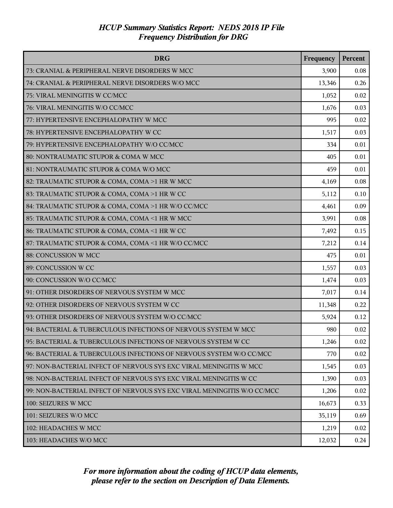| <b>DRG</b>                                                              | Frequency | Percent |
|-------------------------------------------------------------------------|-----------|---------|
| 73: CRANIAL & PERIPHERAL NERVE DISORDERS W MCC                          | 3,900     | 0.08    |
| 74: CRANIAL & PERIPHERAL NERVE DISORDERS W/O MCC                        | 13,346    | 0.26    |
| 75: VIRAL MENINGITIS W CC/MCC                                           | 1,052     | 0.02    |
| 76: VIRAL MENINGITIS W/O CC/MCC                                         | 1,676     | 0.03    |
| 77: HYPERTENSIVE ENCEPHALOPATHY W MCC                                   | 995       | 0.02    |
| 78: HYPERTENSIVE ENCEPHALOPATHY W CC                                    | 1,517     | 0.03    |
| 79: HYPERTENSIVE ENCEPHALOPATHY W/O CC/MCC                              | 334       | 0.01    |
| 80: NONTRAUMATIC STUPOR & COMA W MCC                                    | 405       | 0.01    |
| 81: NONTRAUMATIC STUPOR & COMA W/O MCC                                  | 459       | 0.01    |
| 82: TRAUMATIC STUPOR & COMA, COMA >1 HR W MCC                           | 4,169     | 0.08    |
| 83: TRAUMATIC STUPOR & COMA, COMA >1 HR W CC                            | 5,112     | 0.10    |
| 84: TRAUMATIC STUPOR & COMA, COMA >1 HR W/O CC/MCC                      | 4,461     | 0.09    |
| 85: TRAUMATIC STUPOR & COMA, COMA <1 HR W MCC                           | 3,991     | 0.08    |
| 86: TRAUMATIC STUPOR & COMA, COMA <1 HR W CC                            | 7,492     | 0.15    |
| 87: TRAUMATIC STUPOR & COMA, COMA <1 HR W/O CC/MCC                      | 7,212     | 0.14    |
| 88: CONCUSSION W MCC                                                    | 475       | 0.01    |
| 89: CONCUSSION W CC                                                     | 1,557     | 0.03    |
| 90: CONCUSSION W/O CC/MCC                                               | 1,474     | 0.03    |
| 91: OTHER DISORDERS OF NERVOUS SYSTEM W MCC                             | 7,017     | 0.14    |
| 92: OTHER DISORDERS OF NERVOUS SYSTEM W CC                              | 11,348    | 0.22    |
| 93: OTHER DISORDERS OF NERVOUS SYSTEM W/O CC/MCC                        | 5,924     | 0.12    |
| 94: BACTERIAL & TUBERCULOUS INFECTIONS OF NERVOUS SYSTEM W MCC          | 980       | 0.02    |
| 95: BACTERIAL & TUBERCULOUS INFECTIONS OF NERVOUS SYSTEM W CC           | 1,246     | 0.02    |
| 96: BACTERIAL & TUBERCULOUS INFECTIONS OF NERVOUS SYSTEM W/O CC/MCC     | 770       | 0.02    |
| 97: NON-BACTERIAL INFECT OF NERVOUS SYS EXC VIRAL MENINGITIS W MCC      | 1,545     | 0.03    |
| 98: NON-BACTERIAL INFECT OF NERVOUS SYS EXC VIRAL MENINGITIS W CC       | 1,390     | 0.03    |
| 99: NON-BACTERIAL INFECT OF NERVOUS SYS EXC VIRAL MENINGITIS W/O CC/MCC | 1,206     | 0.02    |
| 100: SEIZURES W MCC                                                     | 16,673    | 0.33    |
| 101: SEIZURES W/O MCC                                                   | 35,119    | 0.69    |
| 102: HEADACHES W MCC                                                    | 1,219     | 0.02    |
| 103: HEADACHES W/O MCC                                                  | 12,032    | 0.24    |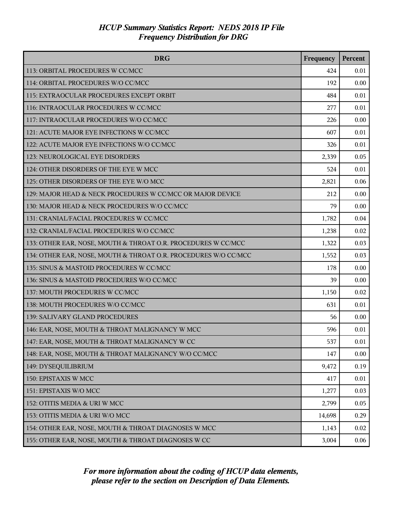| <b>DRG</b>                                                      | Frequency | Percent |
|-----------------------------------------------------------------|-----------|---------|
| 113: ORBITAL PROCEDURES W CC/MCC                                | 424       | 0.01    |
| 114: ORBITAL PROCEDURES W/O CC/MCC                              | 192       | 0.00    |
| 115: EXTRAOCULAR PROCEDURES EXCEPT ORBIT                        | 484       | 0.01    |
| 116: INTRAOCULAR PROCEDURES W CC/MCC                            | 277       | 0.01    |
| 117: INTRAOCULAR PROCEDURES W/O CC/MCC                          | 226       | 0.00    |
| 121: ACUTE MAJOR EYE INFECTIONS W CC/MCC                        | 607       | 0.01    |
| 122: ACUTE MAJOR EYE INFECTIONS W/O CC/MCC                      | 326       | 0.01    |
| 123: NEUROLOGICAL EYE DISORDERS                                 | 2,339     | 0.05    |
| 124: OTHER DISORDERS OF THE EYE W MCC                           | 524       | 0.01    |
| 125: OTHER DISORDERS OF THE EYE W/O MCC                         | 2,821     | 0.06    |
| 129: MAJOR HEAD & NECK PROCEDURES W CC/MCC OR MAJOR DEVICE      | 212       | 0.00    |
| 130: MAJOR HEAD & NECK PROCEDURES W/O CC/MCC                    | 79        | 0.00    |
| 131: CRANIAL/FACIAL PROCEDURES W CC/MCC                         | 1,782     | 0.04    |
| 132: CRANIAL/FACIAL PROCEDURES W/O CC/MCC                       | 1,238     | 0.02    |
| 133: OTHER EAR, NOSE, MOUTH & THROAT O.R. PROCEDURES W CC/MCC   | 1,322     | 0.03    |
| 134: OTHER EAR, NOSE, MOUTH & THROAT O.R. PROCEDURES W/O CC/MCC | 1,552     | 0.03    |
| 135: SINUS & MASTOID PROCEDURES W CC/MCC                        | 178       | 0.00    |
| 136: SINUS & MASTOID PROCEDURES W/O CC/MCC                      | 39        | 0.00    |
| 137: MOUTH PROCEDURES W CC/MCC                                  | 1,150     | 0.02    |
| 138: MOUTH PROCEDURES W/O CC/MCC                                | 631       | 0.01    |
| 139: SALIVARY GLAND PROCEDURES                                  | 56        | 0.00    |
| 146: EAR, NOSE, MOUTH & THROAT MALIGNANCY W MCC                 | 596       | 0.01    |
| 147: EAR, NOSE, MOUTH & THROAT MALIGNANCY W CC                  | 537       | 0.01    |
| 148: EAR, NOSE, MOUTH & THROAT MALIGNANCY W/O CC/MCC            | 147       | 0.00    |
| 149: DYSEQUILIBRIUM                                             | 9,472     | 0.19    |
| 150: EPISTAXIS W MCC                                            | 417       | 0.01    |
| 151: EPISTAXIS W/O MCC                                          | 1,277     | 0.03    |
| 152: OTITIS MEDIA & URI W MCC                                   | 2,799     | 0.05    |
| 153: OTITIS MEDIA & URI W/O MCC                                 | 14,698    | 0.29    |
| 154: OTHER EAR, NOSE, MOUTH & THROAT DIAGNOSES W MCC            | 1,143     | 0.02    |
| 155: OTHER EAR, NOSE, MOUTH & THROAT DIAGNOSES W CC             | 3,004     | 0.06    |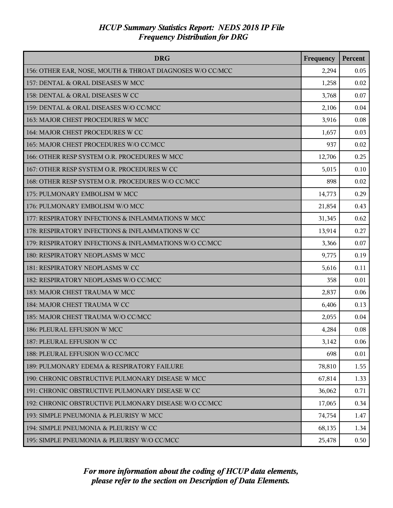| <b>DRG</b>                                                | Frequency | Percent |
|-----------------------------------------------------------|-----------|---------|
| 156: OTHER EAR, NOSE, MOUTH & THROAT DIAGNOSES W/O CC/MCC | 2,294     | 0.05    |
| 157: DENTAL & ORAL DISEASES W MCC                         | 1,258     | 0.02    |
| 158: DENTAL & ORAL DISEASES W CC                          | 3,768     | 0.07    |
| 159: DENTAL & ORAL DISEASES W/O CC/MCC                    | 2,106     | 0.04    |
| 163: MAJOR CHEST PROCEDURES W MCC                         | 3,916     | 0.08    |
| 164: MAJOR CHEST PROCEDURES W CC                          | 1,657     | 0.03    |
| 165: MAJOR CHEST PROCEDURES W/O CC/MCC                    | 937       | 0.02    |
| 166: OTHER RESP SYSTEM O.R. PROCEDURES W MCC              | 12,706    | 0.25    |
| 167: OTHER RESP SYSTEM O.R. PROCEDURES W CC               | 5,015     | 0.10    |
| 168: OTHER RESP SYSTEM O.R. PROCEDURES W/O CC/MCC         | 898       | 0.02    |
| 175: PULMONARY EMBOLISM W MCC                             | 14,773    | 0.29    |
| 176: PULMONARY EMBOLISM W/O MCC                           | 21,854    | 0.43    |
| 177: RESPIRATORY INFECTIONS & INFLAMMATIONS W MCC         | 31,345    | 0.62    |
| 178: RESPIRATORY INFECTIONS & INFLAMMATIONS W CC          | 13,914    | 0.27    |
| 179: RESPIRATORY INFECTIONS & INFLAMMATIONS W/O CC/MCC    | 3,366     | 0.07    |
| 180: RESPIRATORY NEOPLASMS W MCC                          | 9,775     | 0.19    |
| 181: RESPIRATORY NEOPLASMS W CC                           | 5,616     | 0.11    |
| 182: RESPIRATORY NEOPLASMS W/O CC/MCC                     | 358       | 0.01    |
| 183: MAJOR CHEST TRAUMA W MCC                             | 2,837     | 0.06    |
| 184: MAJOR CHEST TRAUMA W CC                              | 6,406     | 0.13    |
| 185: MAJOR CHEST TRAUMA W/O CC/MCC                        | 2,055     | 0.04    |
| 186: PLEURAL EFFUSION W MCC                               | 4,284     | 0.08    |
| 187: PLEURAL EFFUSION W CC                                | 3,142     | 0.06    |
| 188: PLEURAL EFFUSION W/O CC/MCC                          | 698       | 0.01    |
| 189: PULMONARY EDEMA & RESPIRATORY FAILURE                | 78,810    | 1.55    |
| 190: CHRONIC OBSTRUCTIVE PULMONARY DISEASE W MCC          | 67,814    | 1.33    |
| 191: CHRONIC OBSTRUCTIVE PULMONARY DISEASE W CC           | 36,062    | 0.71    |
| 192: CHRONIC OBSTRUCTIVE PULMONARY DISEASE W/O CC/MCC     | 17,065    | 0.34    |
| 193: SIMPLE PNEUMONIA & PLEURISY W MCC                    | 74,754    | 1.47    |
| 194: SIMPLE PNEUMONIA & PLEURISY W CC                     | 68,135    | 1.34    |
| 195: SIMPLE PNEUMONIA & PLEURISY W/O CC/MCC               | 25,478    | 0.50    |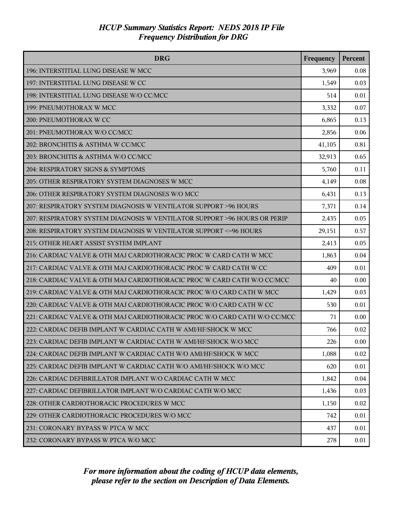| <b>DRG</b>                                                                | Frequency | Percent |
|---------------------------------------------------------------------------|-----------|---------|
| 196: INTERSTITIAL LUNG DISEASE W MCC                                      | 3,969     | 0.08    |
| 197: INTERSTITIAL LUNG DISEASE W CC                                       | 1,549     | 0.03    |
| 198: INTERSTITIAL LUNG DISEASE W/O CC/MCC                                 | 514       | 0.01    |
| 199: PNEUMOTHORAX W MCC                                                   | 3,332     | 0.07    |
| 200: PNEUMOTHORAX W CC                                                    | 6,865     | 0.13    |
| 201: PNEUMOTHORAX W/O CC/MCC                                              | 2,856     | 0.06    |
| 202: BRONCHITIS & ASTHMA W CC/MCC                                         | 41,105    | 0.81    |
| 203: BRONCHITIS & ASTHMA W/O CC/MCC                                       | 32,913    | 0.65    |
| 204: RESPIRATORY SIGNS & SYMPTOMS                                         | 5,760     | 0.11    |
| 205: OTHER RESPIRATORY SYSTEM DIAGNOSES W MCC                             | 4,149     | 0.08    |
| 206: OTHER RESPIRATORY SYSTEM DIAGNOSES W/O MCC                           | 6,431     | 0.13    |
| 207: RESPIRATORY SYSTEM DIAGNOSIS W VENTILATOR SUPPORT >96 HOURS          | 7,371     | 0.14    |
| 207: RESPIRATORY SYSTEM DIAGNOSIS W VENTILATOR SUPPORT >96 HOURS OR PERIP | 2,435     | 0.05    |
| 208: RESPIRATORY SYSTEM DIAGNOSIS W VENTILATOR SUPPORT <= 96 HOURS        | 29,151    | 0.57    |
| 215: OTHER HEART ASSIST SYSTEM IMPLANT                                    | 2,413     | 0.05    |
| 216: CARDIAC VALVE & OTH MAJ CARDIOTHORACIC PROC W CARD CATH W MCC        | 1,863     | 0.04    |
| 217: CARDIAC VALVE & OTH MAJ CARDIOTHORACIC PROC W CARD CATH W CC         | 409       | 0.01    |
| 218: CARDIAC VALVE & OTH MAJ CARDIOTHORACIC PROC W CARD CATH W/O CC/MCC   | 40        | 0.00    |
| 219: CARDIAC VALVE & OTH MAJ CARDIOTHORACIC PROC W/O CARD CATH W MCC      | 1,429     | 0.03    |
| 220: CARDIAC VALVE & OTH MAJ CARDIOTHORACIC PROC W/O CARD CATH W CC       | 530       | 0.01    |
| 221: CARDIAC VALVE & OTH MAJ CARDIOTHORACIC PROC W/O CARD CATH W/O CC/MCC | 71        | 0.00    |
| 222: CARDIAC DEFIB IMPLANT W CARDIAC CATH W AMI/HF/SHOCK W MCC            | 766       | 0.02    |
| 223: CARDIAC DEFIB IMPLANT W CARDIAC CATH W AMI/HF/SHOCK W/O MCC          | 226       | 0.00    |
| 224: CARDIAC DEFIB IMPLANT W CARDIAC CATH W/O AMI/HF/SHOCK W MCC          | 1,088     | 0.02    |
| 225: CARDIAC DEFIB IMPLANT W CARDIAC CATH W/O AMI/HF/SHOCK W/O MCC        | 620       | 0.01    |
| 226: CARDIAC DEFIBRILLATOR IMPLANT W/O CARDIAC CATH W MCC                 | 1,842     | 0.04    |
| 227: CARDIAC DEFIBRILLATOR IMPLANT W/O CARDIAC CATH W/O MCC               | 1,436     | 0.03    |
| 228: OTHER CARDIOTHORACIC PROCEDURES W MCC                                | 1,150     | 0.02    |
| 229: OTHER CARDIOTHORACIC PROCEDURES W/O MCC                              | 742       | 0.01    |
| 231: CORONARY BYPASS W PTCA W MCC                                         | 437       | 0.01    |
| 232: CORONARY BYPASS W PTCA W/O MCC                                       | 278       | 0.01    |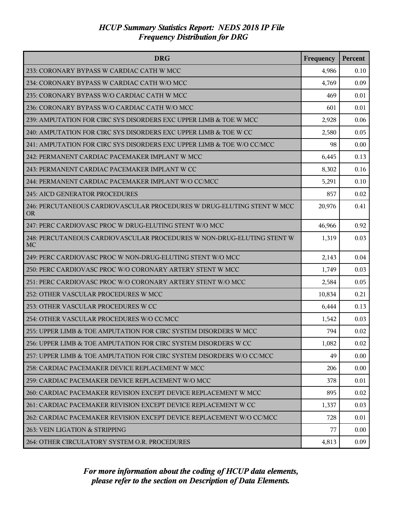| <b>DRG</b>                                                                          | Frequency | Percent |
|-------------------------------------------------------------------------------------|-----------|---------|
| 233: CORONARY BYPASS W CARDIAC CATH W MCC                                           | 4,986     | 0.10    |
| 234: CORONARY BYPASS W CARDIAC CATH W/O MCC                                         | 4,769     | 0.09    |
| 235: CORONARY BYPASS W/O CARDIAC CATH W MCC                                         | 469       | 0.01    |
| 236: CORONARY BYPASS W/O CARDIAC CATH W/O MCC                                       | 601       | 0.01    |
| 239: AMPUTATION FOR CIRC SYS DISORDERS EXC UPPER LIMB & TOE W MCC                   | 2,928     | 0.06    |
| 240: AMPUTATION FOR CIRC SYS DISORDERS EXC UPPER LIMB & TOE W CC                    | 2,580     | 0.05    |
| 241: AMPUTATION FOR CIRC SYS DISORDERS EXC UPPER LIMB & TOE W/O CC/MCC              | 98        | 0.00    |
| 242: PERMANENT CARDIAC PACEMAKER IMPLANT W MCC                                      | 6,445     | 0.13    |
| 243: PERMANENT CARDIAC PACEMAKER IMPLANT W CC                                       | 8,302     | 0.16    |
| 244: PERMANENT CARDIAC PACEMAKER IMPLANT W/O CC/MCC                                 | 5,291     | 0.10    |
| 245: AICD GENERATOR PROCEDURES                                                      | 857       | 0.02    |
| 246: PERCUTANEOUS CARDIOVASCULAR PROCEDURES W DRUG-ELUTING STENT W MCC<br><b>OR</b> | 20,976    | 0.41    |
| 247: PERC CARDIOVASC PROC W DRUG-ELUTING STENT W/O MCC                              | 46,966    | 0.92    |
| 248: PERCUTANEOUS CARDIOVASCULAR PROCEDURES W NON-DRUG-ELUTING STENT W<br><b>MC</b> | 1,319     | 0.03    |
| 249: PERC CARDIOVASC PROC W NON-DRUG-ELUTING STENT W/O MCC                          | 2,143     | 0.04    |
| 250: PERC CARDIOVASC PROC W/O CORONARY ARTERY STENT W MCC                           | 1,749     | 0.03    |
| 251: PERC CARDIOVASC PROC W/O CORONARY ARTERY STENT W/O MCC                         | 2,584     | 0.05    |
| 252: OTHER VASCULAR PROCEDURES W MCC                                                | 10,834    | 0.21    |
| 253: OTHER VASCULAR PROCEDURES W CC                                                 | 6,444     | 0.13    |
| 254: OTHER VASCULAR PROCEDURES W/O CC/MCC                                           | 1,542     | 0.03    |
| 255: UPPER LIMB & TOE AMPUTATION FOR CIRC SYSTEM DISORDERS W MCC                    | 794       | 0.02    |
| 256: UPPER LIMB & TOE AMPUTATION FOR CIRC SYSTEM DISORDERS W CC                     | 1,082     | 0.02    |
| 257: UPPER LIMB & TOE AMPUTATION FOR CIRC SYSTEM DISORDERS W/O CC/MCC               | 49        | 0.00    |
| 258: CARDIAC PACEMAKER DEVICE REPLACEMENT W MCC                                     | 206       | 0.00    |
| 259: CARDIAC PACEMAKER DEVICE REPLACEMENT W/O MCC                                   | 378       | 0.01    |
| 260: CARDIAC PACEMAKER REVISION EXCEPT DEVICE REPLACEMENT W MCC                     | 895       | 0.02    |
| 261: CARDIAC PACEMAKER REVISION EXCEPT DEVICE REPLACEMENT W CC                      | 1,337     | 0.03    |
| 262: CARDIAC PACEMAKER REVISION EXCEPT DEVICE REPLACEMENT W/O CC/MCC                | 728       | 0.01    |
| 263: VEIN LIGATION & STRIPPING                                                      | 77        | 0.00    |
| 264: OTHER CIRCULATORY SYSTEM O.R. PROCEDURES                                       | 4,813     | 0.09    |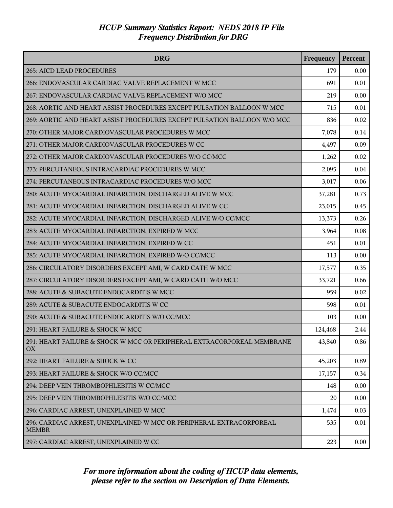| <b>DRG</b>                                                                          | Frequency | Percent |
|-------------------------------------------------------------------------------------|-----------|---------|
| 265: AICD LEAD PROCEDURES                                                           | 179       | 0.00    |
| 266: ENDOVASCULAR CARDIAC VALVE REPLACEMENT W MCC                                   | 691       | 0.01    |
| 267: ENDOVASCULAR CARDIAC VALVE REPLACEMENT W/O MCC                                 | 219       | 0.00    |
| 268: AORTIC AND HEART ASSIST PROCEDURES EXCEPT PULSATION BALLOON W MCC              | 715       | 0.01    |
| 269: AORTIC AND HEART ASSIST PROCEDURES EXCEPT PULSATION BALLOON W/O MCC            | 836       | 0.02    |
| 270: OTHER MAJOR CARDIOVASCULAR PROCEDURES W MCC                                    | 7,078     | 0.14    |
| 271: OTHER MAJOR CARDIOVASCULAR PROCEDURES W CC                                     | 4,497     | 0.09    |
| 272: OTHER MAJOR CARDIOVASCULAR PROCEDURES W/O CC/MCC                               | 1,262     | 0.02    |
| 273: PERCUTANEOUS INTRACARDIAC PROCEDURES W MCC                                     | 2,095     | 0.04    |
| 274: PERCUTANEOUS INTRACARDIAC PROCEDURES W/O MCC                                   | 3,017     | 0.06    |
| 280: ACUTE MYOCARDIAL INFARCTION, DISCHARGED ALIVE W MCC                            | 37,281    | 0.73    |
| 281: ACUTE MYOCARDIAL INFARCTION, DISCHARGED ALIVE W CC                             | 23,015    | 0.45    |
| 282: ACUTE MYOCARDIAL INFARCTION, DISCHARGED ALIVE W/O CC/MCC                       | 13,373    | 0.26    |
| 283: ACUTE MYOCARDIAL INFARCTION, EXPIRED W MCC                                     | 3,964     | 0.08    |
| 284: ACUTE MYOCARDIAL INFARCTION, EXPIRED W CC                                      | 451       | 0.01    |
| 285: ACUTE MYOCARDIAL INFARCTION, EXPIRED W/O CC/MCC                                | 113       | 0.00    |
| 286: CIRCULATORY DISORDERS EXCEPT AMI, W CARD CATH W MCC                            | 17,577    | 0.35    |
| 287: CIRCULATORY DISORDERS EXCEPT AMI, W CARD CATH W/O MCC                          | 33,721    | 0.66    |
| 288: ACUTE & SUBACUTE ENDOCARDITIS W MCC                                            | 959       | 0.02    |
| 289: ACUTE & SUBACUTE ENDOCARDITIS W CC                                             | 598       | 0.01    |
| 290: ACUTE & SUBACUTE ENDOCARDITIS W/O CC/MCC                                       | 103       | 0.00    |
| 291: HEART FAILURE & SHOCK W MCC                                                    | 124,468   | 2.44    |
| 291: HEART FAILURE & SHOCK W MCC OR PERIPHERAL EXTRACORPOREAL MEMBRANE<br>OX        | 43,840    | 0.86    |
| 292: HEART FAILURE & SHOCK W CC                                                     | 45,203    | 0.89    |
| 293: HEART FAILURE & SHOCK W/O CC/MCC                                               | 17,157    | 0.34    |
| 294: DEEP VEIN THROMBOPHLEBITIS W CC/MCC                                            | 148       | 0.00    |
| 295: DEEP VEIN THROMBOPHLEBITIS W/O CC/MCC                                          | 20        | 0.00    |
| 296: CARDIAC ARREST, UNEXPLAINED W MCC                                              | 1,474     | 0.03    |
| 296: CARDIAC ARREST, UNEXPLAINED W MCC OR PERIPHERAL EXTRACORPOREAL<br><b>MEMBR</b> | 535       | 0.01    |
| 297: CARDIAC ARREST, UNEXPLAINED W CC                                               | 223       | 0.00    |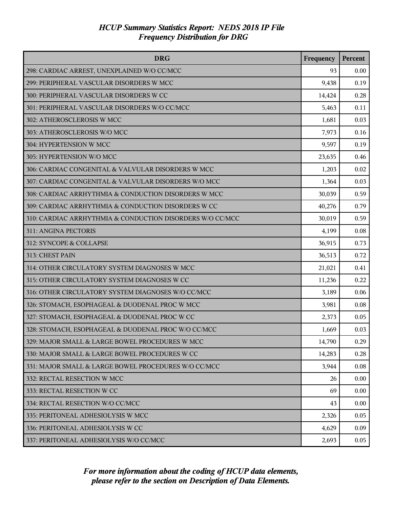| <b>DRG</b>                                                | Frequency | Percent |
|-----------------------------------------------------------|-----------|---------|
| 298: CARDIAC ARREST, UNEXPLAINED W/O CC/MCC               | 93        | 0.00    |
| 299: PERIPHERAL VASCULAR DISORDERS W MCC                  | 9,438     | 0.19    |
| 300: PERIPHERAL VASCULAR DISORDERS W CC                   | 14,424    | 0.28    |
| 301: PERIPHERAL VASCULAR DISORDERS W/O CC/MCC             | 5,463     | 0.11    |
| 302: ATHEROSCLEROSIS W MCC                                | 1,681     | 0.03    |
| 303: ATHEROSCLEROSIS W/O MCC                              | 7,973     | 0.16    |
| 304: HYPERTENSION W MCC                                   | 9,597     | 0.19    |
| 305: HYPERTENSION W/O MCC                                 | 23,635    | 0.46    |
| 306: CARDIAC CONGENITAL & VALVULAR DISORDERS W MCC        | 1,203     | 0.02    |
| 307: CARDIAC CONGENITAL & VALVULAR DISORDERS W/O MCC      | 1,364     | 0.03    |
| 308: CARDIAC ARRHYTHMIA & CONDUCTION DISORDERS W MCC      | 30,039    | 0.59    |
| 309: CARDIAC ARRHYTHMIA & CONDUCTION DISORDERS W CC       | 40,276    | 0.79    |
| 310: CARDIAC ARRHYTHMIA & CONDUCTION DISORDERS W/O CC/MCC | 30,019    | 0.59    |
| 311: ANGINA PECTORIS                                      | 4,199     | 0.08    |
| 312: SYNCOPE & COLLAPSE                                   | 36,915    | 0.73    |
| 313: CHEST PAIN                                           | 36,513    | 0.72    |
| 314: OTHER CIRCULATORY SYSTEM DIAGNOSES W MCC             | 21,021    | 0.41    |
| 315: OTHER CIRCULATORY SYSTEM DIAGNOSES W CC              | 11,236    | 0.22    |
| 316: OTHER CIRCULATORY SYSTEM DIAGNOSES W/O CC/MCC        | 3,189     | 0.06    |
| 326: STOMACH, ESOPHAGEAL & DUODENAL PROC W MCC            | 3,981     | 0.08    |
| 327: STOMACH, ESOPHAGEAL & DUODENAL PROC W CC             | 2,373     | 0.05    |
| 328: STOMACH, ESOPHAGEAL & DUODENAL PROC W/O CC/MCC       | 1,669     | 0.03    |
| 329: MAJOR SMALL & LARGE BOWEL PROCEDURES W MCC           | 14,790    | 0.29    |
| 330: MAJOR SMALL & LARGE BOWEL PROCEDURES W CC            | 14,283    | 0.28    |
| 331: MAJOR SMALL & LARGE BOWEL PROCEDURES W/O CC/MCC      | 3,944     | 0.08    |
| 332: RECTAL RESECTION W MCC                               | 26        | 0.00    |
| 333: RECTAL RESECTION W CC                                | 69        | 0.00    |
| 334: RECTAL RESECTION W/O CC/MCC                          | 43        | 0.00    |
| 335: PERITONEAL ADHESIOLYSIS W MCC                        | 2,326     | 0.05    |
| 336: PERITONEAL ADHESIOLYSIS W CC                         | 4,629     | 0.09    |
| 337: PERITONEAL ADHESIOLYSIS W/O CC/MCC                   | 2,693     | 0.05    |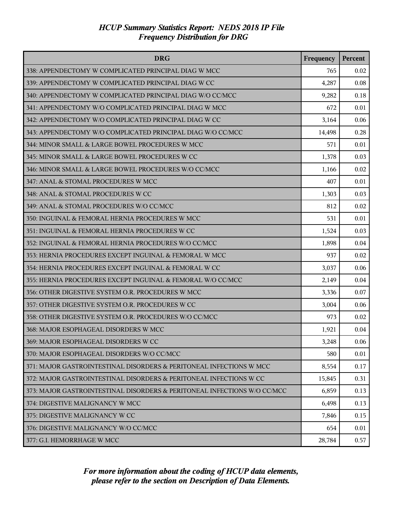| <b>DRG</b>                                                               | Frequency | Percent |
|--------------------------------------------------------------------------|-----------|---------|
| 338: APPENDECTOMY W COMPLICATED PRINCIPAL DIAG W MCC                     | 765       | 0.02    |
| 339: APPENDECTOMY W COMPLICATED PRINCIPAL DIAG W CC                      | 4,287     | 0.08    |
| 340: APPENDECTOMY W COMPLICATED PRINCIPAL DIAG W/O CC/MCC                | 9,282     | 0.18    |
| 341: APPENDECTOMY W/O COMPLICATED PRINCIPAL DIAG W MCC                   | 672       | 0.01    |
| 342: APPENDECTOMY W/O COMPLICATED PRINCIPAL DIAG W CC                    | 3,164     | 0.06    |
| 343: APPENDECTOMY W/O COMPLICATED PRINCIPAL DIAG W/O CC/MCC              | 14,498    | 0.28    |
| 344: MINOR SMALL & LARGE BOWEL PROCEDURES W MCC                          | 571       | 0.01    |
| 345: MINOR SMALL & LARGE BOWEL PROCEDURES W CC                           | 1,378     | 0.03    |
| 346: MINOR SMALL & LARGE BOWEL PROCEDURES W/O CC/MCC                     | 1,166     | 0.02    |
| 347: ANAL & STOMAL PROCEDURES W MCC                                      | 407       | 0.01    |
| 348: ANAL & STOMAL PROCEDURES W CC                                       | 1,303     | 0.03    |
| 349: ANAL & STOMAL PROCEDURES W/O CC/MCC                                 | 812       | 0.02    |
| 350: INGUINAL & FEMORAL HERNIA PROCEDURES W MCC                          | 531       | 0.01    |
| 351: INGUINAL & FEMORAL HERNIA PROCEDURES W CC                           | 1,524     | 0.03    |
| 352: INGUINAL & FEMORAL HERNIA PROCEDURES W/O CC/MCC                     | 1,898     | 0.04    |
| 353: HERNIA PROCEDURES EXCEPT INGUINAL & FEMORAL W MCC                   | 937       | 0.02    |
| 354: HERNIA PROCEDURES EXCEPT INGUINAL & FEMORAL W CC                    | 3,037     | 0.06    |
| 355: HERNIA PROCEDURES EXCEPT INGUINAL & FEMORAL W/O CC/MCC              | 2,149     | 0.04    |
| 356: OTHER DIGESTIVE SYSTEM O.R. PROCEDURES W MCC                        | 3,336     | 0.07    |
| 357: OTHER DIGESTIVE SYSTEM O.R. PROCEDURES W CC                         | 3,004     | 0.06    |
| 358: OTHER DIGESTIVE SYSTEM O.R. PROCEDURES W/O CC/MCC                   | 973       | 0.02    |
| 368: MAJOR ESOPHAGEAL DISORDERS W MCC                                    | 1,921     | 0.04    |
| 369: MAJOR ESOPHAGEAL DISORDERS W CC                                     | 3,248     | 0.06    |
| 370: MAJOR ESOPHAGEAL DISORDERS W/O CC/MCC                               | 580       | 0.01    |
| 371: MAJOR GASTROINTESTINAL DISORDERS & PERITONEAL INFECTIONS W MCC      | 8,554     | 0.17    |
| 372: MAJOR GASTROINTESTINAL DISORDERS & PERITONEAL INFECTIONS W CC       | 15,845    | 0.31    |
| 373: MAJOR GASTROINTESTINAL DISORDERS & PERITONEAL INFECTIONS W/O CC/MCC | 6,859     | 0.13    |
| 374: DIGESTIVE MALIGNANCY W MCC                                          | 6,498     | 0.13    |
| 375: DIGESTIVE MALIGNANCY W CC                                           | 7,846     | 0.15    |
| 376: DIGESTIVE MALIGNANCY W/O CC/MCC                                     | 654       | 0.01    |
| 377: G.I. HEMORRHAGE W MCC                                               | 28,784    | 0.57    |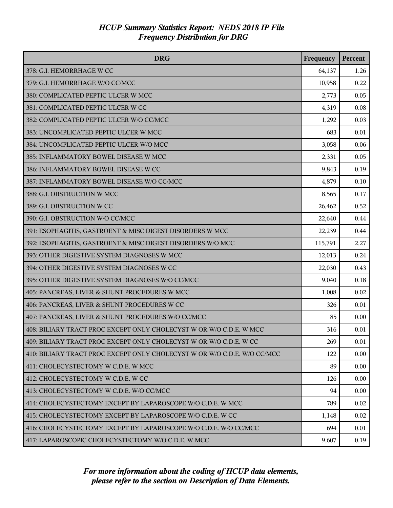| <b>DRG</b>                                                               | Frequency | Percent |
|--------------------------------------------------------------------------|-----------|---------|
| 378: G.I. HEMORRHAGE W CC                                                | 64,137    | 1.26    |
| 379: G.I. HEMORRHAGE W/O CC/MCC                                          | 10,958    | 0.22    |
| 380: COMPLICATED PEPTIC ULCER W MCC                                      | 2,773     | 0.05    |
| 381: COMPLICATED PEPTIC ULCER W CC                                       | 4,319     | 0.08    |
| 382: COMPLICATED PEPTIC ULCER W/O CC/MCC                                 | 1,292     | 0.03    |
| 383: UNCOMPLICATED PEPTIC ULCER W MCC                                    | 683       | 0.01    |
| 384: UNCOMPLICATED PEPTIC ULCER W/O MCC                                  | 3,058     | 0.06    |
| 385: INFLAMMATORY BOWEL DISEASE W MCC                                    | 2,331     | 0.05    |
| 386: INFLAMMATORY BOWEL DISEASE W CC                                     | 9,843     | 0.19    |
| 387: INFLAMMATORY BOWEL DISEASE W/O CC/MCC                               | 4,879     | 0.10    |
| 388: G.I. OBSTRUCTION W MCC                                              | 8,565     | 0.17    |
| 389: G.I. OBSTRUCTION W CC                                               | 26,462    | 0.52    |
| 390: G.I. OBSTRUCTION W/O CC/MCC                                         | 22,640    | 0.44    |
| 391: ESOPHAGITIS, GASTROENT & MISC DIGEST DISORDERS W MCC                | 22,239    | 0.44    |
| 392: ESOPHAGITIS, GASTROENT & MISC DIGEST DISORDERS W/O MCC              | 115,791   | 2.27    |
| 393: OTHER DIGESTIVE SYSTEM DIAGNOSES W MCC                              | 12,013    | 0.24    |
| 394: OTHER DIGESTIVE SYSTEM DIAGNOSES W CC                               | 22,030    | 0.43    |
| 395: OTHER DIGESTIVE SYSTEM DIAGNOSES W/O CC/MCC                         | 9,040     | 0.18    |
| 405: PANCREAS, LIVER & SHUNT PROCEDURES W MCC                            | 1,008     | 0.02    |
| 406: PANCREAS, LIVER & SHUNT PROCEDURES W CC                             | 326       | 0.01    |
| 407: PANCREAS, LIVER & SHUNT PROCEDURES W/O CC/MCC                       | 85        | 0.00    |
| 408: BILIARY TRACT PROC EXCEPT ONLY CHOLECYST W OR W/O C.D.E. W MCC      | 316       | 0.01    |
| 409: BILIARY TRACT PROC EXCEPT ONLY CHOLECYST W OR W/O C.D.E. W CC       | 269       | 0.01    |
| 410: BILIARY TRACT PROC EXCEPT ONLY CHOLECYST W OR W/O C.D.E. W/O CC/MCC | 122       | 0.00    |
| 411: CHOLECYSTECTOMY W C.D.E. W MCC                                      | 89        | 0.00    |
| 412: CHOLECYSTECTOMY W C.D.E. W CC                                       | 126       | 0.00    |
| 413: CHOLECYSTECTOMY W C.D.E. W/O CC/MCC                                 | 94        | 0.00    |
| 414: CHOLECYSTECTOMY EXCEPT BY LAPAROSCOPE W/O C.D.E. W MCC              | 789       | 0.02    |
| 415: CHOLECYSTECTOMY EXCEPT BY LAPAROSCOPE W/O C.D.E. W CC               | 1,148     | 0.02    |
| 416: CHOLECYSTECTOMY EXCEPT BY LAPAROSCOPE W/O C.D.E. W/O CC/MCC         | 694       | 0.01    |
| 417: LAPAROSCOPIC CHOLECYSTECTOMY W/O C.D.E. W MCC                       | 9,607     | 0.19    |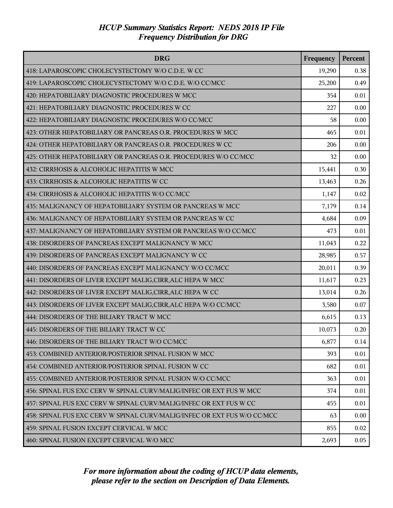| <b>DRG</b>                                                               | Frequency | Percent |
|--------------------------------------------------------------------------|-----------|---------|
| 418: LAPAROSCOPIC CHOLECYSTECTOMY W/O C.D.E. W CC                        | 19,290    | 0.38    |
| 419: LAPAROSCOPIC CHOLECYSTECTOMY W/O C.D.E. W/O CC/MCC                  | 25,200    | 0.49    |
| 420: HEPATOBILIARY DIAGNOSTIC PROCEDURES W MCC                           | 354       | 0.01    |
| 421: HEPATOBILIARY DIAGNOSTIC PROCEDURES W CC                            | 227       | 0.00    |
| 422: HEPATOBILIARY DIAGNOSTIC PROCEDURES W/O CC/MCC                      | 58        | 0.00    |
| 423: OTHER HEPATOBILIARY OR PANCREAS O.R. PROCEDURES W MCC               | 465       | 0.01    |
| 424: OTHER HEPATOBILIARY OR PANCREAS O.R. PROCEDURES W CC                | 206       | 0.00    |
| 425: OTHER HEPATOBILIARY OR PANCREAS O.R. PROCEDURES W/O CC/MCC          | 32        | 0.00    |
| 432: CIRRHOSIS & ALCOHOLIC HEPATITIS W MCC                               | 15,441    | 0.30    |
| 433: CIRRHOSIS & ALCOHOLIC HEPATITIS W CC                                | 13,463    | 0.26    |
| 434: CIRRHOSIS & ALCOHOLIC HEPATITIS W/O CC/MCC                          | 1,147     | 0.02    |
| 435: MALIGNANCY OF HEPATOBILIARY SYSTEM OR PANCREAS W MCC                | 7,179     | 0.14    |
| 436: MALIGNANCY OF HEPATOBILIARY SYSTEM OR PANCREAS W CC                 | 4,684     | 0.09    |
| 437: MALIGNANCY OF HEPATOBILIARY SYSTEM OR PANCREAS W/O CC/MCC           | 473       | 0.01    |
| 438: DISORDERS OF PANCREAS EXCEPT MALIGNANCY W MCC                       | 11,043    | 0.22    |
| 439: DISORDERS OF PANCREAS EXCEPT MALIGNANCY W CC                        | 28,985    | 0.57    |
| 440: DISORDERS OF PANCREAS EXCEPT MALIGNANCY W/O CC/MCC                  | 20,011    | 0.39    |
| 441: DISORDERS OF LIVER EXCEPT MALIG, CIRR, ALC HEPA W MCC               | 11,617    | 0.23    |
| 442: DISORDERS OF LIVER EXCEPT MALIG, CIRR, ALC HEPA W CC                | 13,014    | 0.26    |
| 443: DISORDERS OF LIVER EXCEPT MALIG, CIRR, ALC HEPA W/O CC/MCC          | 3,580     | 0.07    |
| 444: DISORDERS OF THE BILIARY TRACT W MCC                                | 6,615     | 0.13    |
| 445: DISORDERS OF THE BILIARY TRACT W CC                                 | 10,073    | 0.20    |
| 446: DISORDERS OF THE BILIARY TRACT W/O CC/MCC                           | 6,877     | 0.14    |
| 453: COMBINED ANTERIOR/POSTERIOR SPINAL FUSION W MCC                     | 393       | 0.01    |
| 454: COMBINED ANTERIOR/POSTERIOR SPINAL FUSION W CC                      | 682       | 0.01    |
| 455: COMBINED ANTERIOR/POSTERIOR SPINAL FUSION W/O CC/MCC                | 363       | 0.01    |
| 456: SPINAL FUS EXC CERV W SPINAL CURV/MALIG/INFEC OR EXT FUS W MCC      | 374       | 0.01    |
| 457: SPINAL FUS EXC CERV W SPINAL CURV/MALIG/INFEC OR EXT FUS W CC       | 455       | 0.01    |
| 458: SPINAL FUS EXC CERV W SPINAL CURV/MALIG/INFEC OR EXT FUS W/O CC/MCC | 63        | 0.00    |
| 459: SPINAL FUSION EXCEPT CERVICAL W MCC                                 | 855       | 0.02    |
| 460: SPINAL FUSION EXCEPT CERVICAL W/O MCC                               | 2,693     | 0.05    |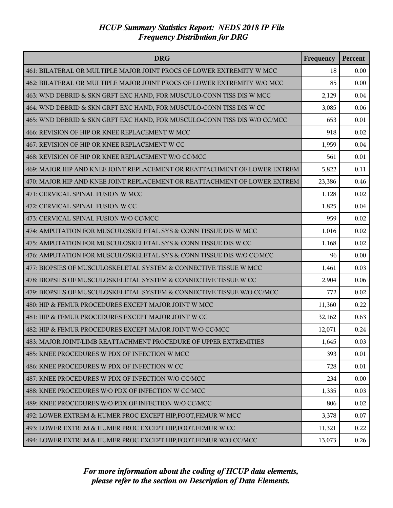| <b>DRG</b>                                                                | Frequency | Percent |
|---------------------------------------------------------------------------|-----------|---------|
| 461: BILATERAL OR MULTIPLE MAJOR JOINT PROCS OF LOWER EXTREMITY W MCC     | 18        | 0.00    |
| 462: BILATERAL OR MULTIPLE MAJOR JOINT PROCS OF LOWER EXTREMITY W/O MCC   | 85        | 0.00    |
| 463: WND DEBRID & SKN GRFT EXC HAND, FOR MUSCULO-CONN TISS DIS W MCC      | 2,129     | 0.04    |
| 464: WND DEBRID & SKN GRFT EXC HAND, FOR MUSCULO-CONN TISS DIS W CC       | 3,085     | 0.06    |
| 465: WND DEBRID & SKN GRFT EXC HAND, FOR MUSCULO-CONN TISS DIS W/O CC/MCC | 653       | 0.01    |
| 466: REVISION OF HIP OR KNEE REPLACEMENT W MCC                            | 918       | 0.02    |
| 467: REVISION OF HIP OR KNEE REPLACEMENT W CC                             | 1,959     | 0.04    |
| 468: REVISION OF HIP OR KNEE REPLACEMENT W/O CC/MCC                       | 561       | 0.01    |
| 469: MAJOR HIP AND KNEE JOINT REPLACEMENT OR REATTACHMENT OF LOWER EXTREM | 5,822     | 0.11    |
| 470: MAJOR HIP AND KNEE JOINT REPLACEMENT OR REATTACHMENT OF LOWER EXTREM | 23,386    | 0.46    |
| 471: CERVICAL SPINAL FUSION W MCC                                         | 1,128     | 0.02    |
| 472: CERVICAL SPINAL FUSION W CC                                          | 1,825     | 0.04    |
| 473: CERVICAL SPINAL FUSION W/O CC/MCC                                    | 959       | 0.02    |
| 474: AMPUTATION FOR MUSCULOSKELETAL SYS & CONN TISSUE DIS W MCC           | 1,016     | 0.02    |
| 475: AMPUTATION FOR MUSCULOSKELETAL SYS & CONN TISSUE DIS W CC            | 1,168     | 0.02    |
| 476: AMPUTATION FOR MUSCULOSKELETAL SYS & CONN TISSUE DIS W/O CC/MCC      | 96        | 0.00    |
| 477: BIOPSIES OF MUSCULOSKELETAL SYSTEM & CONNECTIVE TISSUE W MCC         | 1,461     | 0.03    |
| 478: BIOPSIES OF MUSCULOSKELETAL SYSTEM & CONNECTIVE TISSUE W CC          | 2,904     | 0.06    |
| 479: BIOPSIES OF MUSCULOSKELETAL SYSTEM & CONNECTIVE TISSUE W/O CC/MCC    | 772       | 0.02    |
| 480: HIP & FEMUR PROCEDURES EXCEPT MAJOR JOINT W MCC                      | 11,360    | 0.22    |
| 481: HIP & FEMUR PROCEDURES EXCEPT MAJOR JOINT W CC                       | 32,162    | 0.63    |
| 482: HIP & FEMUR PROCEDURES EXCEPT MAJOR JOINT W/O CC/MCC                 | 12,071    | 0.24    |
| 483: MAJOR JOINT/LIMB REATTACHMENT PROCEDURE OF UPPER EXTREMITIES         | 1,645     | 0.03    |
| 485: KNEE PROCEDURES W PDX OF INFECTION W MCC                             | 393       | 0.01    |
| 486: KNEE PROCEDURES W PDX OF INFECTION W CC                              | 728       | 0.01    |
| 487: KNEE PROCEDURES W PDX OF INFECTION W/O CC/MCC                        | 234       | 0.00    |
| 488: KNEE PROCEDURES W/O PDX OF INFECTION W CC/MCC                        | 1,335     | 0.03    |
| 489: KNEE PROCEDURES W/O PDX OF INFECTION W/O CC/MCC                      | 806       | 0.02    |
| 492: LOWER EXTREM & HUMER PROC EXCEPT HIP, FOOT, FEMUR W MCC              | 3,378     | 0.07    |
| 493: LOWER EXTREM & HUMER PROC EXCEPT HIP, FOOT, FEMUR W CC               | 11,321    | 0.22    |
| 494: LOWER EXTREM & HUMER PROC EXCEPT HIP, FOOT, FEMUR W/O CC/MCC         | 13,073    | 0.26    |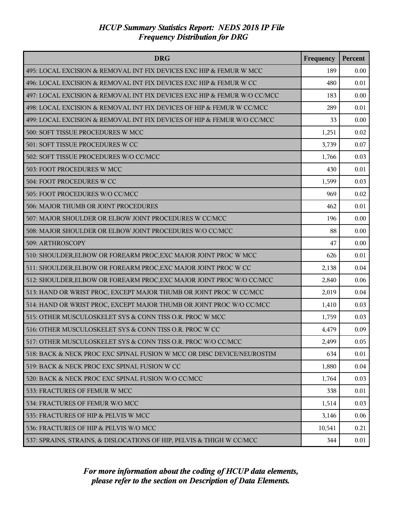| <b>DRG</b>                                                               | Frequency | Percent |
|--------------------------------------------------------------------------|-----------|---------|
| 495: LOCAL EXCISION & REMOVAL INT FIX DEVICES EXC HIP & FEMUR W MCC      | 189       | 0.00    |
| 496: LOCAL EXCISION & REMOVAL INT FIX DEVICES EXC HIP & FEMUR W CC       | 480       | 0.01    |
| 497: LOCAL EXCISION & REMOVAL INT FIX DEVICES EXC HIP & FEMUR W/O CC/MCC | 183       | 0.00    |
| 498: LOCAL EXCISION & REMOVAL INT FIX DEVICES OF HIP & FEMUR W CC/MCC    | 289       | 0.01    |
| 499: LOCAL EXCISION & REMOVAL INT FIX DEVICES OF HIP & FEMUR W/O CC/MCC  | 33        | 0.00    |
| 500: SOFT TISSUE PROCEDURES W MCC                                        | 1,251     | 0.02    |
| 501: SOFT TISSUE PROCEDURES W CC                                         | 3,739     | 0.07    |
| 502: SOFT TISSUE PROCEDURES W/O CC/MCC                                   | 1,766     | 0.03    |
| 503: FOOT PROCEDURES W MCC                                               | 430       | 0.01    |
| 504: FOOT PROCEDURES W CC                                                | 1,599     | 0.03    |
| 505: FOOT PROCEDURES W/O CC/MCC                                          | 969       | 0.02    |
| 506: MAJOR THUMB OR JOINT PROCEDURES                                     | 462       | 0.01    |
| 507: MAJOR SHOULDER OR ELBOW JOINT PROCEDURES W CC/MCC                   | 196       | 0.00    |
| 508: MAJOR SHOULDER OR ELBOW JOINT PROCEDURES W/O CC/MCC                 | 88        | 0.00    |
| 509: ARTHROSCOPY                                                         | 47        | 0.00    |
| 510: SHOULDER, ELBOW OR FOREARM PROC, EXC MAJOR JOINT PROC W MCC         | 626       | 0.01    |
| 511: SHOULDER, ELBOW OR FOREARM PROC, EXC MAJOR JOINT PROC W CC          | 2,138     | 0.04    |
| 512: SHOULDER, ELBOW OR FOREARM PROC, EXC MAJOR JOINT PROC W/O CC/MCC    | 2,840     | 0.06    |
| 513: HAND OR WRIST PROC, EXCEPT MAJOR THUMB OR JOINT PROC W CC/MCC       | 2,019     | 0.04    |
| 514: HAND OR WRIST PROC, EXCEPT MAJOR THUMB OR JOINT PROC W/O CC/MCC     | 1,410     | 0.03    |
| 515: OTHER MUSCULOSKELET SYS & CONN TISS O.R. PROC W MCC                 | 1,759     | 0.03    |
| 516: OTHER MUSCULOSKELET SYS & CONN TISS O.R. PROC W CC                  | 4,479     | 0.09    |
| 517: OTHER MUSCULOSKELET SYS & CONN TISS O.R. PROC W/O CC/MCC            | 2,499     | 0.05    |
| 518: BACK & NECK PROC EXC SPINAL FUSION W MCC OR DISC DEVICE/NEUROSTIM   | 634       | 0.01    |
| 519: BACK & NECK PROC EXC SPINAL FUSION W CC                             | 1,880     | 0.04    |
| 520: BACK & NECK PROC EXC SPINAL FUSION W/O CC/MCC                       | 1,764     | 0.03    |
| 533: FRACTURES OF FEMUR W MCC                                            | 338       | 0.01    |
| 534: FRACTURES OF FEMUR W/O MCC                                          | 1,514     | 0.03    |
| 535: FRACTURES OF HIP & PELVIS W MCC                                     | 3,146     | 0.06    |
| 536: FRACTURES OF HIP & PELVIS W/O MCC                                   | 10,541    | 0.21    |
| 537: SPRAINS, STRAINS, & DISLOCATIONS OF HIP, PELVIS & THIGH W CC/MCC    | 344       | 0.01    |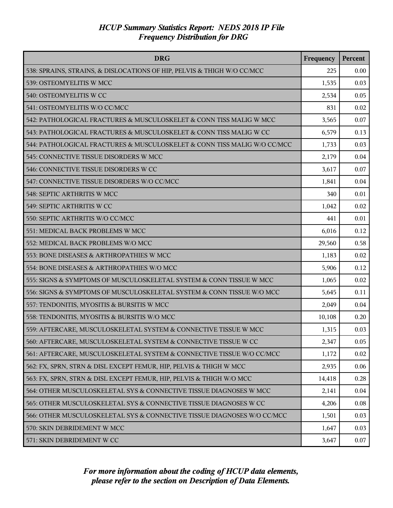| <b>DRG</b>                                                               | Frequency | Percent |
|--------------------------------------------------------------------------|-----------|---------|
| 538: SPRAINS, STRAINS, & DISLOCATIONS OF HIP, PELVIS & THIGH W/O CC/MCC  | 225       | 0.00    |
| 539: OSTEOMYELITIS W MCC                                                 | 1,535     | 0.03    |
| 540: OSTEOMYELITIS W CC                                                  | 2,534     | 0.05    |
| 541: OSTEOMYELITIS W/O CC/MCC                                            | 831       | 0.02    |
| 542: PATHOLOGICAL FRACTURES & MUSCULOSKELET & CONN TISS MALIG W MCC      | 3,565     | 0.07    |
| 543: PATHOLOGICAL FRACTURES & MUSCULOSKELET & CONN TISS MALIG W CC       | 6,579     | 0.13    |
| 544: PATHOLOGICAL FRACTURES & MUSCULOSKELET & CONN TISS MALIG W/O CC/MCC | 1,733     | 0.03    |
| 545: CONNECTIVE TISSUE DISORDERS W MCC                                   | 2,179     | 0.04    |
| 546: CONNECTIVE TISSUE DISORDERS W CC                                    | 3,617     | 0.07    |
| 547: CONNECTIVE TISSUE DISORDERS W/O CC/MCC                              | 1,841     | 0.04    |
| 548: SEPTIC ARTHRITIS W MCC                                              | 340       | 0.01    |
| 549: SEPTIC ARTHRITIS W CC                                               | 1,042     | 0.02    |
| 550: SEPTIC ARTHRITIS W/O CC/MCC                                         | 441       | 0.01    |
| 551: MEDICAL BACK PROBLEMS W MCC                                         | 6,016     | 0.12    |
| 552: MEDICAL BACK PROBLEMS W/O MCC                                       | 29,560    | 0.58    |
| 553: BONE DISEASES & ARTHROPATHIES W MCC                                 | 1,183     | 0.02    |
| 554: BONE DISEASES & ARTHROPATHIES W/O MCC                               | 5,906     | 0.12    |
| 555: SIGNS & SYMPTOMS OF MUSCULOSKELETAL SYSTEM & CONN TISSUE W MCC      | 1,065     | 0.02    |
| 556: SIGNS & SYMPTOMS OF MUSCULOSKELETAL SYSTEM & CONN TISSUE W/O MCC    | 5,645     | 0.11    |
| 557: TENDONITIS, MYOSITIS & BURSITIS W MCC                               | 2,049     | 0.04    |
| 558: TENDONITIS, MYOSITIS & BURSITIS W/O MCC                             | 10,108    | 0.20    |
| 559: AFTERCARE, MUSCULOSKELETAL SYSTEM & CONNECTIVE TISSUE W MCC         | 1,315     | 0.03    |
| 560: AFTERCARE, MUSCULOSKELETAL SYSTEM & CONNECTIVE TISSUE W CC          | 2,347     | 0.05    |
| 561: AFTERCARE, MUSCULOSKELETAL SYSTEM & CONNECTIVE TISSUE W/O CC/MCC    | 1,172     | 0.02    |
| 562: FX, SPRN, STRN & DISL EXCEPT FEMUR, HIP, PELVIS & THIGH W MCC       | 2,935     | 0.06    |
| 563: FX, SPRN, STRN & DISL EXCEPT FEMUR, HIP, PELVIS & THIGH W/O MCC     | 14,418    | 0.28    |
| 564: OTHER MUSCULOSKELETAL SYS & CONNECTIVE TISSUE DIAGNOSES W MCC       | 2,141     | 0.04    |
| 565: OTHER MUSCULOSKELETAL SYS & CONNECTIVE TISSUE DIAGNOSES W CC        | 4,206     | 0.08    |
| 566: OTHER MUSCULOSKELETAL SYS & CONNECTIVE TISSUE DIAGNOSES W/O CC/MCC  | 1,501     | 0.03    |
| 570: SKIN DEBRIDEMENT W MCC                                              | 1,647     | 0.03    |
| 571: SKIN DEBRIDEMENT W CC                                               | 3,647     | 0.07    |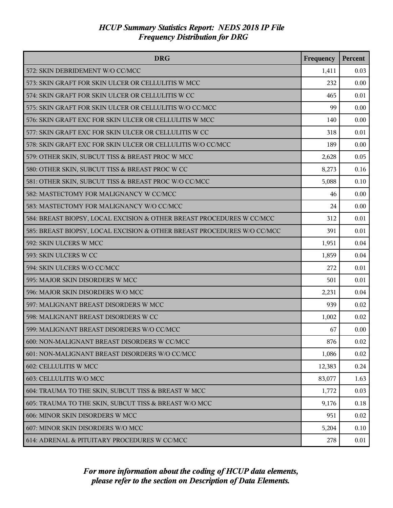| <b>DRG</b>                                                              | Frequency | Percent |
|-------------------------------------------------------------------------|-----------|---------|
| 572: SKIN DEBRIDEMENT W/O CC/MCC                                        | 1,411     | 0.03    |
| 573: SKIN GRAFT FOR SKIN ULCER OR CELLULITIS W MCC                      | 232       | 0.00    |
| 574: SKIN GRAFT FOR SKIN ULCER OR CELLULITIS W CC                       | 465       | 0.01    |
| 575: SKIN GRAFT FOR SKIN ULCER OR CELLULITIS W/O CC/MCC                 | 99        | 0.00    |
| 576: SKIN GRAFT EXC FOR SKIN ULCER OR CELLULITIS W MCC                  | 140       | 0.00    |
| 577: SKIN GRAFT EXC FOR SKIN ULCER OR CELLULITIS W CC                   | 318       | 0.01    |
| 578: SKIN GRAFT EXC FOR SKIN ULCER OR CELLULITIS W/O CC/MCC             | 189       | 0.00    |
| 579: OTHER SKIN, SUBCUT TISS & BREAST PROC W MCC                        | 2,628     | 0.05    |
| 580: OTHER SKIN, SUBCUT TISS & BREAST PROC W CC                         | 8,273     | 0.16    |
| 581: OTHER SKIN, SUBCUT TISS & BREAST PROC W/O CC/MCC                   | 5,088     | 0.10    |
| 582: MASTECTOMY FOR MALIGNANCY W CC/MCC                                 | 46        | 0.00    |
| 583: MASTECTOMY FOR MALIGNANCY W/O CC/MCC                               | 24        | 0.00    |
| 584: BREAST BIOPSY, LOCAL EXCISION & OTHER BREAST PROCEDURES W CC/MCC   | 312       | 0.01    |
| 585: BREAST BIOPSY, LOCAL EXCISION & OTHER BREAST PROCEDURES W/O CC/MCC | 391       | 0.01    |
| 592: SKIN ULCERS W MCC                                                  | 1,951     | 0.04    |
| 593: SKIN ULCERS W CC                                                   | 1,859     | 0.04    |
| 594: SKIN ULCERS W/O CC/MCC                                             | 272       | 0.01    |
| 595: MAJOR SKIN DISORDERS W MCC                                         | 501       | 0.01    |
| 596: MAJOR SKIN DISORDERS W/O MCC                                       | 2,231     | 0.04    |
| 597: MALIGNANT BREAST DISORDERS W MCC                                   | 939       | 0.02    |
| 598: MALIGNANT BREAST DISORDERS W CC                                    | 1,002     | 0.02    |
| 599: MALIGNANT BREAST DISORDERS W/O CC/MCC                              | 67        | 0.00    |
| 600: NON-MALIGNANT BREAST DISORDERS W CC/MCC                            | 876       | 0.02    |
| 601: NON-MALIGNANT BREAST DISORDERS W/O CC/MCC                          | 1,086     | 0.02    |
| 602: CELLULITIS W MCC                                                   | 12,383    | 0.24    |
| 603: CELLULITIS W/O MCC                                                 | 83,077    | 1.63    |
| 604: TRAUMA TO THE SKIN, SUBCUT TISS & BREAST W MCC                     | 1,772     | 0.03    |
| 605: TRAUMA TO THE SKIN, SUBCUT TISS & BREAST W/O MCC                   | 9,176     | 0.18    |
| 606: MINOR SKIN DISORDERS W MCC                                         | 951       | 0.02    |
| 607: MINOR SKIN DISORDERS W/O MCC                                       | 5,204     | 0.10    |
| 614: ADRENAL & PITUITARY PROCEDURES W CC/MCC                            | 278       | 0.01    |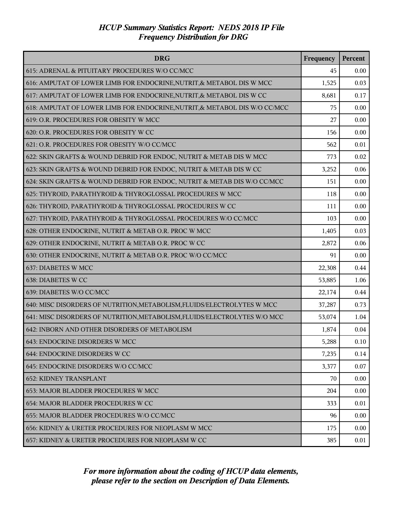| <b>DRG</b>                                                                 | Frequency | Percent |
|----------------------------------------------------------------------------|-----------|---------|
| 615: ADRENAL & PITUITARY PROCEDURES W/O CC/MCC                             | 45        | 0.00    |
| 616: AMPUTAT OF LOWER LIMB FOR ENDOCRINE, NUTRIT, & METABOL DIS W MCC      | 1,525     | 0.03    |
| 617: AMPUTAT OF LOWER LIMB FOR ENDOCRINE, NUTRIT, & METABOL DIS W CC       | 8,681     | 0.17    |
| 618: AMPUTAT OF LOWER LIMB FOR ENDOCRINE, NUTRIT, & METABOL DIS W/O CC/MCC | 75        | 0.00    |
| 619: O.R. PROCEDURES FOR OBESITY W MCC                                     | 27        | 0.00    |
| 620: O.R. PROCEDURES FOR OBESITY W CC                                      | 156       | 0.00    |
| 621: O.R. PROCEDURES FOR OBESITY W/O CC/MCC                                | 562       | 0.01    |
| 622: SKIN GRAFTS & WOUND DEBRID FOR ENDOC, NUTRIT & METAB DIS W MCC        | 773       | 0.02    |
| 623: SKIN GRAFTS & WOUND DEBRID FOR ENDOC, NUTRIT & METAB DIS W CC         | 3,252     | 0.06    |
| 624: SKIN GRAFTS & WOUND DEBRID FOR ENDOC, NUTRIT & METAB DIS W/O CC/MCC   | 151       | 0.00    |
| 625: THYROID, PARATHYROID & THYROGLOSSAL PROCEDURES W MCC                  | 118       | 0.00    |
| 626: THYROID, PARATHYROID & THYROGLOSSAL PROCEDURES W CC                   | 111       | 0.00    |
| 627: THYROID, PARATHYROID & THYROGLOSSAL PROCEDURES W/O CC/MCC             | 103       | 0.00    |
| 628: OTHER ENDOCRINE, NUTRIT & METAB O.R. PROC W MCC                       | 1,405     | 0.03    |
| 629: OTHER ENDOCRINE, NUTRIT & METAB O.R. PROC W CC                        | 2,872     | 0.06    |
| 630: OTHER ENDOCRINE, NUTRIT & METAB O.R. PROC W/O CC/MCC                  | 91        | 0.00    |
| 637: DIABETES W MCC                                                        | 22,308    | 0.44    |
| 638: DIABETES W CC                                                         | 53,885    | 1.06    |
| 639: DIABETES W/O CC/MCC                                                   | 22,174    | 0.44    |
| 640: MISC DISORDERS OF NUTRITION, METABOLISM, FLUIDS/ELECTROLYTES W MCC    | 37,287    | 0.73    |
| 641: MISC DISORDERS OF NUTRITION, METABOLISM, FLUIDS/ELECTROLYTES W/O MCC  | 53,074    | 1.04    |
| 642: INBORN AND OTHER DISORDERS OF METABOLISM                              | 1,874     | 0.04    |
| 643: ENDOCRINE DISORDERS W MCC                                             | 5,288     | 0.10    |
| 644: ENDOCRINE DISORDERS W CC                                              | 7,235     | 0.14    |
| 645: ENDOCRINE DISORDERS W/O CC/MCC                                        | 3,377     | 0.07    |
| <b>652: KIDNEY TRANSPLANT</b>                                              | 70        | 0.00    |
| 653: MAJOR BLADDER PROCEDURES W MCC                                        | 204       | 0.00    |
| 654: MAJOR BLADDER PROCEDURES W CC                                         | 333       | 0.01    |
| 655: MAJOR BLADDER PROCEDURES W/O CC/MCC                                   | 96        | 0.00    |
| 656: KIDNEY & URETER PROCEDURES FOR NEOPLASM W MCC                         | 175       | 0.00    |
| 657: KIDNEY & URETER PROCEDURES FOR NEOPLASM W CC                          | 385       | 0.01    |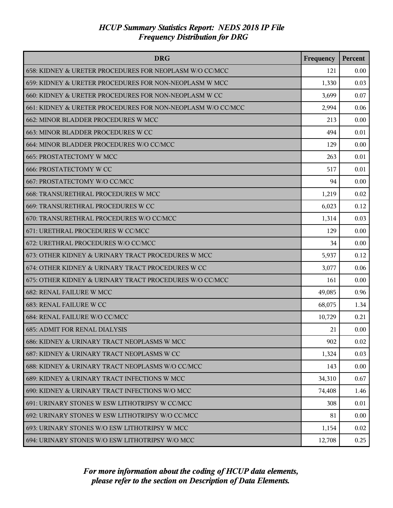| <b>DRG</b>                                                  | Frequency | Percent |
|-------------------------------------------------------------|-----------|---------|
| 658: KIDNEY & URETER PROCEDURES FOR NEOPLASM W/O CC/MCC     | 121       | 0.00    |
| 659: KIDNEY & URETER PROCEDURES FOR NON-NEOPLASM W MCC      | 1,330     | 0.03    |
| 660: KIDNEY & URETER PROCEDURES FOR NON-NEOPLASM W CC       | 3,699     | 0.07    |
| 661: KIDNEY & URETER PROCEDURES FOR NON-NEOPLASM W/O CC/MCC | 2,994     | 0.06    |
| 662: MINOR BLADDER PROCEDURES W MCC                         | 213       | 0.00    |
| 663: MINOR BLADDER PROCEDURES W CC                          | 494       | 0.01    |
| 664: MINOR BLADDER PROCEDURES W/O CC/MCC                    | 129       | 0.00    |
| <b>665: PROSTATECTOMY W MCC</b>                             | 263       | 0.01    |
| <b>666: PROSTATECTOMY W CC</b>                              | 517       | 0.01    |
| 667: PROSTATECTOMY W/O CC/MCC                               | 94        | 0.00    |
| 668: TRANSURETHRAL PROCEDURES W MCC                         | 1,219     | 0.02    |
| 669: TRANSURETHRAL PROCEDURES W CC                          | 6,023     | 0.12    |
| 670: TRANSURETHRAL PROCEDURES W/O CC/MCC                    | 1,314     | 0.03    |
| 671: URETHRAL PROCEDURES W CC/MCC                           | 129       | 0.00    |
| 672: URETHRAL PROCEDURES W/O CC/MCC                         | 34        | 0.00    |
| 673: OTHER KIDNEY & URINARY TRACT PROCEDURES W MCC          | 5,937     | 0.12    |
| 674: OTHER KIDNEY & URINARY TRACT PROCEDURES W CC           | 3,077     | 0.06    |
| 675: OTHER KIDNEY & URINARY TRACT PROCEDURES W/O CC/MCC     | 161       | 0.00    |
| <b>682: RENAL FAILURE W MCC</b>                             | 49,085    | 0.96    |
| 683: RENAL FAILURE W CC                                     | 68,075    | 1.34    |
| 684: RENAL FAILURE W/O CC/MCC                               | 10,729    | 0.21    |
| <b>685: ADMIT FOR RENAL DIALYSIS</b>                        | 21        | 0.00    |
| 686: KIDNEY & URINARY TRACT NEOPLASMS W MCC                 | 902       | 0.02    |
| 687: KIDNEY & URINARY TRACT NEOPLASMS W CC                  | 1,324     | 0.03    |
| 688: KIDNEY & URINARY TRACT NEOPLASMS W/O CC/MCC            | 143       | 0.00    |
| 689: KIDNEY & URINARY TRACT INFECTIONS W MCC                | 34,310    | 0.67    |
| 690: KIDNEY & URINARY TRACT INFECTIONS W/O MCC              | 74,408    | 1.46    |
| 691: URINARY STONES W ESW LITHOTRIPSY W CC/MCC              | 308       | 0.01    |
| 692: URINARY STONES W ESW LITHOTRIPSY W/O CC/MCC            | 81        | 0.00    |
| 693: URINARY STONES W/O ESW LITHOTRIPSY W MCC               | 1,154     | 0.02    |
| 694: URINARY STONES W/O ESW LITHOTRIPSY W/O MCC             | 12,708    | 0.25    |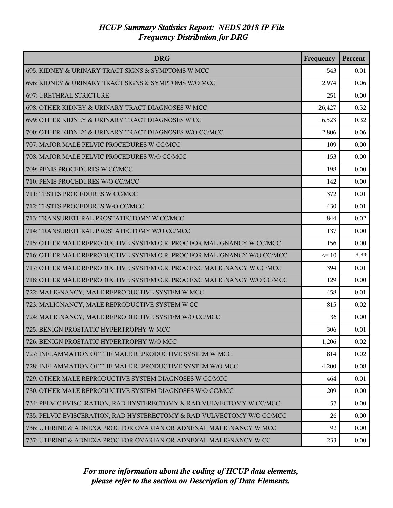| <b>DRG</b>                                                              | Frequency | Percent |
|-------------------------------------------------------------------------|-----------|---------|
| 695: KIDNEY & URINARY TRACT SIGNS & SYMPTOMS W MCC                      | 543       | 0.01    |
| 696: KIDNEY & URINARY TRACT SIGNS & SYMPTOMS W/O MCC                    | 2,974     | 0.06    |
| 697: URETHRAL STRICTURE                                                 | 251       | 0.00    |
| 698: OTHER KIDNEY & URINARY TRACT DIAGNOSES W MCC                       | 26,427    | 0.52    |
| 699: OTHER KIDNEY & URINARY TRACT DIAGNOSES W CC                        | 16,523    | 0.32    |
| 700: OTHER KIDNEY & URINARY TRACT DIAGNOSES W/O CC/MCC                  | 2,806     | 0.06    |
| 707: MAJOR MALE PELVIC PROCEDURES W CC/MCC                              | 109       | 0.00    |
| 708: MAJOR MALE PELVIC PROCEDURES W/O CC/MCC                            | 153       | 0.00    |
| 709: PENIS PROCEDURES W CC/MCC                                          | 198       | 0.00    |
| 710: PENIS PROCEDURES W/O CC/MCC                                        | 142       | 0.00    |
| 711: TESTES PROCEDURES W CC/MCC                                         | 372       | 0.01    |
| 712: TESTES PROCEDURES W/O CC/MCC                                       | 430       | 0.01    |
| 713: TRANSURETHRAL PROSTATECTOMY W CC/MCC                               | 844       | 0.02    |
| 714: TRANSURETHRAL PROSTATECTOMY W/O CC/MCC                             | 137       | 0.00    |
| 715: OTHER MALE REPRODUCTIVE SYSTEM O.R. PROC FOR MALIGNANCY W CC/MCC   | 156       | 0.00    |
| 716: OTHER MALE REPRODUCTIVE SYSTEM O.R. PROC FOR MALIGNANCY W/O CC/MCC | $\leq 10$ | $***$   |
| 717: OTHER MALE REPRODUCTIVE SYSTEM O.R. PROC EXC MALIGNANCY W CC/MCC   | 394       | 0.01    |
| 718: OTHER MALE REPRODUCTIVE SYSTEM O.R. PROC EXC MALIGNANCY W/O CC/MCC | 129       | 0.00    |
| 722: MALIGNANCY, MALE REPRODUCTIVE SYSTEM W MCC                         | 458       | 0.01    |
| 723: MALIGNANCY, MALE REPRODUCTIVE SYSTEM W CC                          | 815       | 0.02    |
| 724: MALIGNANCY, MALE REPRODUCTIVE SYSTEM W/O CC/MCC                    | 36        | 0.00    |
| 725: BENIGN PROSTATIC HYPERTROPHY W MCC                                 | 306       | 0.01    |
| 726: BENIGN PROSTATIC HYPERTROPHY W/O MCC                               | 1,206     | 0.02    |
| 727: INFLAMMATION OF THE MALE REPRODUCTIVE SYSTEM W MCC                 | 814       | 0.02    |
| 728: INFLAMMATION OF THE MALE REPRODUCTIVE SYSTEM W/O MCC               | 4,200     | 0.08    |
| 729: OTHER MALE REPRODUCTIVE SYSTEM DIAGNOSES W CC/MCC                  | 464       | 0.01    |
| 730: OTHER MALE REPRODUCTIVE SYSTEM DIAGNOSES W/O CC/MCC                | 209       | 0.00    |
| 734: PELVIC EVISCERATION, RAD HYSTERECTOMY & RAD VULVECTOMY W CC/MCC    | 57        | 0.00    |
| 735: PELVIC EVISCERATION, RAD HYSTERECTOMY & RAD VULVECTOMY W/O CC/MCC  | 26        | 0.00    |
| 736: UTERINE & ADNEXA PROC FOR OVARIAN OR ADNEXAL MALIGNANCY W MCC      | 92        | 0.00    |
| 737: UTERINE & ADNEXA PROC FOR OVARIAN OR ADNEXAL MALIGNANCY W CC       | 233       | 0.00    |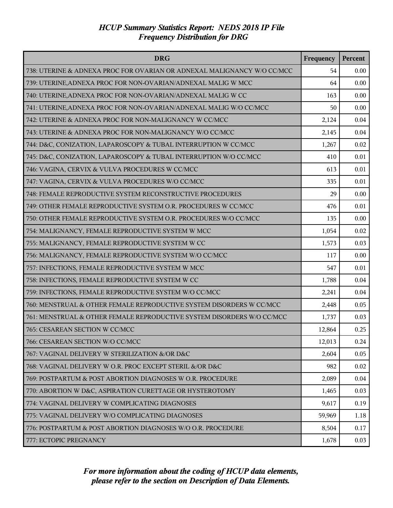| <b>DRG</b>                                                              | Frequency | Percent |
|-------------------------------------------------------------------------|-----------|---------|
| 738: UTERINE & ADNEXA PROC FOR OVARIAN OR ADNEXAL MALIGNANCY W/O CC/MCC | 54        | 0.00    |
| 739: UTERINE, ADNEXA PROC FOR NON-OVARIAN/ADNEXAL MALIG W MCC           | 64        | 0.00    |
| 740: UTERINE, ADNEXA PROC FOR NON-OVARIAN/ADNEXAL MALIG W CC            | 163       | 0.00    |
| 741: UTERINE, ADNEXA PROC FOR NON-OVARIAN/ADNEXAL MALIG W/O CC/MCC      | 50        | 0.00    |
| 742: UTERINE & ADNEXA PROC FOR NON-MALIGNANCY W CC/MCC                  | 2,124     | 0.04    |
| 743: UTERINE & ADNEXA PROC FOR NON-MALIGNANCY W/O CC/MCC                | 2,145     | 0.04    |
| 744: D&C, CONIZATION, LAPAROSCOPY & TUBAL INTERRUPTION W CC/MCC         | 1,267     | 0.02    |
| 745: D&C, CONIZATION, LAPAROSCOPY & TUBAL INTERRUPTION W/O CC/MCC       | 410       | 0.01    |
| 746: VAGINA, CERVIX & VULVA PROCEDURES W CC/MCC                         | 613       | 0.01    |
| 747: VAGINA, CERVIX & VULVA PROCEDURES W/O CC/MCC                       | 335       | 0.01    |
| 748: FEMALE REPRODUCTIVE SYSTEM RECONSTRUCTIVE PROCEDURES               | 29        | 0.00    |
| 749: OTHER FEMALE REPRODUCTIVE SYSTEM O.R. PROCEDURES W CC/MCC          | 476       | 0.01    |
| 750: OTHER FEMALE REPRODUCTIVE SYSTEM O.R. PROCEDURES W/O CC/MCC        | 135       | 0.00    |
| 754: MALIGNANCY, FEMALE REPRODUCTIVE SYSTEM W MCC                       | 1,054     | 0.02    |
| 755: MALIGNANCY, FEMALE REPRODUCTIVE SYSTEM W CC                        | 1,573     | 0.03    |
| 756: MALIGNANCY, FEMALE REPRODUCTIVE SYSTEM W/O CC/MCC                  | 117       | 0.00    |
| 757: INFECTIONS, FEMALE REPRODUCTIVE SYSTEM W MCC                       | 547       | 0.01    |
| 758: INFECTIONS, FEMALE REPRODUCTIVE SYSTEM W CC                        | 1,788     | 0.04    |
| 759: INFECTIONS, FEMALE REPRODUCTIVE SYSTEM W/O CC/MCC                  | 2,241     | 0.04    |
| 760: MENSTRUAL & OTHER FEMALE REPRODUCTIVE SYSTEM DISORDERS W CC/MCC    | 2,448     | 0.05    |
| 761: MENSTRUAL & OTHER FEMALE REPRODUCTIVE SYSTEM DISORDERS W/O CC/MCC  | 1,737     | 0.03    |
| 765: CESAREAN SECTION W CC/MCC                                          | 12,864    | 0.25    |
| 766: CESAREAN SECTION W/O CC/MCC                                        | 12,013    | 0.24    |
| 767: VAGINAL DELIVERY W STERILIZATION &/OR D&C                          | 2,604     | 0.05    |
| 768: VAGINAL DELIVERY W O.R. PROC EXCEPT STERIL &/OR D&C                | 982       | 0.02    |
| 769: POSTPARTUM & POST ABORTION DIAGNOSES W O.R. PROCEDURE              | 2,089     | 0.04    |
| 770: ABORTION W D&C, ASPIRATION CURETTAGE OR HYSTEROTOMY                | 1,465     | 0.03    |
| 774: VAGINAL DELIVERY W COMPLICATING DIAGNOSES                          | 9,617     | 0.19    |
| 775: VAGINAL DELIVERY W/O COMPLICATING DIAGNOSES                        | 59,969    | 1.18    |
| 776: POSTPARTUM & POST ABORTION DIAGNOSES W/O O.R. PROCEDURE            | 8,504     | 0.17    |
| 777: ECTOPIC PREGNANCY                                                  | 1,678     | 0.03    |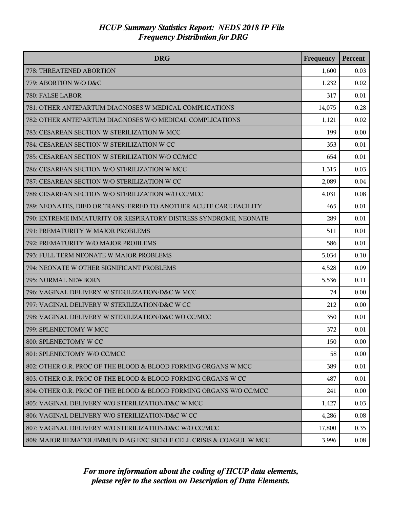| <b>DRG</b>                                                          | Frequency | Percent |
|---------------------------------------------------------------------|-----------|---------|
| 778: THREATENED ABORTION                                            | 1,600     | 0.03    |
| 779: ABORTION W/O D&C                                               | 1,232     | 0.02    |
| 780: FALSE LABOR                                                    | 317       | 0.01    |
| 781: OTHER ANTEPARTUM DIAGNOSES W MEDICAL COMPLICATIONS             | 14,075    | 0.28    |
| 782: OTHER ANTEPARTUM DIAGNOSES W/O MEDICAL COMPLICATIONS           | 1,121     | 0.02    |
| 783: CESAREAN SECTION W STERILIZATION W MCC                         | 199       | 0.00    |
| 784: CESAREAN SECTION W STERILIZATION W CC                          | 353       | 0.01    |
| 785: CESAREAN SECTION W STERILIZATION W/O CC/MCC                    | 654       | 0.01    |
| 786: CESAREAN SECTION W/O STERILIZATION W MCC                       | 1,315     | 0.03    |
| 787: CESAREAN SECTION W/O STERILIZATION W CC                        | 2,089     | 0.04    |
| 788: CESAREAN SECTION W/O STERILIZATION W/O CC/MCC                  | 4,031     | 0.08    |
| 789: NEONATES, DIED OR TRANSFERRED TO ANOTHER ACUTE CARE FACILITY   | 465       | 0.01    |
| 790: EXTREME IMMATURITY OR RESPIRATORY DISTRESS SYNDROME, NEONATE   | 289       | 0.01    |
| 791: PREMATURITY W MAJOR PROBLEMS                                   | 511       | 0.01    |
| 792: PREMATURITY W/O MAJOR PROBLEMS                                 | 586       | 0.01    |
| 793: FULL TERM NEONATE W MAJOR PROBLEMS                             | 5,034     | 0.10    |
| 794: NEONATE W OTHER SIGNIFICANT PROBLEMS                           | 4,528     | 0.09    |
| 795: NORMAL NEWBORN                                                 | 5,536     | 0.11    |
| 796: VAGINAL DELIVERY W STERILIZATION/D&C W MCC                     | 74        | 0.00    |
| 797: VAGINAL DELIVERY W STERILIZATION/D&C W CC                      | 212       | 0.00    |
| 798: VAGINAL DELIVERY W STERILIZATION/D&C WO CC/MCC                 | 350       | 0.01    |
| 799: SPLENECTOMY W MCC                                              | 372       | 0.01    |
| 800: SPLENECTOMY W CC                                               | 150       | 0.00    |
| 801: SPLENECTOMY W/O CC/MCC                                         | 58        | 0.00    |
| 802: OTHER O.R. PROC OF THE BLOOD & BLOOD FORMING ORGANS W MCC      | 389       | 0.01    |
| 803: OTHER O.R. PROC OF THE BLOOD & BLOOD FORMING ORGANS W CC       | 487       | 0.01    |
| 804: OTHER O.R. PROC OF THE BLOOD & BLOOD FORMING ORGANS W/O CC/MCC | 241       | 0.00    |
| 805: VAGINAL DELIVERY W/O STERILIZATION/D&C W MCC                   | 1,427     | 0.03    |
| 806: VAGINAL DELIVERY W/O STERILIZATION/D&C W CC                    | 4,286     | 0.08    |
| 807: VAGINAL DELIVERY W/O STERILIZATION/D&C W/O CC/MCC              | 17,800    | 0.35    |
| 808: MAJOR HEMATOL/IMMUN DIAG EXC SICKLE CELL CRISIS & COAGUL W MCC | 3,996     | 0.08    |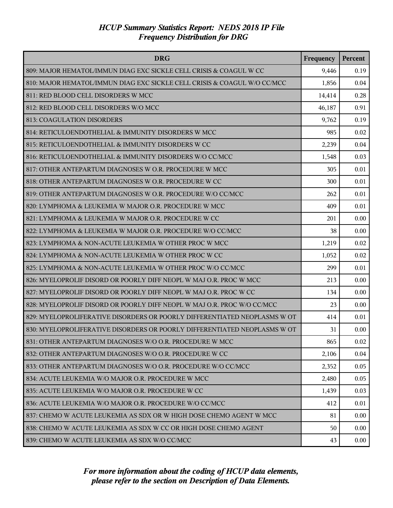| <b>DRG</b>                                                                | Frequency | Percent |
|---------------------------------------------------------------------------|-----------|---------|
| 809: MAJOR HEMATOL/IMMUN DIAG EXC SICKLE CELL CRISIS & COAGUL W CC        | 9,446     | 0.19    |
| 810: MAJOR HEMATOL/IMMUN DIAG EXC SICKLE CELL CRISIS & COAGUL W/O CC/MCC  | 1,856     | 0.04    |
| 811: RED BLOOD CELL DISORDERS W MCC                                       | 14,414    | 0.28    |
| 812: RED BLOOD CELL DISORDERS W/O MCC                                     | 46,187    | 0.91    |
| 813: COAGULATION DISORDERS                                                | 9,762     | 0.19    |
| 814: RETICULOENDOTHELIAL & IMMUNITY DISORDERS W MCC                       | 985       | 0.02    |
| 815: RETICULOENDOTHELIAL & IMMUNITY DISORDERS W CC                        | 2,239     | 0.04    |
| 816: RETICULOENDOTHELIAL & IMMUNITY DISORDERS W/O CC/MCC                  | 1,548     | 0.03    |
| 817: OTHER ANTEPARTUM DIAGNOSES W O.R. PROCEDURE W MCC                    | 305       | 0.01    |
| 818: OTHER ANTEPARTUM DIAGNOSES W O.R. PROCEDURE W CC                     | 300       | 0.01    |
| 819: OTHER ANTEPARTUM DIAGNOSES W O.R. PROCEDURE W/O CC/MCC               | 262       | 0.01    |
| 820: LYMPHOMA & LEUKEMIA W MAJOR O.R. PROCEDURE W MCC                     | 409       | 0.01    |
| 821: LYMPHOMA & LEUKEMIA W MAJOR O.R. PROCEDURE W CC                      | 201       | 0.00    |
| 822: LYMPHOMA & LEUKEMIA W MAJOR O.R. PROCEDURE W/O CC/MCC                | 38        | 0.00    |
| 823: LYMPHOMA & NON-ACUTE LEUKEMIA W OTHER PROC W MCC                     | 1,219     | 0.02    |
| 824: LYMPHOMA & NON-ACUTE LEUKEMIA W OTHER PROC W CC                      | 1,052     | 0.02    |
| 825: LYMPHOMA & NON-ACUTE LEUKEMIA W OTHER PROC W/O CC/MCC                | 299       | 0.01    |
| 826: MYELOPROLIF DISORD OR POORLY DIFF NEOPL W MAJ O.R. PROC W MCC        | 213       | 0.00    |
| 827: MYELOPROLIF DISORD OR POORLY DIFF NEOPL W MAJ O.R. PROC W CC         | 134       | 0.00    |
| 828: MYELOPROLIF DISORD OR POORLY DIFF NEOPL W MAJ O.R. PROC W/O CC/MCC   | 23        | 0.00    |
| 829: MYELOPROLIFERATIVE DISORDERS OR POORLY DIFFERENTIATED NEOPLASMS W OT | 414       | 0.01    |
| 830: MYELOPROLIFERATIVE DISORDERS OR POORLY DIFFERENTIATED NEOPLASMS W OT | 31        | 0.00    |
| 831: OTHER ANTEPARTUM DIAGNOSES W/O O.R. PROCEDURE W MCC                  | 865       | 0.02    |
| 832: OTHER ANTEPARTUM DIAGNOSES W/O O.R. PROCEDURE W CC                   | 2,106     | 0.04    |
| 833: OTHER ANTEPARTUM DIAGNOSES W/O O.R. PROCEDURE W/O CC/MCC             | 2,352     | 0.05    |
| 834: ACUTE LEUKEMIA W/O MAJOR O.R. PROCEDURE W MCC                        | 2,480     | 0.05    |
| 835: ACUTE LEUKEMIA W/O MAJOR O.R. PROCEDURE W CC                         | 1,439     | 0.03    |
| 836: ACUTE LEUKEMIA W/O MAJOR O.R. PROCEDURE W/O CC/MCC                   | 412       | 0.01    |
| 837: CHEMO W ACUTE LEUKEMIA AS SDX OR W HIGH DOSE CHEMO AGENT W MCC       | 81        | 0.00    |
| 838: CHEMO W ACUTE LEUKEMIA AS SDX W CC OR HIGH DOSE CHEMO AGENT          | 50        | 0.00    |
| 839: CHEMO W ACUTE LEUKEMIA AS SDX W/O CC/MCC                             | 43        | 0.00    |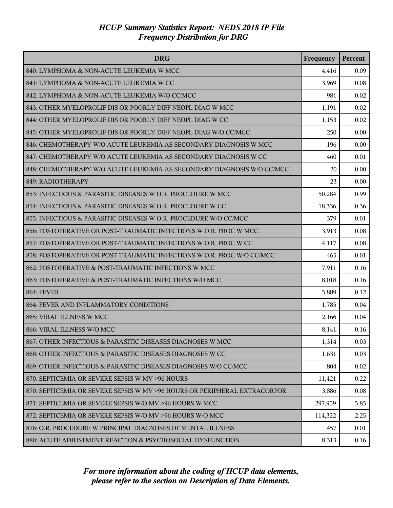| <b>DRG</b>                                                                | Frequency | Percent |
|---------------------------------------------------------------------------|-----------|---------|
| 840: LYMPHOMA & NON-ACUTE LEUKEMIA W MCC                                  | 4,416     | 0.09    |
| 841: LYMPHOMA & NON-ACUTE LEUKEMIA W CC                                   | 3,969     | 0.08    |
| 842: LYMPHOMA & NON-ACUTE LEUKEMIA W/O CC/MCC                             | 981       | 0.02    |
| 843: OTHER MYELOPROLIF DIS OR POORLY DIFF NEOPL DIAG W MCC                | 1,191     | 0.02    |
| 844: OTHER MYELOPROLIF DIS OR POORLY DIFF NEOPL DIAG W CC                 | 1,153     | 0.02    |
| 845: OTHER MYELOPROLIF DIS OR POORLY DIFF NEOPL DIAG W/O CC/MCC           | 250       | 0.00    |
| 846: CHEMOTHERAPY W/O ACUTE LEUKEMIA AS SECONDARY DIAGNOSIS W MCC         | 196       | 0.00    |
| 847: CHEMOTHERAPY W/O ACUTE LEUKEMIA AS SECONDARY DIAGNOSIS W CC          | 460       | 0.01    |
| 848: CHEMOTHERAPY W/O ACUTE LEUKEMIA AS SECONDARY DIAGNOSIS W/O CC/MCC    | 20        | 0.00    |
| 849: RADIOTHERAPY                                                         | 23        | 0.00    |
| 853: INFECTIOUS & PARASITIC DISEASES W O.R. PROCEDURE W MCC               | 50,284    | 0.99    |
| 854: INFECTIOUS & PARASITIC DISEASES W O.R. PROCEDURE W CC                | 18,336    | 0.36    |
| 855: INFECTIOUS & PARASITIC DISEASES W O.R. PROCEDURE W/O CC/MCC          | 379       | 0.01    |
| 856: POSTOPERATIVE OR POST-TRAUMATIC INFECTIONS W O.R. PROC W MCC         | 3,913     | 0.08    |
| 857: POSTOPERATIVE OR POST-TRAUMATIC INFECTIONS W O.R. PROC W CC          | 4,117     | 0.08    |
| 858: POSTOPERATIVE OR POST-TRAUMATIC INFECTIONS W O.R. PROC W/O CC/MCC    | 465       | 0.01    |
| 862: POSTOPERATIVE & POST-TRAUMATIC INFECTIONS W MCC                      | 7,911     | 0.16    |
| 863: POSTOPERATIVE & POST-TRAUMATIC INFECTIONS W/O MCC                    | 8,018     | 0.16    |
| <b>864: FEVER</b>                                                         | 5,889     | 0.12    |
| 864: FEVER AND INFLAMMATORY CONDITIONS                                    | 1,785     | 0.04    |
| 865: VIRAL ILLNESS W MCC                                                  | 2,166     | 0.04    |
| 866: VIRAL ILLNESS W/O MCC                                                | 8,141     | 0.16    |
| 867: OTHER INFECTIOUS & PARASITIC DISEASES DIAGNOSES W MCC                | 1,314     | 0.03    |
| 868: OTHER INFECTIOUS & PARASITIC DISEASES DIAGNOSES W CC                 | 1,631     | 0.03    |
| 869: OTHER INFECTIOUS & PARASITIC DISEASES DIAGNOSES W/O CC/MCC           | 804       | 0.02    |
| 870: SEPTICEMIA OR SEVERE SEPSIS W MV >96 HOURS                           | 11,421    | 0.22    |
| 870: SEPTICEMIA OR SEVERE SEPSIS W MV >96 HOURS OR PERIPHERAL EXTRACORPOR | 3,886     | 0.08    |
| 871: SEPTICEMIA OR SEVERE SEPSIS W/O MV >96 HOURS W MCC                   | 297,959   | 5.85    |
| 872: SEPTICEMIA OR SEVERE SEPSIS W/O MV >96 HOURS W/O MCC                 | 114,322   | 2.25    |
| 876: O.R. PROCEDURE W PRINCIPAL DIAGNOSES OF MENTAL ILLNESS               | 457       | 0.01    |
| 880: ACUTE ADJUSTMENT REACTION & PSYCHOSOCIAL DYSFUNCTION                 | 8,313     | 0.16    |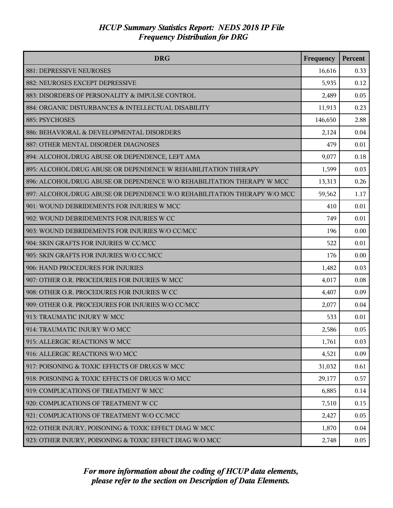| <b>DRG</b>                                                               | Frequency | Percent |
|--------------------------------------------------------------------------|-----------|---------|
| 881: DEPRESSIVE NEUROSES                                                 | 16,616    | 0.33    |
| 882: NEUROSES EXCEPT DEPRESSIVE                                          | 5,935     | 0.12    |
| 883: DISORDERS OF PERSONALITY & IMPULSE CONTROL                          | 2,489     | 0.05    |
| 884: ORGANIC DISTURBANCES & INTELLECTUAL DISABILITY                      | 11,913    | 0.23    |
| 885: PSYCHOSES                                                           | 146,650   | 2.88    |
| 886: BEHAVIORAL & DEVELOPMENTAL DISORDERS                                | 2,124     | 0.04    |
| 887: OTHER MENTAL DISORDER DIAGNOSES                                     | 479       | 0.01    |
| 894: ALCOHOL/DRUG ABUSE OR DEPENDENCE, LEFT AMA                          | 9,077     | 0.18    |
| 895: ALCOHOL/DRUG ABUSE OR DEPENDENCE W REHABILITATION THERAPY           | 1,599     | 0.03    |
| 896: ALCOHOL/DRUG ABUSE OR DEPENDENCE W/O REHABILITATION THERAPY W MCC   | 13,313    | 0.26    |
| 897: ALCOHOL/DRUG ABUSE OR DEPENDENCE W/O REHABILITATION THERAPY W/O MCC | 59,562    | 1.17    |
| 901: WOUND DEBRIDEMENTS FOR INJURIES W MCC                               | 410       | 0.01    |
| 902: WOUND DEBRIDEMENTS FOR INJURIES W CC                                | 749       | 0.01    |
| 903: WOUND DEBRIDEMENTS FOR INJURIES W/O CC/MCC                          | 196       | 0.00    |
| 904: SKIN GRAFTS FOR INJURIES W CC/MCC                                   | 522       | 0.01    |
| 905: SKIN GRAFTS FOR INJURIES W/O CC/MCC                                 | 176       | 0.00    |
| 906: HAND PROCEDURES FOR INJURIES                                        | 1,482     | 0.03    |
| 907: OTHER O.R. PROCEDURES FOR INJURIES W MCC                            | 4,017     | 0.08    |
| 908: OTHER O.R. PROCEDURES FOR INJURIES W CC                             | 4,407     | 0.09    |
| 909: OTHER O.R. PROCEDURES FOR INJURIES W/O CC/MCC                       | 2,077     | 0.04    |
| 913: TRAUMATIC INJURY W MCC                                              | 533       | 0.01    |
| 914: TRAUMATIC INJURY W/O MCC                                            | 2,586     | 0.05    |
| 915: ALLERGIC REACTIONS W MCC                                            | 1,761     | 0.03    |
| 916: ALLERGIC REACTIONS W/O MCC                                          | 4,521     | 0.09    |
| 917: POISONING & TOXIC EFFECTS OF DRUGS W MCC                            | 31,032    | 0.61    |
| 918: POISONING & TOXIC EFFECTS OF DRUGS W/O MCC                          | 29,177    | 0.57    |
| 919: COMPLICATIONS OF TREATMENT W MCC                                    | 6,885     | 0.14    |
| 920: COMPLICATIONS OF TREATMENT W CC                                     | 7,510     | 0.15    |
| 921: COMPLICATIONS OF TREATMENT W/O CC/MCC                               | 2,427     | 0.05    |
| 922: OTHER INJURY, POISONING & TOXIC EFFECT DIAG W MCC                   | 1,870     | 0.04    |
| 923: OTHER INJURY, POISONING & TOXIC EFFECT DIAG W/O MCC                 | 2,748     | 0.05    |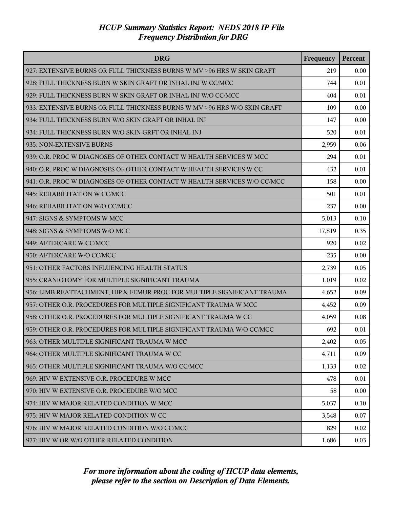| <b>DRG</b>                                                               | Frequency | Percent |
|--------------------------------------------------------------------------|-----------|---------|
| 927: EXTENSIVE BURNS OR FULL THICKNESS BURNS W MV >96 HRS W SKIN GRAFT   | 219       | 0.00    |
| 928: FULL THICKNESS BURN W SKIN GRAFT OR INHAL INJ W CC/MCC              | 744       | 0.01    |
| 929: FULL THICKNESS BURN W SKIN GRAFT OR INHAL INJ W/O CC/MCC            | 404       | 0.01    |
| 933: EXTENSIVE BURNS OR FULL THICKNESS BURNS W MV >96 HRS W/O SKIN GRAFT | 109       | 0.00    |
| 934: FULL THICKNESS BURN W/O SKIN GRAFT OR INHAL INJ                     | 147       | 0.00    |
| 934: FULL THICKNESS BURN W/O SKIN GRFT OR INHAL INJ                      | 520       | 0.01    |
| 935: NON-EXTENSIVE BURNS                                                 | 2,959     | 0.06    |
| 939: O.R. PROC W DIAGNOSES OF OTHER CONTACT W HEALTH SERVICES W MCC      | 294       | 0.01    |
| 940: O.R. PROC W DIAGNOSES OF OTHER CONTACT W HEALTH SERVICES W CC       | 432       | 0.01    |
| 941: O.R. PROC W DIAGNOSES OF OTHER CONTACT W HEALTH SERVICES W/O CC/MCC | 158       | 0.00    |
| 945: REHABILITATION W CC/MCC                                             | 501       | 0.01    |
| 946: REHABILITATION W/O CC/MCC                                           | 237       | 0.00    |
| 947: SIGNS & SYMPTOMS W MCC                                              | 5,013     | 0.10    |
| 948: SIGNS & SYMPTOMS W/O MCC                                            | 17,819    | 0.35    |
| 949: AFTERCARE W CC/MCC                                                  | 920       | 0.02    |
| 950: AFTERCARE W/O CC/MCC                                                | 235       | 0.00    |
| 951: OTHER FACTORS INFLUENCING HEALTH STATUS                             | 2,739     | 0.05    |
| 955: CRANIOTOMY FOR MULTIPLE SIGNIFICANT TRAUMA                          | 1,019     | 0.02    |
| 956: LIMB REATTACHMENT, HIP & FEMUR PROC FOR MULTIPLE SIGNIFICANT TRAUMA | 4,652     | 0.09    |
| 957: OTHER O.R. PROCEDURES FOR MULTIPLE SIGNIFICANT TRAUMA W MCC         | 4,452     | 0.09    |
| 958: OTHER O.R. PROCEDURES FOR MULTIPLE SIGNIFICANT TRAUMA W CC          | 4,059     | 0.08    |
| 959: OTHER O.R. PROCEDURES FOR MULTIPLE SIGNIFICANT TRAUMA W/O CC/MCC    | 692       | 0.01    |
| 963: OTHER MULTIPLE SIGNIFICANT TRAUMA W MCC                             | 2,402     | 0.05    |
| 964: OTHER MULTIPLE SIGNIFICANT TRAUMA W CC                              | 4,711     | 0.09    |
| 965: OTHER MULTIPLE SIGNIFICANT TRAUMA W/O CC/MCC                        | 1,133     | 0.02    |
| 969: HIV W EXTENSIVE O.R. PROCEDURE W MCC                                | 478       | 0.01    |
| 970: HIV W EXTENSIVE O.R. PROCEDURE W/O MCC                              | 58        | 0.00    |
| 974: HIV W MAJOR RELATED CONDITION W MCC                                 | 5,037     | 0.10    |
| 975: HIV W MAJOR RELATED CONDITION W CC                                  | 3,548     | 0.07    |
| 976: HIV W MAJOR RELATED CONDITION W/O CC/MCC                            | 829       | 0.02    |
| 977: HIV W OR W/O OTHER RELATED CONDITION                                | 1,686     | 0.03    |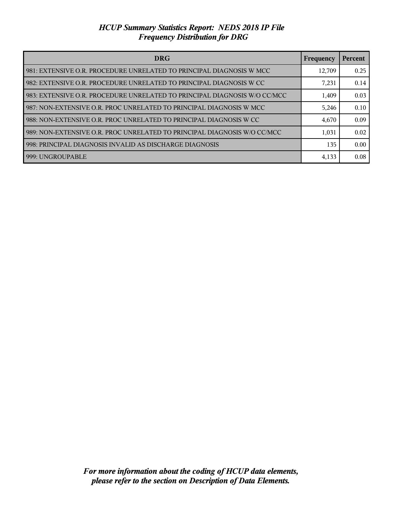| <b>DRG</b>                                                                  | Frequency | Percent |
|-----------------------------------------------------------------------------|-----------|---------|
| l 981: EXTENSIVE O.R. PROCEDURE UNRELATED TO PRINCIPAL DIAGNOSIS W MCC      | 12,709    | 0.25    |
| l 982: EXTENSIVE O.R. PROCEDURE UNRELATED TO PRINCIPAL DIAGNOSIS W CC       | 7,231     | 0.14    |
| I 983: EXTENSIVE O.R. PROCEDURE UNRELATED TO PRINCIPAL DIAGNOSIS W/O CC/MCC | 1,409     | 0.03    |
| l 987: NON-EXTENSIVE O.R. PROC UNRELATED TO PRINCIPAL DIAGNOSIS W MCC       | 5,246     | 0.10    |
| 988: NON-EXTENSIVE O.R. PROC UNRELATED TO PRINCIPAL DIAGNOSIS W CC          | 4,670     | 0.09    |
| l 989: NON-EXTENSIVE O.R. PROC UNRELATED TO PRINCIPAL DIAGNOSIS W/O CC/MCC  | 1,031     | 0.02    |
| 998: PRINCIPAL DIAGNOSIS INVALID AS DISCHARGE DIAGNOSIS                     | 135       | 0.00    |
| l 999: UNGROUPABLE                                                          | 4,133     | 0.08    |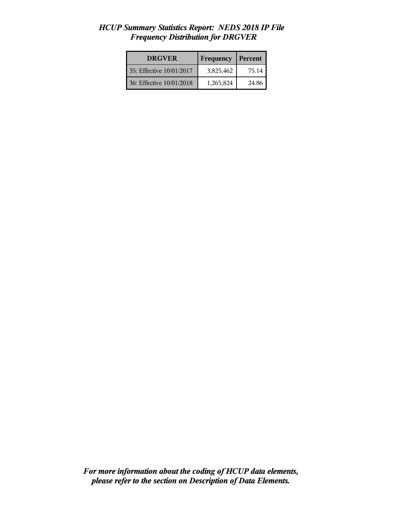| <b>DRGVER</b>            | Frequency | Percent |
|--------------------------|-----------|---------|
| 35: Effective 10/01/2017 | 3,825,462 | 75.14   |
| 36: Effective 10/01/2018 | 1,265,824 | 24.86   |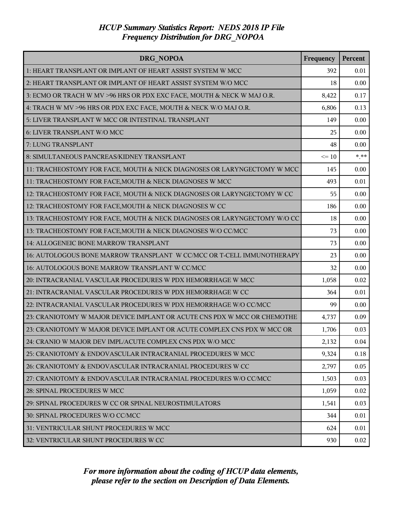| <b>DRG NOPOA</b>                                                         | Frequency | Percent |
|--------------------------------------------------------------------------|-----------|---------|
| 1: HEART TRANSPLANT OR IMPLANT OF HEART ASSIST SYSTEM W MCC              | 392       | 0.01    |
| 2: HEART TRANSPLANT OR IMPLANT OF HEART ASSIST SYSTEM W/O MCC            | 18        | 0.00    |
| 3: ECMO OR TRACH W MV >96 HRS OR PDX EXC FACE, MOUTH & NECK W MAJ O.R.   | 8,422     | 0.17    |
| 4: TRACH W MV >96 HRS OR PDX EXC FACE, MOUTH & NECK W/O MAJ O.R.         | 6,806     | 0.13    |
| 5: LIVER TRANSPLANT W MCC OR INTESTINAL TRANSPLANT                       | 149       | 0.00    |
| 6: LIVER TRANSPLANT W/O MCC                                              | 25        | 0.00    |
| 7: LUNG TRANSPLANT                                                       | 48        | 0.00    |
| 8: SIMULTANEOUS PANCREAS/KIDNEY TRANSPLANT                               | $\leq 10$ | $***$   |
| 11: TRACHEOSTOMY FOR FACE, MOUTH & NECK DIAGNOSES OR LARYNGECTOMY W MCC  | 145       | 0.00    |
| 11: TRACHEOSTOMY FOR FACE, MOUTH & NECK DIAGNOSES W MCC                  | 493       | 0.01    |
| 12: TRACHEOSTOMY FOR FACE, MOUTH & NECK DIAGNOSES OR LARYNGECTOMY W CC   | 55        | 0.00    |
| 12: TRACHEOSTOMY FOR FACE, MOUTH & NECK DIAGNOSES W CC                   | 186       | 0.00    |
| 13: TRACHEOSTOMY FOR FACE, MOUTH & NECK DIAGNOSES OR LARYNGECTOMY W/O CC | 18        | 0.00    |
| 13: TRACHEOSTOMY FOR FACE, MOUTH & NECK DIAGNOSES W/O CC/MCC             | 73        | 0.00    |
| 14: ALLOGENEIC BONE MARROW TRANSPLANT                                    | 73        | 0.00    |
| 16: AUTOLOGOUS BONE MARROW TRANSPLANT W CC/MCC OR T-CELL IMMUNOTHERAPY   | 23        | 0.00    |
| 16: AUTOLOGOUS BONE MARROW TRANSPLANT W CC/MCC                           | 32        | 0.00    |
| 20: INTRACRANIAL VASCULAR PROCEDURES W PDX HEMORRHAGE W MCC              | 1,058     | 0.02    |
| 21: INTRACRANIAL VASCULAR PROCEDURES W PDX HEMORRHAGE W CC               | 364       | 0.01    |
| 22: INTRACRANIAL VASCULAR PROCEDURES W PDX HEMORRHAGE W/O CC/MCC         | 99        | 0.00    |
| 23: CRANIOTOMY W MAJOR DEVICE IMPLANT OR ACUTE CNS PDX W MCC OR CHEMOTHE | 4,737     | 0.09    |
| 23: CRANIOTOMY W MAJOR DEVICE IMPLANT OR ACUTE COMPLEX CNS PDX W MCC OR  | 1,706     | 0.03    |
| 24: CRANIO W MAJOR DEV IMPL/ACUTE COMPLEX CNS PDX W/O MCC                | 2,132     | 0.04    |
| 25: CRANIOTOMY & ENDOVASCULAR INTRACRANIAL PROCEDURES W MCC              | 9,324     | 0.18    |
| 26: CRANIOTOMY & ENDOVASCULAR INTRACRANIAL PROCEDURES W CC               | 2,797     | 0.05    |
| 27: CRANIOTOMY & ENDOVASCULAR INTRACRANIAL PROCEDURES W/O CC/MCC         | 1,503     | 0.03    |
| 28: SPINAL PROCEDURES W MCC                                              | 1,059     | 0.02    |
| 29: SPINAL PROCEDURES W CC OR SPINAL NEUROSTIMULATORS                    | 1,541     | 0.03    |
| 30: SPINAL PROCEDURES W/O CC/MCC                                         | 344       | 0.01    |
| 31: VENTRICULAR SHUNT PROCEDURES W MCC                                   | 624       | 0.01    |
| 32: VENTRICULAR SHUNT PROCEDURES W CC                                    | 930       | 0.02    |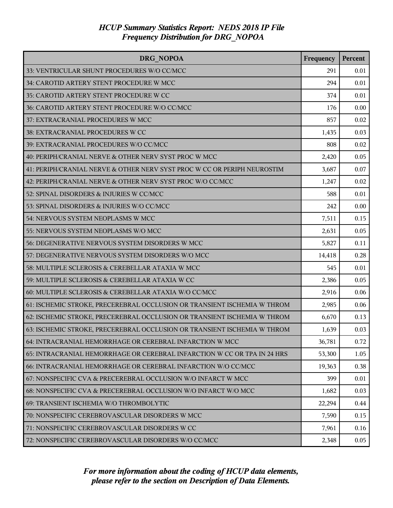| DRG NOPOA                                                                | Frequency | Percent |
|--------------------------------------------------------------------------|-----------|---------|
| 33: VENTRICULAR SHUNT PROCEDURES W/O CC/MCC                              | 291       | 0.01    |
| 34: CAROTID ARTERY STENT PROCEDURE W MCC                                 | 294       | 0.01    |
| 35: CAROTID ARTERY STENT PROCEDURE W CC                                  | 374       | 0.01    |
| 36: CAROTID ARTERY STENT PROCEDURE W/O CC/MCC                            | 176       | 0.00    |
| 37: EXTRACRANIAL PROCEDURES W MCC                                        | 857       | 0.02    |
| 38: EXTRACRANIAL PROCEDURES W CC                                         | 1,435     | 0.03    |
| 39: EXTRACRANIAL PROCEDURES W/O CC/MCC                                   | 808       | 0.02    |
| 40: PERIPH/CRANIAL NERVE & OTHER NERV SYST PROC W MCC                    | 2,420     | 0.05    |
| 41: PERIPH/CRANIAL NERVE & OTHER NERV SYST PROC W CC OR PERIPH NEUROSTIM | 3,687     | 0.07    |
| 42: PERIPH/CRANIAL NERVE & OTHER NERV SYST PROC W/O CC/MCC               | 1,247     | 0.02    |
| 52: SPINAL DISORDERS & INJURIES W CC/MCC                                 | 588       | 0.01    |
| 53: SPINAL DISORDERS & INJURIES W/O CC/MCC                               | 242       | 0.00    |
| 54: NERVOUS SYSTEM NEOPLASMS W MCC                                       | 7,511     | 0.15    |
| 55: NERVOUS SYSTEM NEOPLASMS W/O MCC                                     | 2,631     | 0.05    |
| 56: DEGENERATIVE NERVOUS SYSTEM DISORDERS W MCC                          | 5,827     | 0.11    |
| 57: DEGENERATIVE NERVOUS SYSTEM DISORDERS W/O MCC                        | 14,418    | 0.28    |
| 58: MULTIPLE SCLEROSIS & CEREBELLAR ATAXIA W MCC                         | 545       | 0.01    |
| 59: MULTIPLE SCLEROSIS & CEREBELLAR ATAXIA W CC                          | 2,386     | 0.05    |
| 60: MULTIPLE SCLEROSIS & CEREBELLAR ATAXIA W/O CC/MCC                    | 2,916     | 0.06    |
| 61: ISCHEMIC STROKE, PRECEREBRAL OCCLUSION OR TRANSIENT ISCHEMIA W THROM | 2,985     | 0.06    |
| 62: ISCHEMIC STROKE, PRECEREBRAL OCCLUSION OR TRANSIENT ISCHEMIA W THROM | 6,670     | 0.13    |
| 63: ISCHEMIC STROKE, PRECEREBRAL OCCLUSION OR TRANSIENT ISCHEMIA W THROM | 1,639     | 0.03    |
| 64: INTRACRANIAL HEMORRHAGE OR CEREBRAL INFARCTION W MCC                 | 36,781    | 0.72    |
| 65: INTRACRANIAL HEMORRHAGE OR CEREBRAL INFARCTION W CC OR TPA IN 24 HRS | 53,300    | 1.05    |
| 66: INTRACRANIAL HEMORRHAGE OR CEREBRAL INFARCTION W/O CC/MCC            | 19,363    | 0.38    |
| 67: NONSPECIFIC CVA & PRECEREBRAL OCCLUSION W/O INFARCT W MCC            | 399       | 0.01    |
| 68: NONSPECIFIC CVA & PRECEREBRAL OCCLUSION W/O INFARCT W/O MCC          | 1,682     | 0.03    |
| 69: TRANSIENT ISCHEMIA W/O THROMBOLYTIC                                  | 22,294    | 0.44    |
| 70: NONSPECIFIC CEREBROVASCULAR DISORDERS W MCC                          | 7,590     | 0.15    |
| 71: NONSPECIFIC CEREBROVASCULAR DISORDERS W CC                           | 7,961     | 0.16    |
| 72: NONSPECIFIC CEREBROVASCULAR DISORDERS W/O CC/MCC                     | 2,348     | 0.05    |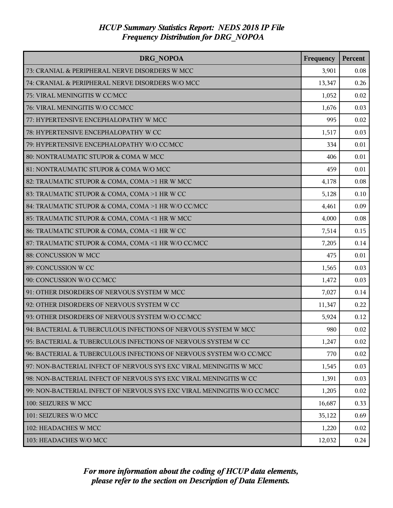| DRG NOPOA                                                               | Frequency | Percent |
|-------------------------------------------------------------------------|-----------|---------|
| 73: CRANIAL & PERIPHERAL NERVE DISORDERS W MCC                          | 3,901     | 0.08    |
| 74: CRANIAL & PERIPHERAL NERVE DISORDERS W/O MCC                        | 13,347    | 0.26    |
| 75: VIRAL MENINGITIS W CC/MCC                                           | 1,052     | 0.02    |
| 76: VIRAL MENINGITIS W/O CC/MCC                                         | 1,676     | 0.03    |
| 77: HYPERTENSIVE ENCEPHALOPATHY W MCC                                   | 995       | 0.02    |
| 78: HYPERTENSIVE ENCEPHALOPATHY W CC                                    | 1,517     | 0.03    |
| 79: HYPERTENSIVE ENCEPHALOPATHY W/O CC/MCC                              | 334       | 0.01    |
| 80: NONTRAUMATIC STUPOR & COMA W MCC                                    | 406       | 0.01    |
| 81: NONTRAUMATIC STUPOR & COMA W/O MCC                                  | 459       | 0.01    |
| 82: TRAUMATIC STUPOR & COMA, COMA >1 HR W MCC                           | 4,178     | 0.08    |
| 83: TRAUMATIC STUPOR & COMA, COMA >1 HR W CC                            | 5,128     | 0.10    |
| 84: TRAUMATIC STUPOR & COMA, COMA >1 HR W/O CC/MCC                      | 4,461     | 0.09    |
| 85: TRAUMATIC STUPOR & COMA, COMA <1 HR W MCC                           | 4,000     | 0.08    |
| 86: TRAUMATIC STUPOR & COMA, COMA <1 HR W CC                            | 7,514     | 0.15    |
| 87: TRAUMATIC STUPOR & COMA, COMA <1 HR W/O CC/MCC                      | 7,205     | 0.14    |
| 88: CONCUSSION W MCC                                                    | 475       | 0.01    |
| 89: CONCUSSION W CC                                                     | 1,565     | 0.03    |
| 90: CONCUSSION W/O CC/MCC                                               | 1,472     | 0.03    |
| 91: OTHER DISORDERS OF NERVOUS SYSTEM W MCC                             | 7,027     | 0.14    |
| 92: OTHER DISORDERS OF NERVOUS SYSTEM W CC                              | 11,347    | 0.22    |
| 93: OTHER DISORDERS OF NERVOUS SYSTEM W/O CC/MCC                        | 5,924     | 0.12    |
| 94: BACTERIAL & TUBERCULOUS INFECTIONS OF NERVOUS SYSTEM W MCC          | 980       | 0.02    |
| 95: BACTERIAL & TUBERCULOUS INFECTIONS OF NERVOUS SYSTEM W CC           | 1,247     | 0.02    |
| 96: BACTERIAL & TUBERCULOUS INFECTIONS OF NERVOUS SYSTEM W/O CC/MCC     | 770       | 0.02    |
| 97: NON-BACTERIAL INFECT OF NERVOUS SYS EXC VIRAL MENINGITIS W MCC      | 1,545     | 0.03    |
| 98: NON-BACTERIAL INFECT OF NERVOUS SYS EXC VIRAL MENINGITIS W CC       | 1,391     | 0.03    |
| 99: NON-BACTERIAL INFECT OF NERVOUS SYS EXC VIRAL MENINGITIS W/O CC/MCC | 1,205     | 0.02    |
| 100: SEIZURES W MCC                                                     | 16,687    | 0.33    |
| 101: SEIZURES W/O MCC                                                   | 35,122    | 0.69    |
| 102: HEADACHES W MCC                                                    | 1,220     | 0.02    |
| 103: HEADACHES W/O MCC                                                  | 12,032    | 0.24    |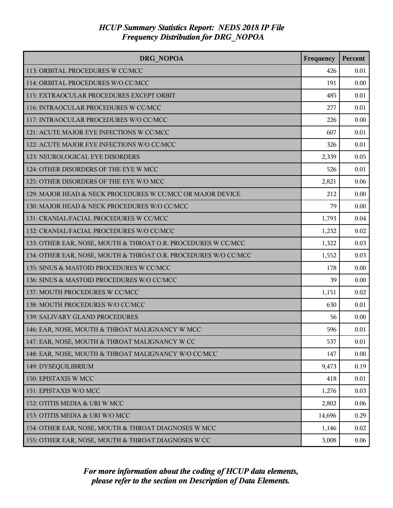| DRG NOPOA                                                       | Frequency | Percent |
|-----------------------------------------------------------------|-----------|---------|
| 113: ORBITAL PROCEDURES W CC/MCC                                | 426       | 0.01    |
| 114: ORBITAL PROCEDURES W/O CC/MCC                              | 191       | 0.00    |
| 115: EXTRAOCULAR PROCEDURES EXCEPT ORBIT                        | 485       | 0.01    |
| 116: INTRAOCULAR PROCEDURES W CC/MCC                            | 277       | 0.01    |
| 117: INTRAOCULAR PROCEDURES W/O CC/MCC                          | 226       | 0.00    |
| 121: ACUTE MAJOR EYE INFECTIONS W CC/MCC                        | 607       | 0.01    |
| 122: ACUTE MAJOR EYE INFECTIONS W/O CC/MCC                      | 326       | 0.01    |
| 123: NEUROLOGICAL EYE DISORDERS                                 | 2,339     | 0.05    |
| 124: OTHER DISORDERS OF THE EYE W MCC                           | 526       | 0.01    |
| 125: OTHER DISORDERS OF THE EYE W/O MCC                         | 2,821     | 0.06    |
| 129: MAJOR HEAD & NECK PROCEDURES W CC/MCC OR MAJOR DEVICE      | 212       | 0.00    |
| 130: MAJOR HEAD & NECK PROCEDURES W/O CC/MCC                    | 79        | 0.00    |
| 131: CRANIAL/FACIAL PROCEDURES W CC/MCC                         | 1,793     | 0.04    |
| 132: CRANIAL/FACIAL PROCEDURES W/O CC/MCC                       | 1,232     | 0.02    |
| 133: OTHER EAR, NOSE, MOUTH & THROAT O.R. PROCEDURES W CC/MCC   | 1,322     | 0.03    |
| 134: OTHER EAR, NOSE, MOUTH & THROAT O.R. PROCEDURES W/O CC/MCC | 1,552     | 0.03    |
| 135: SINUS & MASTOID PROCEDURES W CC/MCC                        | 178       | 0.00    |
| 136: SINUS & MASTOID PROCEDURES W/O CC/MCC                      | 39        | 0.00    |
| 137: MOUTH PROCEDURES W CC/MCC                                  | 1,151     | 0.02    |
| 138: MOUTH PROCEDURES W/O CC/MCC                                | 630       | 0.01    |
| 139: SALIVARY GLAND PROCEDURES                                  | 56        | 0.00    |
| 146: EAR, NOSE, MOUTH & THROAT MALIGNANCY W MCC                 | 596       | 0.01    |
| 147: EAR, NOSE, MOUTH & THROAT MALIGNANCY W CC                  | 537       | 0.01    |
| 148: EAR, NOSE, MOUTH & THROAT MALIGNANCY W/O CC/MCC            | 147       | 0.00    |
| 149: DYSEQUILIBRIUM                                             | 9,473     | 0.19    |
| 150: EPISTAXIS W MCC                                            | 418       | 0.01    |
| 151: EPISTAXIS W/O MCC                                          | 1,276     | 0.03    |
| 152: OTITIS MEDIA & URI W MCC                                   | 2,802     | 0.06    |
| 153: OTITIS MEDIA & URI W/O MCC                                 | 14,696    | 0.29    |
| 154: OTHER EAR, NOSE, MOUTH & THROAT DIAGNOSES W MCC            | 1,146     | 0.02    |
| 155: OTHER EAR, NOSE, MOUTH & THROAT DIAGNOSES W CC             | 3,008     | 0.06    |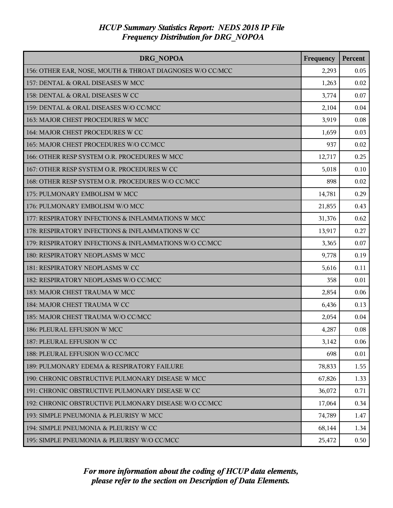| DRG NOPOA                                                 | Frequency | Percent |
|-----------------------------------------------------------|-----------|---------|
| 156: OTHER EAR, NOSE, MOUTH & THROAT DIAGNOSES W/O CC/MCC | 2,293     | 0.05    |
| 157: DENTAL & ORAL DISEASES W MCC                         | 1,263     | 0.02    |
| 158: DENTAL & ORAL DISEASES W CC                          | 3,774     | 0.07    |
| 159: DENTAL & ORAL DISEASES W/O CC/MCC                    | 2,104     | 0.04    |
| 163: MAJOR CHEST PROCEDURES W MCC                         | 3,919     | 0.08    |
| 164: MAJOR CHEST PROCEDURES W CC                          | 1,659     | 0.03    |
| 165: MAJOR CHEST PROCEDURES W/O CC/MCC                    | 937       | 0.02    |
| 166: OTHER RESP SYSTEM O.R. PROCEDURES W MCC              | 12,717    | 0.25    |
| 167: OTHER RESP SYSTEM O.R. PROCEDURES W CC               | 5,018     | 0.10    |
| 168: OTHER RESP SYSTEM O.R. PROCEDURES W/O CC/MCC         | 898       | 0.02    |
| 175: PULMONARY EMBOLISM W MCC                             | 14,781    | 0.29    |
| 176: PULMONARY EMBOLISM W/O MCC                           | 21,855    | 0.43    |
| 177: RESPIRATORY INFECTIONS & INFLAMMATIONS W MCC         | 31,376    | 0.62    |
| 178: RESPIRATORY INFECTIONS & INFLAMMATIONS W CC          | 13,917    | 0.27    |
| 179: RESPIRATORY INFECTIONS & INFLAMMATIONS W/O CC/MCC    | 3,365     | 0.07    |
| 180: RESPIRATORY NEOPLASMS W MCC                          | 9,778     | 0.19    |
| 181: RESPIRATORY NEOPLASMS W CC                           | 5,616     | 0.11    |
| 182: RESPIRATORY NEOPLASMS W/O CC/MCC                     | 358       | 0.01    |
| 183: MAJOR CHEST TRAUMA W MCC                             | 2,854     | 0.06    |
| 184: MAJOR CHEST TRAUMA W CC                              | 6,436     | 0.13    |
| 185: MAJOR CHEST TRAUMA W/O CC/MCC                        | 2,054     | 0.04    |
| 186: PLEURAL EFFUSION W MCC                               | 4,287     | 0.08    |
| 187: PLEURAL EFFUSION W CC                                | 3,142     | 0.06    |
| 188: PLEURAL EFFUSION W/O CC/MCC                          | 698       | 0.01    |
| 189: PULMONARY EDEMA & RESPIRATORY FAILURE                | 78,833    | 1.55    |
| 190: CHRONIC OBSTRUCTIVE PULMONARY DISEASE W MCC          | 67,826    | 1.33    |
| 191: CHRONIC OBSTRUCTIVE PULMONARY DISEASE W CC           | 36,072    | 0.71    |
| 192: CHRONIC OBSTRUCTIVE PULMONARY DISEASE W/O CC/MCC     | 17,064    | 0.34    |
| 193: SIMPLE PNEUMONIA & PLEURISY W MCC                    | 74,789    | 1.47    |
| 194: SIMPLE PNEUMONIA & PLEURISY W CC                     | 68,144    | 1.34    |
| 195: SIMPLE PNEUMONIA & PLEURISY W/O CC/MCC               | 25,472    | 0.50    |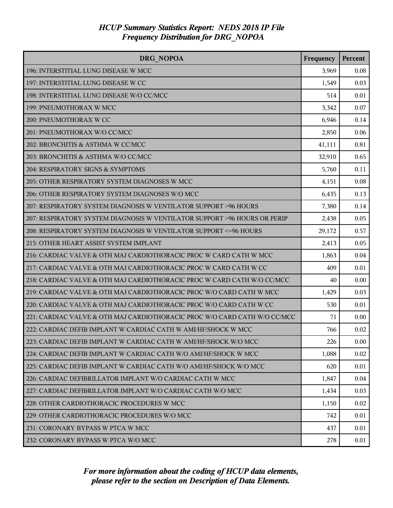| DRG NOPOA                                                                 | Frequency | Percent |
|---------------------------------------------------------------------------|-----------|---------|
| 196: INTERSTITIAL LUNG DISEASE W MCC                                      | 3,969     | 0.08    |
| 197: INTERSTITIAL LUNG DISEASE W CC                                       | 1,549     | 0.03    |
| 198: INTERSTITIAL LUNG DISEASE W/O CC/MCC                                 | 514       | 0.01    |
| 199: PNEUMOTHORAX W MCC                                                   | 3,342     | 0.07    |
| 200: PNEUMOTHORAX W CC                                                    | 6,946     | 0.14    |
| 201: PNEUMOTHORAX W/O CC/MCC                                              | 2,850     | 0.06    |
| 202: BRONCHITIS & ASTHMA W CC/MCC                                         | 41,111    | 0.81    |
| 203: BRONCHITIS & ASTHMA W/O CC/MCC                                       | 32,910    | 0.65    |
| 204: RESPIRATORY SIGNS & SYMPTOMS                                         | 5,760     | 0.11    |
| 205: OTHER RESPIRATORY SYSTEM DIAGNOSES W MCC                             | 4,151     | 0.08    |
| 206: OTHER RESPIRATORY SYSTEM DIAGNOSES W/O MCC                           | 6,435     | 0.13    |
| 207: RESPIRATORY SYSTEM DIAGNOSIS W VENTILATOR SUPPORT >96 HOURS          | 7,380     | 0.14    |
| 207: RESPIRATORY SYSTEM DIAGNOSIS W VENTILATOR SUPPORT >96 HOURS OR PERIP | 2,438     | 0.05    |
| 208: RESPIRATORY SYSTEM DIAGNOSIS W VENTILATOR SUPPORT <= 96 HOURS        | 29,172    | 0.57    |
| 215: OTHER HEART ASSIST SYSTEM IMPLANT                                    | 2,413     | 0.05    |
| 216: CARDIAC VALVE & OTH MAJ CARDIOTHORACIC PROC W CARD CATH W MCC        | 1,863     | 0.04    |
| 217: CARDIAC VALVE & OTH MAJ CARDIOTHORACIC PROC W CARD CATH W CC         | 409       | 0.01    |
| 218: CARDIAC VALVE & OTH MAJ CARDIOTHORACIC PROC W CARD CATH W/O CC/MCC   | 40        | 0.00    |
| 219: CARDIAC VALVE & OTH MAJ CARDIOTHORACIC PROC W/O CARD CATH W MCC      | 1,429     | 0.03    |
| 220: CARDIAC VALVE & OTH MAJ CARDIOTHORACIC PROC W/O CARD CATH W CC       | 530       | 0.01    |
| 221: CARDIAC VALVE & OTH MAJ CARDIOTHORACIC PROC W/O CARD CATH W/O CC/MCC | 71        | 0.00    |
| 222: CARDIAC DEFIB IMPLANT W CARDIAC CATH W AMI/HF/SHOCK W MCC            | 766       | 0.02    |
| 223: CARDIAC DEFIB IMPLANT W CARDIAC CATH W AMI/HF/SHOCK W/O MCC          | 226       | 0.00    |
| 224: CARDIAC DEFIB IMPLANT W CARDIAC CATH W/O AMI/HF/SHOCK W MCC          | 1,088     | 0.02    |
| 225: CARDIAC DEFIB IMPLANT W CARDIAC CATH W/O AMI/HF/SHOCK W/O MCC        | 620       | 0.01    |
| 226: CARDIAC DEFIBRILLATOR IMPLANT W/O CARDIAC CATH W MCC                 | 1,847     | 0.04    |
| 227: CARDIAC DEFIBRILLATOR IMPLANT W/O CARDIAC CATH W/O MCC               | 1,434     | 0.03    |
| 228: OTHER CARDIOTHORACIC PROCEDURES W MCC                                | 1,150     | 0.02    |
| 229: OTHER CARDIOTHORACIC PROCEDURES W/O MCC                              | 742       | 0.01    |
| 231: CORONARY BYPASS W PTCA W MCC                                         | 437       | 0.01    |
| 232: CORONARY BYPASS W PTCA W/O MCC                                       | 278       | 0.01    |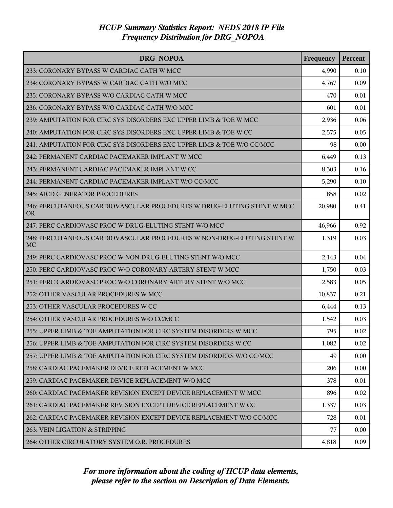| <b>DRG NOPOA</b>                                                                    | Frequency | Percent |
|-------------------------------------------------------------------------------------|-----------|---------|
| 233: CORONARY BYPASS W CARDIAC CATH W MCC                                           | 4,990     | 0.10    |
| 234: CORONARY BYPASS W CARDIAC CATH W/O MCC                                         | 4,767     | 0.09    |
| 235: CORONARY BYPASS W/O CARDIAC CATH W MCC                                         | 470       | 0.01    |
| 236: CORONARY BYPASS W/O CARDIAC CATH W/O MCC                                       | 601       | 0.01    |
| 239: AMPUTATION FOR CIRC SYS DISORDERS EXC UPPER LIMB & TOE W MCC                   | 2,936     | 0.06    |
| 240: AMPUTATION FOR CIRC SYS DISORDERS EXC UPPER LIMB & TOE W CC                    | 2,575     | 0.05    |
| 241: AMPUTATION FOR CIRC SYS DISORDERS EXC UPPER LIMB & TOE W/O CC/MCC              | 98        | 0.00    |
| 242: PERMANENT CARDIAC PACEMAKER IMPLANT W MCC                                      | 6,449     | 0.13    |
| 243: PERMANENT CARDIAC PACEMAKER IMPLANT W CC                                       | 8,303     | 0.16    |
| 244: PERMANENT CARDIAC PACEMAKER IMPLANT W/O CC/MCC                                 | 5,290     | 0.10    |
| <b>245: AICD GENERATOR PROCEDURES</b>                                               | 858       | 0.02    |
| 246: PERCUTANEOUS CARDIOVASCULAR PROCEDURES W DRUG-ELUTING STENT W MCC<br><b>OR</b> | 20,980    | 0.41    |
| 247: PERC CARDIOVASC PROC W DRUG-ELUTING STENT W/O MCC                              | 46,966    | 0.92    |
| 248: PERCUTANEOUS CARDIOVASCULAR PROCEDURES W NON-DRUG-ELUTING STENT W<br>MC        | 1,319     | 0.03    |
| 249: PERC CARDIOVASC PROC W NON-DRUG-ELUTING STENT W/O MCC                          | 2,143     | 0.04    |
| 250: PERC CARDIOVASC PROC W/O CORONARY ARTERY STENT W MCC                           | 1,750     | 0.03    |
| 251: PERC CARDIOVASC PROC W/O CORONARY ARTERY STENT W/O MCC                         | 2,583     | 0.05    |
| 252: OTHER VASCULAR PROCEDURES W MCC                                                | 10,837    | 0.21    |
| 253: OTHER VASCULAR PROCEDURES W CC                                                 | 6,444     | 0.13    |
| 254: OTHER VASCULAR PROCEDURES W/O CC/MCC                                           | 1,542     | 0.03    |
| 255: UPPER LIMB & TOE AMPUTATION FOR CIRC SYSTEM DISORDERS W MCC                    | 795       | 0.02    |
| 256: UPPER LIMB & TOE AMPUTATION FOR CIRC SYSTEM DISORDERS W CC                     | 1,082     | 0.02    |
| 257: UPPER LIMB & TOE AMPUTATION FOR CIRC SYSTEM DISORDERS W/O CC/MCC               | 49        | 0.00    |
| 258: CARDIAC PACEMAKER DEVICE REPLACEMENT W MCC                                     | 206       | 0.00    |
| 259: CARDIAC PACEMAKER DEVICE REPLACEMENT W/O MCC                                   | 378       | 0.01    |
| 260: CARDIAC PACEMAKER REVISION EXCEPT DEVICE REPLACEMENT W MCC                     | 896       | 0.02    |
| 261: CARDIAC PACEMAKER REVISION EXCEPT DEVICE REPLACEMENT W CC                      | 1,337     | 0.03    |
| 262: CARDIAC PACEMAKER REVISION EXCEPT DEVICE REPLACEMENT W/O CC/MCC                | 728       | 0.01    |
| 263: VEIN LIGATION & STRIPPING                                                      | 77        | 0.00    |
| 264: OTHER CIRCULATORY SYSTEM O.R. PROCEDURES                                       | 4,818     | 0.09    |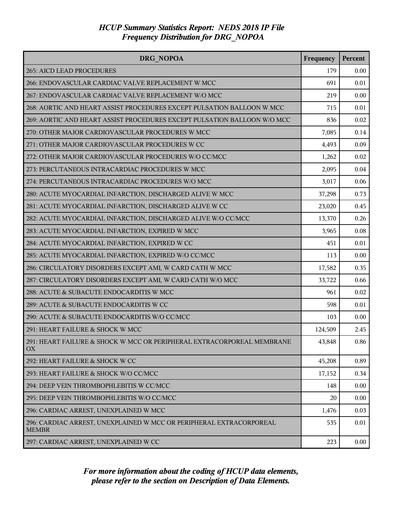| <b>DRG NOPOA</b>                                                                    | Frequency | Percent |
|-------------------------------------------------------------------------------------|-----------|---------|
| <b>265: AICD LEAD PROCEDURES</b>                                                    | 179       | 0.00    |
| 266: ENDOVASCULAR CARDIAC VALVE REPLACEMENT W MCC                                   | 691       | 0.01    |
| 267: ENDOVASCULAR CARDIAC VALVE REPLACEMENT W/O MCC                                 | 219       | 0.00    |
| 268: AORTIC AND HEART ASSIST PROCEDURES EXCEPT PULSATION BALLOON W MCC              | 715       | 0.01    |
| 269: AORTIC AND HEART ASSIST PROCEDURES EXCEPT PULSATION BALLOON W/O MCC            | 836       | 0.02    |
| 270: OTHER MAJOR CARDIOVASCULAR PROCEDURES W MCC                                    | 7,085     | 0.14    |
| 271: OTHER MAJOR CARDIOVASCULAR PROCEDURES W CC                                     | 4,493     | 0.09    |
| 272: OTHER MAJOR CARDIOVASCULAR PROCEDURES W/O CC/MCC                               | 1,262     | 0.02    |
| 273: PERCUTANEOUS INTRACARDIAC PROCEDURES W MCC                                     | 2,095     | 0.04    |
| 274: PERCUTANEOUS INTRACARDIAC PROCEDURES W/O MCC                                   | 3,017     | 0.06    |
| 280: ACUTE MYOCARDIAL INFARCTION, DISCHARGED ALIVE W MCC                            | 37,298    | 0.73    |
| 281: ACUTE MYOCARDIAL INFARCTION, DISCHARGED ALIVE W CC                             | 23,020    | 0.45    |
| 282: ACUTE MYOCARDIAL INFARCTION, DISCHARGED ALIVE W/O CC/MCC                       | 13,370    | 0.26    |
| 283: ACUTE MYOCARDIAL INFARCTION, EXPIRED W MCC                                     | 3,965     | 0.08    |
| 284: ACUTE MYOCARDIAL INFARCTION, EXPIRED W CC                                      | 451       | 0.01    |
| 285: ACUTE MYOCARDIAL INFARCTION, EXPIRED W/O CC/MCC                                | 113       | 0.00    |
| 286: CIRCULATORY DISORDERS EXCEPT AMI, W CARD CATH W MCC                            | 17,582    | 0.35    |
| 287: CIRCULATORY DISORDERS EXCEPT AMI, W CARD CATH W/O MCC                          | 33,722    | 0.66    |
| 288: ACUTE & SUBACUTE ENDOCARDITIS W MCC                                            | 961       | 0.02    |
| 289: ACUTE & SUBACUTE ENDOCARDITIS W CC                                             | 598       | 0.01    |
| 290: ACUTE & SUBACUTE ENDOCARDITIS W/O CC/MCC                                       | 103       | 0.00    |
| 291: HEART FAILURE & SHOCK W MCC                                                    | 124,509   | 2.45    |
| 291: HEART FAILURE & SHOCK W MCC OR PERIPHERAL EXTRACORPOREAL MEMBRANE<br>OX        | 43,848    | 0.86    |
| 292: HEART FAILURE & SHOCK W CC                                                     | 45,208    | 0.89    |
| 293: HEART FAILURE & SHOCK W/O CC/MCC                                               | 17,152    | 0.34    |
| 294: DEEP VEIN THROMBOPHLEBITIS W CC/MCC                                            | 148       | 0.00    |
| 295: DEEP VEIN THROMBOPHLEBITIS W/O CC/MCC                                          | 20        | 0.00    |
| 296: CARDIAC ARREST, UNEXPLAINED W MCC                                              | 1,476     | 0.03    |
| 296: CARDIAC ARREST, UNEXPLAINED W MCC OR PERIPHERAL EXTRACORPOREAL<br><b>MEMBR</b> | 535       | 0.01    |
| 297: CARDIAC ARREST, UNEXPLAINED W CC                                               | 223       | 0.00    |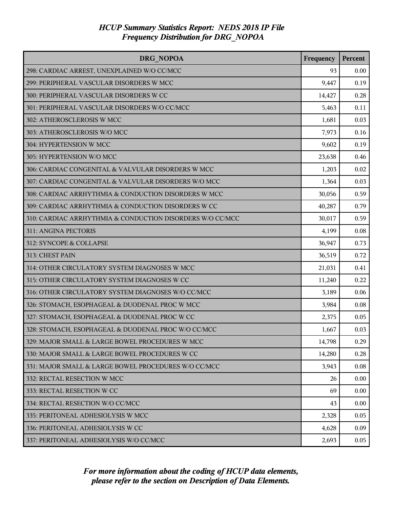| DRG NOPOA                                                 | Frequency | Percent |
|-----------------------------------------------------------|-----------|---------|
| 298: CARDIAC ARREST, UNEXPLAINED W/O CC/MCC               | 93        | 0.00    |
| 299: PERIPHERAL VASCULAR DISORDERS W MCC                  | 9,447     | 0.19    |
| 300: PERIPHERAL VASCULAR DISORDERS W CC                   | 14,427    | 0.28    |
| 301: PERIPHERAL VASCULAR DISORDERS W/O CC/MCC             | 5,463     | 0.11    |
| 302: ATHEROSCLEROSIS W MCC                                | 1,681     | 0.03    |
| 303: ATHEROSCLEROSIS W/O MCC                              | 7,973     | 0.16    |
| 304: HYPERTENSION W MCC                                   | 9,602     | 0.19    |
| 305: HYPERTENSION W/O MCC                                 | 23,638    | 0.46    |
| 306: CARDIAC CONGENITAL & VALVULAR DISORDERS W MCC        | 1,203     | 0.02    |
| 307: CARDIAC CONGENITAL & VALVULAR DISORDERS W/O MCC      | 1,364     | 0.03    |
| 308: CARDIAC ARRHYTHMIA & CONDUCTION DISORDERS W MCC      | 30,056    | 0.59    |
| 309: CARDIAC ARRHYTHMIA & CONDUCTION DISORDERS W CC       | 40,287    | 0.79    |
| 310: CARDIAC ARRHYTHMIA & CONDUCTION DISORDERS W/O CC/MCC | 30,017    | 0.59    |
| 311: ANGINA PECTORIS                                      | 4,199     | 0.08    |
| 312: SYNCOPE & COLLAPSE                                   | 36,947    | 0.73    |
| 313: CHEST PAIN                                           | 36,519    | 0.72    |
| 314: OTHER CIRCULATORY SYSTEM DIAGNOSES W MCC             | 21,031    | 0.41    |
| 315: OTHER CIRCULATORY SYSTEM DIAGNOSES W CC              | 11,240    | 0.22    |
| 316: OTHER CIRCULATORY SYSTEM DIAGNOSES W/O CC/MCC        | 3,189     | 0.06    |
| 326: STOMACH, ESOPHAGEAL & DUODENAL PROC W MCC            | 3,984     | 0.08    |
| 327: STOMACH, ESOPHAGEAL & DUODENAL PROC W CC             | 2,375     | 0.05    |
| 328: STOMACH, ESOPHAGEAL & DUODENAL PROC W/O CC/MCC       | 1,667     | 0.03    |
| 329: MAJOR SMALL & LARGE BOWEL PROCEDURES W MCC           | 14,798    | 0.29    |
| 330: MAJOR SMALL & LARGE BOWEL PROCEDURES W CC            | 14,280    | 0.28    |
| 331: MAJOR SMALL & LARGE BOWEL PROCEDURES W/O CC/MCC      | 3,943     | 0.08    |
| 332: RECTAL RESECTION W MCC                               | 26        | 0.00    |
| 333: RECTAL RESECTION W CC                                | 69        | 0.00    |
| 334: RECTAL RESECTION W/O CC/MCC                          | 43        | 0.00    |
| 335: PERITONEAL ADHESIOLYSIS W MCC                        | 2,328     | 0.05    |
| 336: PERITONEAL ADHESIOLYSIS W CC                         | 4,628     | 0.09    |
| 337: PERITONEAL ADHESIOLYSIS W/O CC/MCC                   | 2,693     | 0.05    |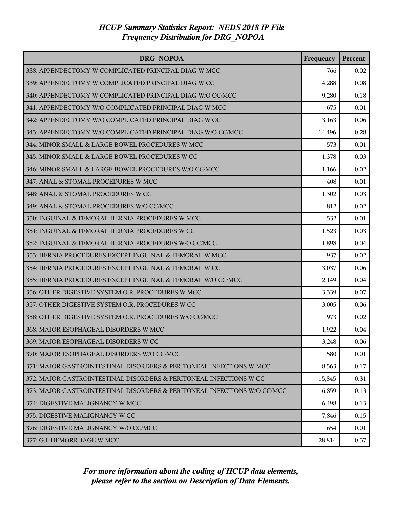| <b>DRG NOPOA</b>                                                         | Frequency | Percent |
|--------------------------------------------------------------------------|-----------|---------|
| 338: APPENDECTOMY W COMPLICATED PRINCIPAL DIAG W MCC                     | 766       | 0.02    |
| 339: APPENDECTOMY W COMPLICATED PRINCIPAL DIAG W CC                      | 4,288     | 0.08    |
| 340: APPENDECTOMY W COMPLICATED PRINCIPAL DIAG W/O CC/MCC                | 9,280     | 0.18    |
| 341: APPENDECTOMY W/O COMPLICATED PRINCIPAL DIAG W MCC                   | 675       | 0.01    |
| 342: APPENDECTOMY W/O COMPLICATED PRINCIPAL DIAG W CC                    | 3,163     | 0.06    |
| 343: APPENDECTOMY W/O COMPLICATED PRINCIPAL DIAG W/O CC/MCC              | 14,496    | 0.28    |
| 344: MINOR SMALL & LARGE BOWEL PROCEDURES W MCC                          | 573       | 0.01    |
| 345: MINOR SMALL & LARGE BOWEL PROCEDURES W CC                           | 1,378     | 0.03    |
| 346: MINOR SMALL & LARGE BOWEL PROCEDURES W/O CC/MCC                     | 1,166     | 0.02    |
| 347: ANAL & STOMAL PROCEDURES W MCC                                      | 408       | 0.01    |
| 348: ANAL & STOMAL PROCEDURES W CC                                       | 1,302     | 0.03    |
| 349: ANAL & STOMAL PROCEDURES W/O CC/MCC                                 | 812       | 0.02    |
| 350: INGUINAL & FEMORAL HERNIA PROCEDURES W MCC                          | 532       | 0.01    |
| 351: INGUINAL & FEMORAL HERNIA PROCEDURES W CC                           | 1,523     | 0.03    |
| 352: INGUINAL & FEMORAL HERNIA PROCEDURES W/O CC/MCC                     | 1,898     | 0.04    |
| 353: HERNIA PROCEDURES EXCEPT INGUINAL & FEMORAL W MCC                   | 937       | 0.02    |
| 354: HERNIA PROCEDURES EXCEPT INGUINAL & FEMORAL W CC                    | 3,037     | 0.06    |
| 355: HERNIA PROCEDURES EXCEPT INGUINAL & FEMORAL W/O CC/MCC              | 2,149     | 0.04    |
| 356: OTHER DIGESTIVE SYSTEM O.R. PROCEDURES W MCC                        | 3,339     | 0.07    |
| 357: OTHER DIGESTIVE SYSTEM O.R. PROCEDURES W CC                         | 3,005     | 0.06    |
| 358: OTHER DIGESTIVE SYSTEM O.R. PROCEDURES W/O CC/MCC                   | 973       | 0.02    |
| 368: MAJOR ESOPHAGEAL DISORDERS W MCC                                    | 1,922     | 0.04    |
| 369: MAJOR ESOPHAGEAL DISORDERS W CC                                     | 3,248     | 0.06    |
| 370: MAJOR ESOPHAGEAL DISORDERS W/O CC/MCC                               | 580       | 0.01    |
| 371: MAJOR GASTROINTESTINAL DISORDERS & PERITONEAL INFECTIONS W MCC      | 8,563     | 0.17    |
| 372: MAJOR GASTROINTESTINAL DISORDERS & PERITONEAL INFECTIONS W CC       | 15,845    | 0.31    |
| 373: MAJOR GASTROINTESTINAL DISORDERS & PERITONEAL INFECTIONS W/O CC/MCC | 6,859     | 0.13    |
| 374: DIGESTIVE MALIGNANCY W MCC                                          | 6,498     | 0.13    |
| 375: DIGESTIVE MALIGNANCY W CC                                           | 7,846     | 0.15    |
| 376: DIGESTIVE MALIGNANCY W/O CC/MCC                                     | 654       | 0.01    |
| 377: G.I. HEMORRHAGE W MCC                                               | 28,814    | 0.57    |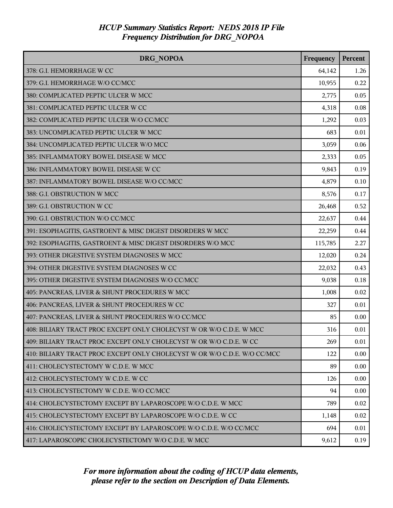| <b>DRG NOPOA</b>                                                         | Frequency | Percent |
|--------------------------------------------------------------------------|-----------|---------|
| 378: G.I. HEMORRHAGE W CC                                                | 64,142    | 1.26    |
| 379: G.I. HEMORRHAGE W/O CC/MCC                                          | 10,955    | 0.22    |
| 380: COMPLICATED PEPTIC ULCER W MCC                                      | 2,775     | 0.05    |
| 381: COMPLICATED PEPTIC ULCER W CC                                       | 4,318     | 0.08    |
| 382: COMPLICATED PEPTIC ULCER W/O CC/MCC                                 | 1,292     | 0.03    |
| 383: UNCOMPLICATED PEPTIC ULCER W MCC                                    | 683       | 0.01    |
| 384: UNCOMPLICATED PEPTIC ULCER W/O MCC                                  | 3,059     | 0.06    |
| 385: INFLAMMATORY BOWEL DISEASE W MCC                                    | 2,333     | 0.05    |
| 386: INFLAMMATORY BOWEL DISEASE W CC                                     | 9,843     | 0.19    |
| 387: INFLAMMATORY BOWEL DISEASE W/O CC/MCC                               | 4,879     | 0.10    |
| 388: G.I. OBSTRUCTION W MCC                                              | 8,576     | 0.17    |
| 389: G.I. OBSTRUCTION W CC                                               | 26,468    | 0.52    |
| 390: G.I. OBSTRUCTION W/O CC/MCC                                         | 22,637    | 0.44    |
| 391: ESOPHAGITIS, GASTROENT & MISC DIGEST DISORDERS W MCC                | 22,259    | 0.44    |
| 392: ESOPHAGITIS, GASTROENT & MISC DIGEST DISORDERS W/O MCC              | 115,785   | 2.27    |
| 393: OTHER DIGESTIVE SYSTEM DIAGNOSES W MCC                              | 12,020    | 0.24    |
| 394: OTHER DIGESTIVE SYSTEM DIAGNOSES W CC                               | 22,032    | 0.43    |
| 395: OTHER DIGESTIVE SYSTEM DIAGNOSES W/O CC/MCC                         | 9,038     | 0.18    |
| 405: PANCREAS, LIVER & SHUNT PROCEDURES W MCC                            | 1,008     | 0.02    |
| 406: PANCREAS, LIVER & SHUNT PROCEDURES W CC                             | 327       | 0.01    |
| 407: PANCREAS, LIVER & SHUNT PROCEDURES W/O CC/MCC                       | 85        | 0.00    |
| 408: BILIARY TRACT PROC EXCEPT ONLY CHOLECYST W OR W/O C.D.E. W MCC      | 316       | 0.01    |
| 409: BILIARY TRACT PROC EXCEPT ONLY CHOLECYST W OR W/O C.D.E. W CC       | 269       | 0.01    |
| 410: BILIARY TRACT PROC EXCEPT ONLY CHOLECYST W OR W/O C.D.E. W/O CC/MCC | 122       | 0.00    |
| 411: CHOLECYSTECTOMY W C.D.E. W MCC                                      | 89        | 0.00    |
| 412: CHOLECYSTECTOMY W C.D.E. W CC                                       | 126       | 0.00    |
| 413: CHOLECYSTECTOMY W C.D.E. W/O CC/MCC                                 | 94        | 0.00    |
| 414: CHOLECYSTECTOMY EXCEPT BY LAPAROSCOPE W/O C.D.E. W MCC              | 789       | 0.02    |
| 415: CHOLECYSTECTOMY EXCEPT BY LAPAROSCOPE W/O C.D.E. W CC               | 1,148     | 0.02    |
| 416: CHOLECYSTECTOMY EXCEPT BY LAPAROSCOPE W/O C.D.E. W/O CC/MCC         | 694       | 0.01    |
| 417: LAPAROSCOPIC CHOLECYSTECTOMY W/O C.D.E. W MCC                       | 9,612     | 0.19    |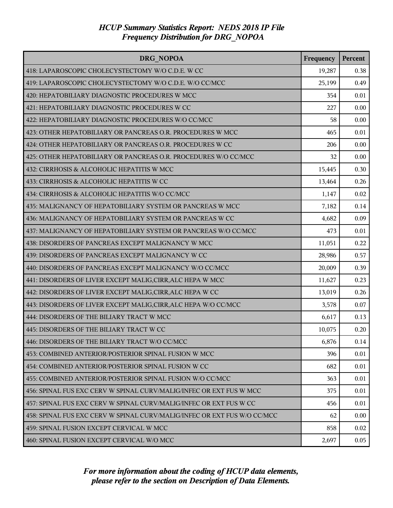| DRG NOPOA                                                                | Frequency | Percent |
|--------------------------------------------------------------------------|-----------|---------|
| 418: LAPAROSCOPIC CHOLECYSTECTOMY W/O C.D.E. W CC                        | 19,287    | 0.38    |
| 419: LAPAROSCOPIC CHOLECYSTECTOMY W/O C.D.E. W/O CC/MCC                  | 25,199    | 0.49    |
| 420: HEPATOBILIARY DIAGNOSTIC PROCEDURES W MCC                           | 354       | 0.01    |
| 421: HEPATOBILIARY DIAGNOSTIC PROCEDURES W CC                            | 227       | 0.00    |
| 422: HEPATOBILIARY DIAGNOSTIC PROCEDURES W/O CC/MCC                      | 58        | 0.00    |
| 423: OTHER HEPATOBILIARY OR PANCREAS O.R. PROCEDURES W MCC               | 465       | 0.01    |
| 424: OTHER HEPATOBILIARY OR PANCREAS O.R. PROCEDURES W CC                | 206       | 0.00    |
| 425: OTHER HEPATOBILIARY OR PANCREAS O.R. PROCEDURES W/O CC/MCC          | 32        | 0.00    |
| 432: CIRRHOSIS & ALCOHOLIC HEPATITIS W MCC                               | 15,445    | 0.30    |
| 433: CIRRHOSIS & ALCOHOLIC HEPATITIS W CC                                | 13,464    | 0.26    |
| 434: CIRRHOSIS & ALCOHOLIC HEPATITIS W/O CC/MCC                          | 1,147     | 0.02    |
| 435: MALIGNANCY OF HEPATOBILIARY SYSTEM OR PANCREAS W MCC                | 7,182     | 0.14    |
| 436: MALIGNANCY OF HEPATOBILIARY SYSTEM OR PANCREAS W CC                 | 4,682     | 0.09    |
| 437: MALIGNANCY OF HEPATOBILIARY SYSTEM OR PANCREAS W/O CC/MCC           | 473       | 0.01    |
| 438: DISORDERS OF PANCREAS EXCEPT MALIGNANCY W MCC                       | 11,051    | 0.22    |
| 439: DISORDERS OF PANCREAS EXCEPT MALIGNANCY W CC                        | 28,986    | 0.57    |
| 440: DISORDERS OF PANCREAS EXCEPT MALIGNANCY W/O CC/MCC                  | 20,009    | 0.39    |
| 441: DISORDERS OF LIVER EXCEPT MALIG, CIRR, ALC HEPA W MCC               | 11,627    | 0.23    |
| 442: DISORDERS OF LIVER EXCEPT MALIG, CIRR, ALC HEPA W CC                | 13,019    | 0.26    |
| 443: DISORDERS OF LIVER EXCEPT MALIG, CIRR, ALC HEPA W/O CC/MCC          | 3,578     | 0.07    |
| 444: DISORDERS OF THE BILIARY TRACT W MCC                                | 6,617     | 0.13    |
| 445: DISORDERS OF THE BILIARY TRACT W CC                                 | 10,075    | 0.20    |
| 446: DISORDERS OF THE BILIARY TRACT W/O CC/MCC                           | 6,876     | 0.14    |
| 453: COMBINED ANTERIOR/POSTERIOR SPINAL FUSION W MCC                     | 396       | 0.01    |
| 454: COMBINED ANTERIOR/POSTERIOR SPINAL FUSION W CC                      | 682       | 0.01    |
| 455: COMBINED ANTERIOR/POSTERIOR SPINAL FUSION W/O CC/MCC                | 363       | 0.01    |
| 456: SPINAL FUS EXC CERV W SPINAL CURV/MALIG/INFEC OR EXT FUS W MCC      | 375       | 0.01    |
| 457: SPINAL FUS EXC CERV W SPINAL CURV/MALIG/INFEC OR EXT FUS W CC       | 456       | 0.01    |
| 458: SPINAL FUS EXC CERV W SPINAL CURV/MALIG/INFEC OR EXT FUS W/O CC/MCC | 62        | 0.00    |
| 459: SPINAL FUSION EXCEPT CERVICAL W MCC                                 | 858       | 0.02    |
| 460: SPINAL FUSION EXCEPT CERVICAL W/O MCC                               | 2,697     | 0.05    |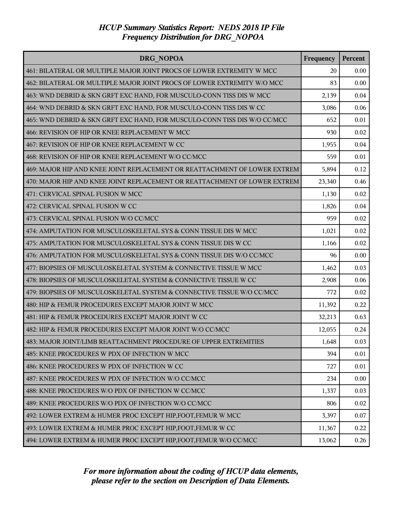| <b>DRG NOPOA</b>                                                          | Frequency | Percent |
|---------------------------------------------------------------------------|-----------|---------|
| 461: BILATERAL OR MULTIPLE MAJOR JOINT PROCS OF LOWER EXTREMITY W MCC     | 20        | 0.00    |
| 462: BILATERAL OR MULTIPLE MAJOR JOINT PROCS OF LOWER EXTREMITY W/O MCC   | 83        | 0.00    |
| 463: WND DEBRID & SKN GRFT EXC HAND, FOR MUSCULO-CONN TISS DIS W MCC      | 2,139     | 0.04    |
| 464: WND DEBRID & SKN GRFT EXC HAND, FOR MUSCULO-CONN TISS DIS W CC       | 3,086     | 0.06    |
| 465: WND DEBRID & SKN GRFT EXC HAND, FOR MUSCULO-CONN TISS DIS W/O CC/MCC | 652       | 0.01    |
| 466: REVISION OF HIP OR KNEE REPLACEMENT W MCC                            | 930       | 0.02    |
| 467: REVISION OF HIP OR KNEE REPLACEMENT W CC                             | 1,955     | 0.04    |
| 468: REVISION OF HIP OR KNEE REPLACEMENT W/O CC/MCC                       | 559       | 0.01    |
| 469: MAJOR HIP AND KNEE JOINT REPLACEMENT OR REATTACHMENT OF LOWER EXTREM | 5,894     | 0.12    |
| 470: MAJOR HIP AND KNEE JOINT REPLACEMENT OR REATTACHMENT OF LOWER EXTREM | 23,340    | 0.46    |
| 471: CERVICAL SPINAL FUSION W MCC                                         | 1,130     | 0.02    |
| 472: CERVICAL SPINAL FUSION W CC                                          | 1,826     | 0.04    |
| 473: CERVICAL SPINAL FUSION W/O CC/MCC                                    | 959       | 0.02    |
| 474: AMPUTATION FOR MUSCULOSKELETAL SYS & CONN TISSUE DIS W MCC           | 1,021     | 0.02    |
| 475: AMPUTATION FOR MUSCULOSKELETAL SYS & CONN TISSUE DIS W CC            | 1,166     | 0.02    |
| 476: AMPUTATION FOR MUSCULOSKELETAL SYS & CONN TISSUE DIS W/O CC/MCC      | 96        | 0.00    |
| 477: BIOPSIES OF MUSCULOSKELETAL SYSTEM & CONNECTIVE TISSUE W MCC         | 1,462     | 0.03    |
| 478: BIOPSIES OF MUSCULOSKELETAL SYSTEM & CONNECTIVE TISSUE W CC          | 2,908     | 0.06    |
| 479: BIOPSIES OF MUSCULOSKELETAL SYSTEM & CONNECTIVE TISSUE W/O CC/MCC    | 772       | 0.02    |
| 480: HIP & FEMUR PROCEDURES EXCEPT MAJOR JOINT W MCC                      | 11,392    | 0.22    |
| 481: HIP & FEMUR PROCEDURES EXCEPT MAJOR JOINT W CC                       | 32,213    | 0.63    |
| 482: HIP & FEMUR PROCEDURES EXCEPT MAJOR JOINT W/O CC/MCC                 | 12,055    | 0.24    |
| 483: MAJOR JOINT/LIMB REATTACHMENT PROCEDURE OF UPPER EXTREMITIES         | 1,648     | 0.03    |
| 485: KNEE PROCEDURES W PDX OF INFECTION W MCC                             | 394       | 0.01    |
| 486: KNEE PROCEDURES W PDX OF INFECTION W CC                              | 727       | 0.01    |
| 487: KNEE PROCEDURES W PDX OF INFECTION W/O CC/MCC                        | 234       | 0.00    |
| 488: KNEE PROCEDURES W/O PDX OF INFECTION W CC/MCC                        | 1,337     | 0.03    |
| 489: KNEE PROCEDURES W/O PDX OF INFECTION W/O CC/MCC                      | 806       | 0.02    |
| 492: LOWER EXTREM & HUMER PROC EXCEPT HIP, FOOT, FEMUR W MCC              | 3,397     | 0.07    |
| 493: LOWER EXTREM & HUMER PROC EXCEPT HIP, FOOT, FEMUR W CC               | 11,367    | 0.22    |
| 494: LOWER EXTREM & HUMER PROC EXCEPT HIP, FOOT, FEMUR W/O CC/MCC         | 13,062    | 0.26    |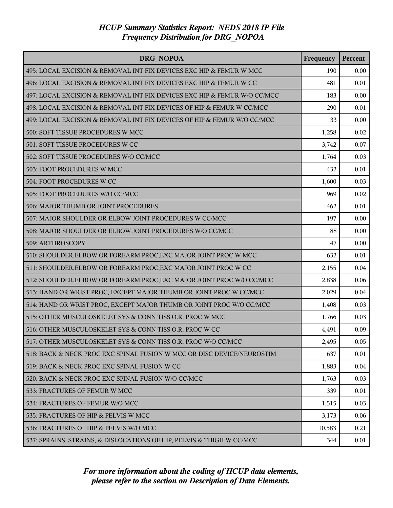| <b>DRG NOPOA</b>                                                         | Frequency | Percent |
|--------------------------------------------------------------------------|-----------|---------|
| 495: LOCAL EXCISION & REMOVAL INT FIX DEVICES EXC HIP & FEMUR W MCC      | 190       | 0.00    |
| 496: LOCAL EXCISION & REMOVAL INT FIX DEVICES EXC HIP & FEMUR W CC       | 481       | 0.01    |
| 497: LOCAL EXCISION & REMOVAL INT FIX DEVICES EXC HIP & FEMUR W/O CC/MCC | 183       | 0.00    |
| 498: LOCAL EXCISION & REMOVAL INT FIX DEVICES OF HIP & FEMUR W CC/MCC    | 290       | 0.01    |
| 499: LOCAL EXCISION & REMOVAL INT FIX DEVICES OF HIP & FEMUR W/O CC/MCC  | 33        | 0.00    |
| 500: SOFT TISSUE PROCEDURES W MCC                                        | 1,258     | 0.02    |
| 501: SOFT TISSUE PROCEDURES W CC                                         | 3,742     | 0.07    |
| 502: SOFT TISSUE PROCEDURES W/O CC/MCC                                   | 1,764     | 0.03    |
| 503: FOOT PROCEDURES W MCC                                               | 432       | 0.01    |
| 504: FOOT PROCEDURES W CC                                                | 1,600     | 0.03    |
| 505: FOOT PROCEDURES W/O CC/MCC                                          | 969       | 0.02    |
| 506: MAJOR THUMB OR JOINT PROCEDURES                                     | 462       | 0.01    |
| 507: MAJOR SHOULDER OR ELBOW JOINT PROCEDURES W CC/MCC                   | 197       | 0.00    |
| 508: MAJOR SHOULDER OR ELBOW JOINT PROCEDURES W/O CC/MCC                 | 88        | 0.00    |
| 509: ARTHROSCOPY                                                         | 47        | 0.00    |
| 510: SHOULDER, ELBOW OR FOREARM PROC, EXC MAJOR JOINT PROC W MCC         | 632       | 0.01    |
| 511: SHOULDER, ELBOW OR FOREARM PROC, EXC MAJOR JOINT PROC W CC          | 2,155     | 0.04    |
| 512: SHOULDER, ELBOW OR FOREARM PROC, EXC MAJOR JOINT PROC W/O CC/MCC    | 2,838     | 0.06    |
| 513: HAND OR WRIST PROC, EXCEPT MAJOR THUMB OR JOINT PROC W CC/MCC       | 2,029     | 0.04    |
| 514: HAND OR WRIST PROC, EXCEPT MAJOR THUMB OR JOINT PROC W/O CC/MCC     | 1,408     | 0.03    |
| 515: OTHER MUSCULOSKELET SYS & CONN TISS O.R. PROC W MCC                 | 1,766     | 0.03    |
| 516: OTHER MUSCULOSKELET SYS & CONN TISS O.R. PROC W CC                  | 4,491     | 0.09    |
| 517: OTHER MUSCULOSKELET SYS & CONN TISS O.R. PROC W/O CC/MCC            | 2,495     | 0.05    |
| 518: BACK & NECK PROC EXC SPINAL FUSION W MCC OR DISC DEVICE/NEUROSTIM   | 637       | 0.01    |
| 519: BACK & NECK PROC EXC SPINAL FUSION W CC                             | 1,883     | 0.04    |
| 520: BACK & NECK PROC EXC SPINAL FUSION W/O CC/MCC                       | 1,763     | 0.03    |
| 533: FRACTURES OF FEMUR W MCC                                            | 339       | 0.01    |
| 534: FRACTURES OF FEMUR W/O MCC                                          | 1,515     | 0.03    |
| 535: FRACTURES OF HIP & PELVIS W MCC                                     | 3,173     | 0.06    |
| 536: FRACTURES OF HIP & PELVIS W/O MCC                                   | 10,583    | 0.21    |
| 537: SPRAINS, STRAINS, & DISLOCATIONS OF HIP, PELVIS & THIGH W CC/MCC    | 344       | 0.01    |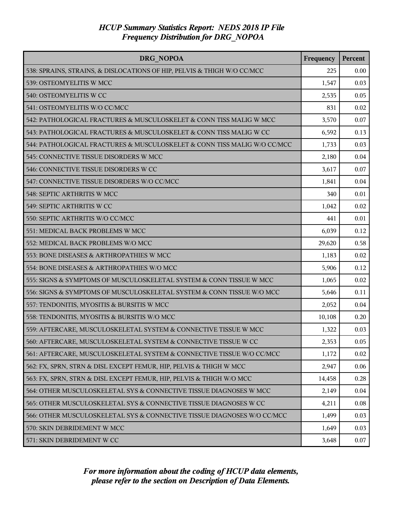| DRG NOPOA                                                                | Frequency | Percent |
|--------------------------------------------------------------------------|-----------|---------|
| 538: SPRAINS, STRAINS, & DISLOCATIONS OF HIP, PELVIS & THIGH W/O CC/MCC  | 225       | 0.00    |
| 539: OSTEOMYELITIS W MCC                                                 | 1,547     | 0.03    |
| 540: OSTEOMYELITIS W CC                                                  | 2,535     | 0.05    |
| 541: OSTEOMYELITIS W/O CC/MCC                                            | 831       | 0.02    |
| 542: PATHOLOGICAL FRACTURES & MUSCULOSKELET & CONN TISS MALIG W MCC      | 3,570     | 0.07    |
| 543: PATHOLOGICAL FRACTURES & MUSCULOSKELET & CONN TISS MALIG W CC       | 6,592     | 0.13    |
| 544: PATHOLOGICAL FRACTURES & MUSCULOSKELET & CONN TISS MALIG W/O CC/MCC | 1,733     | 0.03    |
| 545: CONNECTIVE TISSUE DISORDERS W MCC                                   | 2,180     | 0.04    |
| 546: CONNECTIVE TISSUE DISORDERS W CC                                    | 3,617     | 0.07    |
| 547: CONNECTIVE TISSUE DISORDERS W/O CC/MCC                              | 1,841     | 0.04    |
| 548: SEPTIC ARTHRITIS W MCC                                              | 340       | 0.01    |
| 549: SEPTIC ARTHRITIS W CC                                               | 1,042     | 0.02    |
| 550: SEPTIC ARTHRITIS W/O CC/MCC                                         | 441       | 0.01    |
| 551: MEDICAL BACK PROBLEMS W MCC                                         | 6,039     | 0.12    |
| 552: MEDICAL BACK PROBLEMS W/O MCC                                       | 29,620    | 0.58    |
| 553: BONE DISEASES & ARTHROPATHIES W MCC                                 | 1,183     | 0.02    |
| 554: BONE DISEASES & ARTHROPATHIES W/O MCC                               | 5,906     | 0.12    |
| 555: SIGNS & SYMPTOMS OF MUSCULOSKELETAL SYSTEM & CONN TISSUE W MCC      | 1,065     | 0.02    |
| 556: SIGNS & SYMPTOMS OF MUSCULOSKELETAL SYSTEM & CONN TISSUE W/O MCC    | 5,646     | 0.11    |
| 557: TENDONITIS, MYOSITIS & BURSITIS W MCC                               | 2,052     | 0.04    |
| 558: TENDONITIS, MYOSITIS & BURSITIS W/O MCC                             | 10,108    | 0.20    |
| 559: AFTERCARE, MUSCULOSKELETAL SYSTEM & CONNECTIVE TISSUE W MCC         | 1,322     | 0.03    |
| 560: AFTERCARE, MUSCULOSKELETAL SYSTEM & CONNECTIVE TISSUE W CC          | 2,353     | 0.05    |
| 561: AFTERCARE, MUSCULOSKELETAL SYSTEM & CONNECTIVE TISSUE W/O CC/MCC    | 1,172     | 0.02    |
| 562: FX, SPRN, STRN & DISL EXCEPT FEMUR, HIP, PELVIS & THIGH W MCC       | 2,947     | 0.06    |
| 563: FX, SPRN, STRN & DISL EXCEPT FEMUR, HIP, PELVIS & THIGH W/O MCC     | 14,458    | 0.28    |
| 564: OTHER MUSCULOSKELETAL SYS & CONNECTIVE TISSUE DIAGNOSES W MCC       | 2,149     | 0.04    |
| 565: OTHER MUSCULOSKELETAL SYS & CONNECTIVE TISSUE DIAGNOSES W CC        | 4,211     | 0.08    |
| 566: OTHER MUSCULOSKELETAL SYS & CONNECTIVE TISSUE DIAGNOSES W/O CC/MCC  | 1,499     | 0.03    |
| 570: SKIN DEBRIDEMENT W MCC                                              | 1,649     | 0.03    |
| 571: SKIN DEBRIDEMENT W CC                                               | 3,648     | 0.07    |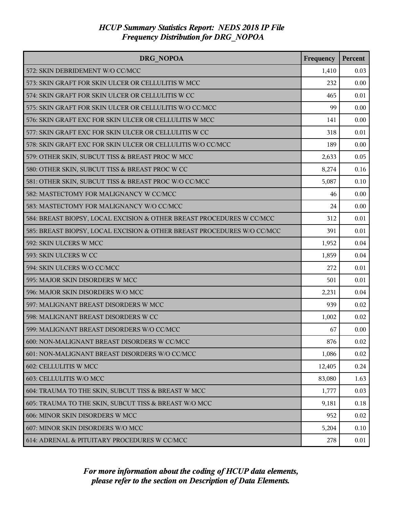| <b>DRG NOPOA</b>                                                        | Frequency | Percent |
|-------------------------------------------------------------------------|-----------|---------|
| 572: SKIN DEBRIDEMENT W/O CC/MCC                                        | 1,410     | 0.03    |
| 573: SKIN GRAFT FOR SKIN ULCER OR CELLULITIS W MCC                      | 232       | 0.00    |
| 574: SKIN GRAFT FOR SKIN ULCER OR CELLULITIS W CC                       | 465       | 0.01    |
| 575: SKIN GRAFT FOR SKIN ULCER OR CELLULITIS W/O CC/MCC                 | 99        | 0.00    |
| 576: SKIN GRAFT EXC FOR SKIN ULCER OR CELLULITIS W MCC                  | 141       | 0.00    |
| 577: SKIN GRAFT EXC FOR SKIN ULCER OR CELLULITIS W CC                   | 318       | 0.01    |
| 578: SKIN GRAFT EXC FOR SKIN ULCER OR CELLULITIS W/O CC/MCC             | 189       | 0.00    |
| 579: OTHER SKIN, SUBCUT TISS & BREAST PROC W MCC                        | 2,633     | 0.05    |
| 580: OTHER SKIN, SUBCUT TISS & BREAST PROC W CC                         | 8,274     | 0.16    |
| 581: OTHER SKIN, SUBCUT TISS & BREAST PROC W/O CC/MCC                   | 5,087     | 0.10    |
| 582: MASTECTOMY FOR MALIGNANCY W CC/MCC                                 | 46        | 0.00    |
| 583: MASTECTOMY FOR MALIGNANCY W/O CC/MCC                               | 24        | 0.00    |
| 584: BREAST BIOPSY, LOCAL EXCISION & OTHER BREAST PROCEDURES W CC/MCC   | 312       | 0.01    |
| 585: BREAST BIOPSY, LOCAL EXCISION & OTHER BREAST PROCEDURES W/O CC/MCC | 391       | 0.01    |
| 592: SKIN ULCERS W MCC                                                  | 1,952     | 0.04    |
| 593: SKIN ULCERS W CC                                                   | 1,859     | 0.04    |
| 594: SKIN ULCERS W/O CC/MCC                                             | 272       | 0.01    |
| 595: MAJOR SKIN DISORDERS W MCC                                         | 501       | 0.01    |
| 596: MAJOR SKIN DISORDERS W/O MCC                                       | 2,231     | 0.04    |
| 597: MALIGNANT BREAST DISORDERS W MCC                                   | 939       | 0.02    |
| 598: MALIGNANT BREAST DISORDERS W CC                                    | 1,002     | 0.02    |
| 599: MALIGNANT BREAST DISORDERS W/O CC/MCC                              | 67        | 0.00    |
| 600: NON-MALIGNANT BREAST DISORDERS W CC/MCC                            | 876       | 0.02    |
| 601: NON-MALIGNANT BREAST DISORDERS W/O CC/MCC                          | 1,086     | 0.02    |
| 602: CELLULITIS W MCC                                                   | 12,405    | 0.24    |
| 603: CELLULITIS W/O MCC                                                 | 83,080    | 1.63    |
| 604: TRAUMA TO THE SKIN, SUBCUT TISS & BREAST W MCC                     | 1,777     | 0.03    |
| 605: TRAUMA TO THE SKIN, SUBCUT TISS & BREAST W/O MCC                   | 9,181     | 0.18    |
| 606: MINOR SKIN DISORDERS W MCC                                         | 952       | 0.02    |
| 607: MINOR SKIN DISORDERS W/O MCC                                       | 5,204     | 0.10    |
| 614: ADRENAL & PITUITARY PROCEDURES W CC/MCC                            | 278       | 0.01    |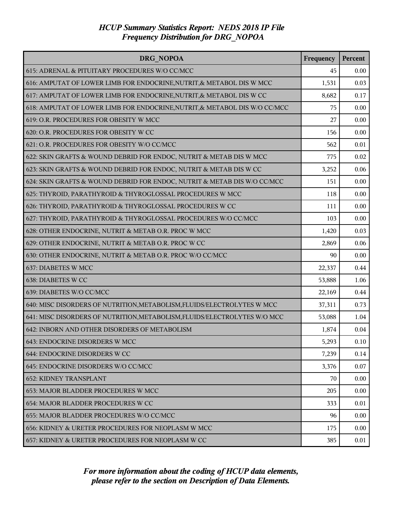| DRG NOPOA                                                                  | Frequency | Percent |
|----------------------------------------------------------------------------|-----------|---------|
| 615: ADRENAL & PITUITARY PROCEDURES W/O CC/MCC                             | 45        | 0.00    |
| 616: AMPUTAT OF LOWER LIMB FOR ENDOCRINE, NUTRIT, & METABOL DIS W MCC      | 1,531     | 0.03    |
| 617: AMPUTAT OF LOWER LIMB FOR ENDOCRINE, NUTRIT, & METABOL DIS W CC       | 8,682     | 0.17    |
| 618: AMPUTAT OF LOWER LIMB FOR ENDOCRINE, NUTRIT, & METABOL DIS W/O CC/MCC | 75        | 0.00    |
| 619: O.R. PROCEDURES FOR OBESITY W MCC                                     | 27        | 0.00    |
| 620: O.R. PROCEDURES FOR OBESITY W CC                                      | 156       | 0.00    |
| 621: O.R. PROCEDURES FOR OBESITY W/O CC/MCC                                | 562       | 0.01    |
| 622: SKIN GRAFTS & WOUND DEBRID FOR ENDOC, NUTRIT & METAB DIS W MCC        | 775       | 0.02    |
| 623: SKIN GRAFTS & WOUND DEBRID FOR ENDOC, NUTRIT & METAB DIS W CC         | 3,252     | 0.06    |
| 624: SKIN GRAFTS & WOUND DEBRID FOR ENDOC, NUTRIT & METAB DIS W/O CC/MCC   | 151       | 0.00    |
| 625: THYROID, PARATHYROID & THYROGLOSSAL PROCEDURES W MCC                  | 118       | 0.00    |
| 626: THYROID, PARATHYROID & THYROGLOSSAL PROCEDURES W CC                   | 111       | 0.00    |
| 627: THYROID, PARATHYROID & THYROGLOSSAL PROCEDURES W/O CC/MCC             | 103       | 0.00    |
| 628: OTHER ENDOCRINE, NUTRIT & METAB O.R. PROC W MCC                       | 1,420     | 0.03    |
| 629: OTHER ENDOCRINE, NUTRIT & METAB O.R. PROC W CC                        | 2,869     | 0.06    |
| 630: OTHER ENDOCRINE, NUTRIT & METAB O.R. PROC W/O CC/MCC                  | 90        | 0.00    |
| 637: DIABETES W MCC                                                        | 22,337    | 0.44    |
| 638: DIABETES W CC                                                         | 53,888    | 1.06    |
| 639: DIABETES W/O CC/MCC                                                   | 22,169    | 0.44    |
| 640: MISC DISORDERS OF NUTRITION, METABOLISM, FLUIDS/ELECTROLYTES W MCC    | 37,311    | 0.73    |
| 641: MISC DISORDERS OF NUTRITION, METABOLISM, FLUIDS/ELECTROLYTES W/O MCC  | 53,088    | 1.04    |
| 642: INBORN AND OTHER DISORDERS OF METABOLISM                              | 1,874     | 0.04    |
| 643: ENDOCRINE DISORDERS W MCC                                             | 5,293     | 0.10    |
| 644: ENDOCRINE DISORDERS W CC                                              | 7,239     | 0.14    |
| 645: ENDOCRINE DISORDERS W/O CC/MCC                                        | 3,376     | 0.07    |
| <b>652: KIDNEY TRANSPLANT</b>                                              | 70        | 0.00    |
| 653: MAJOR BLADDER PROCEDURES W MCC                                        | 205       | 0.00    |
| 654: MAJOR BLADDER PROCEDURES W CC                                         | 333       | 0.01    |
| 655: MAJOR BLADDER PROCEDURES W/O CC/MCC                                   | 96        | 0.00    |
| 656: KIDNEY & URETER PROCEDURES FOR NEOPLASM W MCC                         | 175       | 0.00    |
| 657: KIDNEY & URETER PROCEDURES FOR NEOPLASM W CC                          | 385       | 0.01    |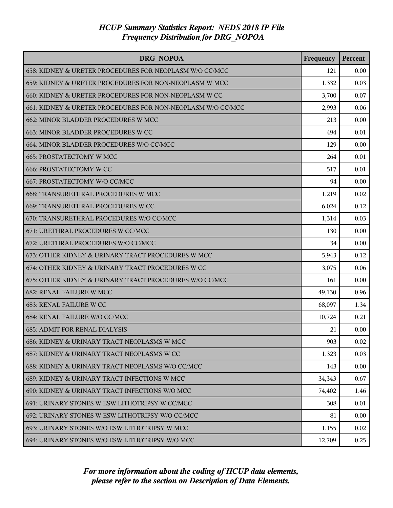| DRG NOPOA                                                   | Frequency | Percent |
|-------------------------------------------------------------|-----------|---------|
| 658: KIDNEY & URETER PROCEDURES FOR NEOPLASM W/O CC/MCC     | 121       | 0.00    |
| 659: KIDNEY & URETER PROCEDURES FOR NON-NEOPLASM W MCC      | 1,332     | 0.03    |
| 660: KIDNEY & URETER PROCEDURES FOR NON-NEOPLASM W CC       | 3,700     | 0.07    |
| 661: KIDNEY & URETER PROCEDURES FOR NON-NEOPLASM W/O CC/MCC | 2,993     | 0.06    |
| 662: MINOR BLADDER PROCEDURES W MCC                         | 213       | 0.00    |
| 663: MINOR BLADDER PROCEDURES W CC                          | 494       | 0.01    |
| 664: MINOR BLADDER PROCEDURES W/O CC/MCC                    | 129       | 0.00    |
| 665: PROSTATECTOMY W MCC                                    | 264       | 0.01    |
| <b>666: PROSTATECTOMY W CC</b>                              | 517       | 0.01    |
| 667: PROSTATECTOMY W/O CC/MCC                               | 94        | 0.00    |
| 668: TRANSURETHRAL PROCEDURES W MCC                         | 1,219     | 0.02    |
| 669: TRANSURETHRAL PROCEDURES W CC                          | 6,024     | 0.12    |
| 670: TRANSURETHRAL PROCEDURES W/O CC/MCC                    | 1,314     | 0.03    |
| 671: URETHRAL PROCEDURES W CC/MCC                           | 130       | 0.00    |
| 672: URETHRAL PROCEDURES W/O CC/MCC                         | 34        | 0.00    |
| 673: OTHER KIDNEY & URINARY TRACT PROCEDURES W MCC          | 5,943     | 0.12    |
| 674: OTHER KIDNEY & URINARY TRACT PROCEDURES W CC           | 3,075     | 0.06    |
| 675: OTHER KIDNEY & URINARY TRACT PROCEDURES W/O CC/MCC     | 161       | 0.00    |
| 682: RENAL FAILURE W MCC                                    | 49,130    | 0.96    |
| 683: RENAL FAILURE W CC                                     | 68,097    | 1.34    |
| 684: RENAL FAILURE W/O CC/MCC                               | 10,724    | 0.21    |
| <b>685: ADMIT FOR RENAL DIALYSIS</b>                        | 21        | 0.00    |
| 686: KIDNEY & URINARY TRACT NEOPLASMS W MCC                 | 903       | 0.02    |
| 687: KIDNEY & URINARY TRACT NEOPLASMS W CC                  | 1,323     | 0.03    |
| 688: KIDNEY & URINARY TRACT NEOPLASMS W/O CC/MCC            | 143       | 0.00    |
| 689: KIDNEY & URINARY TRACT INFECTIONS W MCC                | 34,343    | 0.67    |
| 690: KIDNEY & URINARY TRACT INFECTIONS W/O MCC              | 74,402    | 1.46    |
| 691: URINARY STONES W ESW LITHOTRIPSY W CC/MCC              | 308       | 0.01    |
| 692: URINARY STONES W ESW LITHOTRIPSY W/O CC/MCC            | 81        | 0.00    |
| 693: URINARY STONES W/O ESW LITHOTRIPSY W MCC               | 1,155     | 0.02    |
| 694: URINARY STONES W/O ESW LITHOTRIPSY W/O MCC             | 12,709    | 0.25    |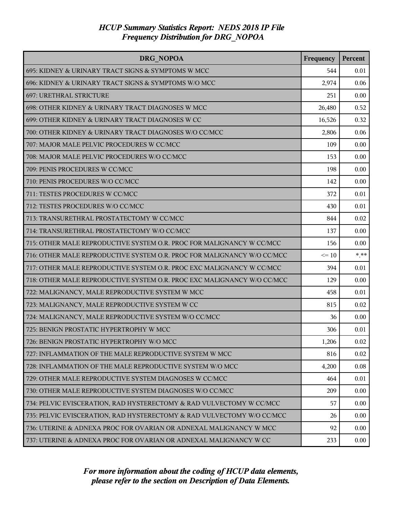| DRG NOPOA                                                               | Frequency | Percent |
|-------------------------------------------------------------------------|-----------|---------|
| 695: KIDNEY & URINARY TRACT SIGNS & SYMPTOMS W MCC                      | 544       | 0.01    |
| 696: KIDNEY & URINARY TRACT SIGNS & SYMPTOMS W/O MCC                    | 2,974     | 0.06    |
| 697: URETHRAL STRICTURE                                                 | 251       | 0.00    |
| 698: OTHER KIDNEY & URINARY TRACT DIAGNOSES W MCC                       | 26,480    | 0.52    |
| 699: OTHER KIDNEY & URINARY TRACT DIAGNOSES W CC                        | 16,526    | 0.32    |
| 700: OTHER KIDNEY & URINARY TRACT DIAGNOSES W/O CC/MCC                  | 2,806     | 0.06    |
| 707: MAJOR MALE PELVIC PROCEDURES W CC/MCC                              | 109       | 0.00    |
| 708: MAJOR MALE PELVIC PROCEDURES W/O CC/MCC                            | 153       | 0.00    |
| 709: PENIS PROCEDURES W CC/MCC                                          | 198       | 0.00    |
| 710: PENIS PROCEDURES W/O CC/MCC                                        | 142       | 0.00    |
| 711: TESTES PROCEDURES W CC/MCC                                         | 372       | 0.01    |
| 712: TESTES PROCEDURES W/O CC/MCC                                       | 430       | 0.01    |
| 713: TRANSURETHRAL PROSTATECTOMY W CC/MCC                               | 844       | 0.02    |
| 714: TRANSURETHRAL PROSTATECTOMY W/O CC/MCC                             | 137       | 0.00    |
| 715: OTHER MALE REPRODUCTIVE SYSTEM O.R. PROC FOR MALIGNANCY W CC/MCC   | 156       | 0.00    |
| 716: OTHER MALE REPRODUCTIVE SYSTEM O.R. PROC FOR MALIGNANCY W/O CC/MCC | $\leq 10$ | $***$   |
| 717: OTHER MALE REPRODUCTIVE SYSTEM O.R. PROC EXC MALIGNANCY W CC/MCC   | 394       | 0.01    |
| 718: OTHER MALE REPRODUCTIVE SYSTEM O.R. PROC EXC MALIGNANCY W/O CC/MCC | 129       | 0.00    |
| 722: MALIGNANCY, MALE REPRODUCTIVE SYSTEM W MCC                         | 458       | 0.01    |
| 723: MALIGNANCY, MALE REPRODUCTIVE SYSTEM W CC                          | 815       | 0.02    |
| 724: MALIGNANCY, MALE REPRODUCTIVE SYSTEM W/O CC/MCC                    | 36        | 0.00    |
| 725: BENIGN PROSTATIC HYPERTROPHY W MCC                                 | 306       | 0.01    |
| 726: BENIGN PROSTATIC HYPERTROPHY W/O MCC                               | 1,206     | 0.02    |
| 727: INFLAMMATION OF THE MALE REPRODUCTIVE SYSTEM W MCC                 | 816       | 0.02    |
| 728: INFLAMMATION OF THE MALE REPRODUCTIVE SYSTEM W/O MCC               | 4,200     | 0.08    |
| 729: OTHER MALE REPRODUCTIVE SYSTEM DIAGNOSES W CC/MCC                  | 464       | 0.01    |
| 730: OTHER MALE REPRODUCTIVE SYSTEM DIAGNOSES W/O CC/MCC                | 209       | 0.00    |
| 734: PELVIC EVISCERATION, RAD HYSTERECTOMY & RAD VULVECTOMY W CC/MCC    | 57        | 0.00    |
| 735: PELVIC EVISCERATION, RAD HYSTERECTOMY & RAD VULVECTOMY W/O CC/MCC  | 26        | 0.00    |
| 736: UTERINE & ADNEXA PROC FOR OVARIAN OR ADNEXAL MALIGNANCY W MCC      | 92        | 0.00    |
| 737: UTERINE & ADNEXA PROC FOR OVARIAN OR ADNEXAL MALIGNANCY W CC       | 233       | 0.00    |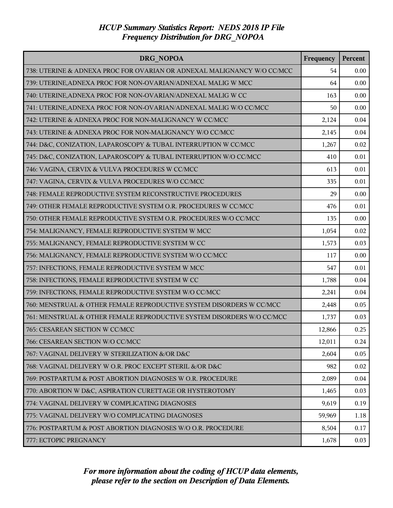| DRG NOPOA                                                               | Frequency | Percent |
|-------------------------------------------------------------------------|-----------|---------|
| 738: UTERINE & ADNEXA PROC FOR OVARIAN OR ADNEXAL MALIGNANCY W/O CC/MCC | 54        | 0.00    |
| 739: UTERINE, ADNEXA PROC FOR NON-OVARIAN/ADNEXAL MALIG W MCC           | 64        | 0.00    |
| 740: UTERINE, ADNEXA PROC FOR NON-OVARIAN/ADNEXAL MALIG W CC            | 163       | 0.00    |
| 741: UTERINE, ADNEXA PROC FOR NON-OVARIAN/ADNEXAL MALIG W/O CC/MCC      | 50        | 0.00    |
| 742: UTERINE & ADNEXA PROC FOR NON-MALIGNANCY W CC/MCC                  | 2,124     | 0.04    |
| 743: UTERINE & ADNEXA PROC FOR NON-MALIGNANCY W/O CC/MCC                | 2,145     | 0.04    |
| 744: D&C, CONIZATION, LAPAROSCOPY & TUBAL INTERRUPTION W CC/MCC         | 1,267     | 0.02    |
| 745: D&C, CONIZATION, LAPAROSCOPY & TUBAL INTERRUPTION W/O CC/MCC       | 410       | 0.01    |
| 746: VAGINA, CERVIX & VULVA PROCEDURES W CC/MCC                         | 613       | 0.01    |
| 747: VAGINA, CERVIX & VULVA PROCEDURES W/O CC/MCC                       | 335       | 0.01    |
| 748: FEMALE REPRODUCTIVE SYSTEM RECONSTRUCTIVE PROCEDURES               | 29        | 0.00    |
| 749: OTHER FEMALE REPRODUCTIVE SYSTEM O.R. PROCEDURES W CC/MCC          | 476       | 0.01    |
| 750: OTHER FEMALE REPRODUCTIVE SYSTEM O.R. PROCEDURES W/O CC/MCC        | 135       | 0.00    |
| 754: MALIGNANCY, FEMALE REPRODUCTIVE SYSTEM W MCC                       | 1,054     | 0.02    |
| 755: MALIGNANCY, FEMALE REPRODUCTIVE SYSTEM W CC                        | 1,573     | 0.03    |
| 756: MALIGNANCY, FEMALE REPRODUCTIVE SYSTEM W/O CC/MCC                  | 117       | 0.00    |
| 757: INFECTIONS, FEMALE REPRODUCTIVE SYSTEM W MCC                       | 547       | 0.01    |
| 758: INFECTIONS, FEMALE REPRODUCTIVE SYSTEM W CC                        | 1,788     | 0.04    |
| 759: INFECTIONS, FEMALE REPRODUCTIVE SYSTEM W/O CC/MCC                  | 2,241     | 0.04    |
| 760: MENSTRUAL & OTHER FEMALE REPRODUCTIVE SYSTEM DISORDERS W CC/MCC    | 2,448     | 0.05    |
| 761: MENSTRUAL & OTHER FEMALE REPRODUCTIVE SYSTEM DISORDERS W/O CC/MCC  | 1,737     | 0.03    |
| 765: CESAREAN SECTION W CC/MCC                                          | 12,866    | 0.25    |
| 766: CESAREAN SECTION W/O CC/MCC                                        | 12,011    | 0.24    |
| 767: VAGINAL DELIVERY W STERILIZATION &/OR D&C                          | 2,604     | 0.05    |
| 768: VAGINAL DELIVERY W O.R. PROC EXCEPT STERIL &/OR D&C                | 982       | 0.02    |
| 769: POSTPARTUM & POST ABORTION DIAGNOSES W O.R. PROCEDURE              | 2,089     | 0.04    |
| 770: ABORTION W D&C, ASPIRATION CURETTAGE OR HYSTEROTOMY                | 1,465     | 0.03    |
| 774: VAGINAL DELIVERY W COMPLICATING DIAGNOSES                          | 9,619     | 0.19    |
| 775: VAGINAL DELIVERY W/O COMPLICATING DIAGNOSES                        | 59,969    | 1.18    |
| 776: POSTPARTUM & POST ABORTION DIAGNOSES W/O O.R. PROCEDURE            | 8,504     | 0.17    |
| 777: ECTOPIC PREGNANCY                                                  | 1,678     | 0.03    |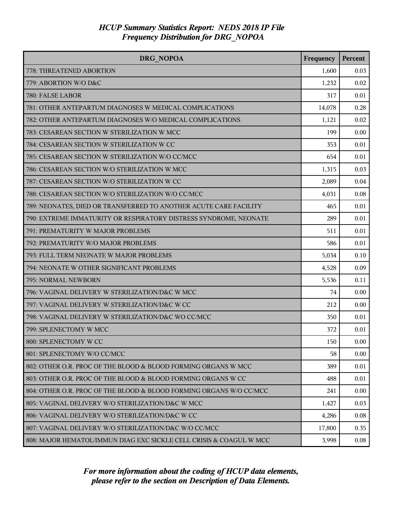| <b>DRG NOPOA</b>                                                    | Frequency | Percent |
|---------------------------------------------------------------------|-----------|---------|
| 778: THREATENED ABORTION                                            | 1,600     | 0.03    |
| 779: ABORTION W/O D&C                                               | 1,232     | 0.02    |
| 780: FALSE LABOR                                                    | 317       | 0.01    |
| 781: OTHER ANTEPARTUM DIAGNOSES W MEDICAL COMPLICATIONS             | 14,078    | 0.28    |
| 782: OTHER ANTEPARTUM DIAGNOSES W/O MEDICAL COMPLICATIONS           | 1,121     | 0.02    |
| 783: CESAREAN SECTION W STERILIZATION W MCC                         | 199       | 0.00    |
| 784: CESAREAN SECTION W STERILIZATION W CC                          | 353       | 0.01    |
| 785: CESAREAN SECTION W STERILIZATION W/O CC/MCC                    | 654       | 0.01    |
| 786: CESAREAN SECTION W/O STERILIZATION W MCC                       | 1,315     | 0.03    |
| 787: CESAREAN SECTION W/O STERILIZATION W CC                        | 2,089     | 0.04    |
| 788: CESAREAN SECTION W/O STERILIZATION W/O CC/MCC                  | 4,031     | 0.08    |
| 789: NEONATES, DIED OR TRANSFERRED TO ANOTHER ACUTE CARE FACILITY   | 465       | 0.01    |
| 790: EXTREME IMMATURITY OR RESPIRATORY DISTRESS SYNDROME, NEONATE   | 289       | 0.01    |
| 791: PREMATURITY W MAJOR PROBLEMS                                   | 511       | 0.01    |
| 792: PREMATURITY W/O MAJOR PROBLEMS                                 | 586       | 0.01    |
| 793: FULL TERM NEONATE W MAJOR PROBLEMS                             | 5,034     | 0.10    |
| 794: NEONATE W OTHER SIGNIFICANT PROBLEMS                           | 4,528     | 0.09    |
| 795: NORMAL NEWBORN                                                 | 5,536     | 0.11    |
| 796: VAGINAL DELIVERY W STERILIZATION/D&C W MCC                     | 74        | 0.00    |
| 797: VAGINAL DELIVERY W STERILIZATION/D&C W CC                      | 212       | 0.00    |
| 798: VAGINAL DELIVERY W STERILIZATION/D&C WO CC/MCC                 | 350       | 0.01    |
| 799: SPLENECTOMY W MCC                                              | 372       | 0.01    |
| 800: SPLENECTOMY W CC                                               | 150       | 0.00    |
| 801: SPLENECTOMY W/O CC/MCC                                         | 58        | 0.00    |
| 802: OTHER O.R. PROC OF THE BLOOD & BLOOD FORMING ORGANS W MCC      | 389       | 0.01    |
| 803: OTHER O.R. PROC OF THE BLOOD & BLOOD FORMING ORGANS W CC       | 488       | 0.01    |
| 804: OTHER O.R. PROC OF THE BLOOD & BLOOD FORMING ORGANS W/O CC/MCC | 241       | 0.00    |
| 805: VAGINAL DELIVERY W/O STERILIZATION/D&C W MCC                   | 1,427     | 0.03    |
| 806: VAGINAL DELIVERY W/O STERILIZATION/D&C W CC                    | 4,286     | 0.08    |
| 807: VAGINAL DELIVERY W/O STERILIZATION/D&C W/O CC/MCC              | 17,800    | 0.35    |
| 808: MAJOR HEMATOL/IMMUN DIAG EXC SICKLE CELL CRISIS & COAGUL W MCC | 3,998     | 0.08    |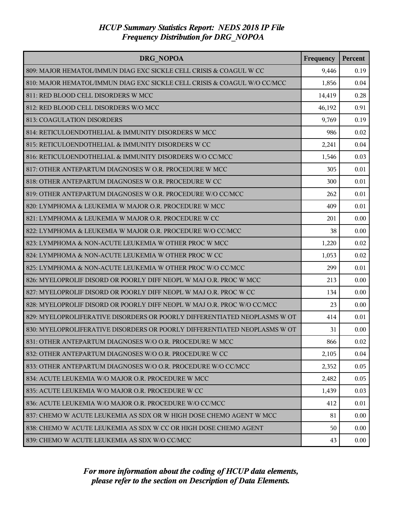| <b>DRG NOPOA</b>                                                          | Frequency | <b>Percent</b> |
|---------------------------------------------------------------------------|-----------|----------------|
| 809: MAJOR HEMATOL/IMMUN DIAG EXC SICKLE CELL CRISIS & COAGUL W CC        | 9,446     | 0.19           |
| 810: MAJOR HEMATOL/IMMUN DIAG EXC SICKLE CELL CRISIS & COAGUL W/O CC/MCC  | 1,856     | 0.04           |
| 811: RED BLOOD CELL DISORDERS W MCC                                       | 14,419    | 0.28           |
| 812: RED BLOOD CELL DISORDERS W/O MCC                                     | 46,192    | 0.91           |
| 813: COAGULATION DISORDERS                                                | 9,769     | 0.19           |
| 814: RETICULOENDOTHELIAL & IMMUNITY DISORDERS W MCC                       | 986       | 0.02           |
| 815: RETICULOENDOTHELIAL & IMMUNITY DISORDERS W CC                        | 2,241     | 0.04           |
| 816: RETICULOENDOTHELIAL & IMMUNITY DISORDERS W/O CC/MCC                  | 1,546     | 0.03           |
| 817: OTHER ANTEPARTUM DIAGNOSES W O.R. PROCEDURE W MCC                    | 305       | 0.01           |
| 818: OTHER ANTEPARTUM DIAGNOSES W O.R. PROCEDURE W CC                     | 300       | 0.01           |
| 819: OTHER ANTEPARTUM DIAGNOSES W O.R. PROCEDURE W/O CC/MCC               | 262       | 0.01           |
| 820: LYMPHOMA & LEUKEMIA W MAJOR O.R. PROCEDURE W MCC                     | 409       | 0.01           |
| 821: LYMPHOMA & LEUKEMIA W MAJOR O.R. PROCEDURE W CC                      | 201       | 0.00           |
| 822: LYMPHOMA & LEUKEMIA W MAJOR O.R. PROCEDURE W/O CC/MCC                | 38        | 0.00           |
| 823: LYMPHOMA & NON-ACUTE LEUKEMIA W OTHER PROC W MCC                     | 1,220     | 0.02           |
| 824: LYMPHOMA & NON-ACUTE LEUKEMIA W OTHER PROC W CC                      | 1,053     | 0.02           |
| 825: LYMPHOMA & NON-ACUTE LEUKEMIA W OTHER PROC W/O CC/MCC                | 299       | 0.01           |
| 826: MYELOPROLIF DISORD OR POORLY DIFF NEOPL W MAJ O.R. PROC W MCC        | 213       | 0.00           |
| 827: MYELOPROLIF DISORD OR POORLY DIFF NEOPL W MAJ O.R. PROC W CC         | 134       | 0.00           |
| 828: MYELOPROLIF DISORD OR POORLY DIFF NEOPL W MAJ O.R. PROC W/O CC/MCC   | 23        | 0.00           |
| 829: MYELOPROLIFERATIVE DISORDERS OR POORLY DIFFERENTIATED NEOPLASMS W OT | 414       | 0.01           |
| 830: MYELOPROLIFERATIVE DISORDERS OR POORLY DIFFERENTIATED NEOPLASMS W OT | 31        | 0.00           |
| 831: OTHER ANTEPARTUM DIAGNOSES W/O O.R. PROCEDURE W MCC                  | 866       | 0.02           |
| 832: OTHER ANTEPARTUM DIAGNOSES W/O O.R. PROCEDURE W CC                   | 2,105     | 0.04           |
| 833: OTHER ANTEPARTUM DIAGNOSES W/O O.R. PROCEDURE W/O CC/MCC             | 2,352     | 0.05           |
| 834: ACUTE LEUKEMIA W/O MAJOR O.R. PROCEDURE W MCC                        | 2,482     | 0.05           |
| 835: ACUTE LEUKEMIA W/O MAJOR O.R. PROCEDURE W CC                         | 1,439     | 0.03           |
| 836: ACUTE LEUKEMIA W/O MAJOR O.R. PROCEDURE W/O CC/MCC                   | 412       | 0.01           |
| 837: CHEMO W ACUTE LEUKEMIA AS SDX OR W HIGH DOSE CHEMO AGENT W MCC       | 81        | 0.00           |
| 838: CHEMO W ACUTE LEUKEMIA AS SDX W CC OR HIGH DOSE CHEMO AGENT          | 50        | 0.00           |
| 839: CHEMO W ACUTE LEUKEMIA AS SDX W/O CC/MCC                             | 43        | 0.00           |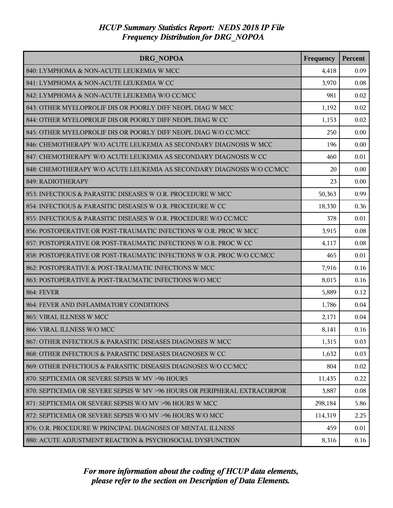| DRG NOPOA                                                                 | Frequency | Percent  |
|---------------------------------------------------------------------------|-----------|----------|
| 840: LYMPHOMA & NON-ACUTE LEUKEMIA W MCC                                  | 4,418     | 0.09     |
| 841: LYMPHOMA & NON-ACUTE LEUKEMIA W CC                                   | 3,970     | 0.08     |
| 842: LYMPHOMA & NON-ACUTE LEUKEMIA W/O CC/MCC                             | 981       | 0.02     |
| 843: OTHER MYELOPROLIF DIS OR POORLY DIFF NEOPL DIAG W MCC                | 1,192     | 0.02     |
| 844: OTHER MYELOPROLIF DIS OR POORLY DIFF NEOPL DIAG W CC                 | 1,153     | 0.02     |
| 845: OTHER MYELOPROLIF DIS OR POORLY DIFF NEOPL DIAG W/O CC/MCC           | 250       | 0.00     |
| 846: CHEMOTHERAPY W/O ACUTE LEUKEMIA AS SECONDARY DIAGNOSIS W MCC         | 196       | 0.00     |
| 847: CHEMOTHERAPY W/O ACUTE LEUKEMIA AS SECONDARY DIAGNOSIS W CC          | 460       | 0.01     |
| 848: CHEMOTHERAPY W/O ACUTE LEUKEMIA AS SECONDARY DIAGNOSIS W/O CC/MCC    | 20        | 0.00     |
| 849: RADIOTHERAPY                                                         | 23        | 0.00     |
| 853: INFECTIOUS & PARASITIC DISEASES W O.R. PROCEDURE W MCC               | 50,363    | 0.99     |
| 854: INFECTIOUS & PARASITIC DISEASES W O.R. PROCEDURE W CC                | 18,330    | 0.36     |
| 855: INFECTIOUS & PARASITIC DISEASES W O.R. PROCEDURE W/O CC/MCC          | 378       | 0.01     |
| 856: POSTOPERATIVE OR POST-TRAUMATIC INFECTIONS W O.R. PROC W MCC         | 3,915     | 0.08     |
| 857: POSTOPERATIVE OR POST-TRAUMATIC INFECTIONS W O.R. PROC W CC          | 4,117     | 0.08     |
| 858: POSTOPERATIVE OR POST-TRAUMATIC INFECTIONS W O.R. PROC W/O CC/MCC    | 465       | 0.01     |
| 862: POSTOPERATIVE & POST-TRAUMATIC INFECTIONS W MCC                      | 7,916     | 0.16     |
| 863: POSTOPERATIVE & POST-TRAUMATIC INFECTIONS W/O MCC                    | 8,015     | 0.16     |
| <b>864: FEVER</b>                                                         | 5,889     | 0.12     |
| 864: FEVER AND INFLAMMATORY CONDITIONS                                    | 1,786     | 0.04     |
| 865: VIRAL ILLNESS W MCC                                                  | 2,171     | 0.04     |
| 866: VIRAL ILLNESS W/O MCC                                                | 8,141     | 0.16     |
| 867: OTHER INFECTIOUS & PARASITIC DISEASES DIAGNOSES W MCC                | 1,315     | 0.03     |
| 868: OTHER INFECTIOUS & PARASITIC DISEASES DIAGNOSES W CC                 | 1,632     | 0.03     |
| 869: OTHER INFECTIOUS & PARASITIC DISEASES DIAGNOSES W/O CC/MCC           | 804       | 0.02     |
| 870: SEPTICEMIA OR SEVERE SEPSIS W MV >96 HOURS                           | 11,435    | 0.22     |
| 870: SEPTICEMIA OR SEVERE SEPSIS W MV >96 HOURS OR PERIPHERAL EXTRACORPOR | 3,887     | $0.08\,$ |
| 871: SEPTICEMIA OR SEVERE SEPSIS W/O MV >96 HOURS W MCC                   | 298,184   | 5.86     |
| 872: SEPTICEMIA OR SEVERE SEPSIS W/O MV >96 HOURS W/O MCC                 | 114,319   | 2.25     |
| 876: O.R. PROCEDURE W PRINCIPAL DIAGNOSES OF MENTAL ILLNESS               | 459       | 0.01     |
| 880: ACUTE ADJUSTMENT REACTION & PSYCHOSOCIAL DYSFUNCTION                 | 8,316     | 0.16     |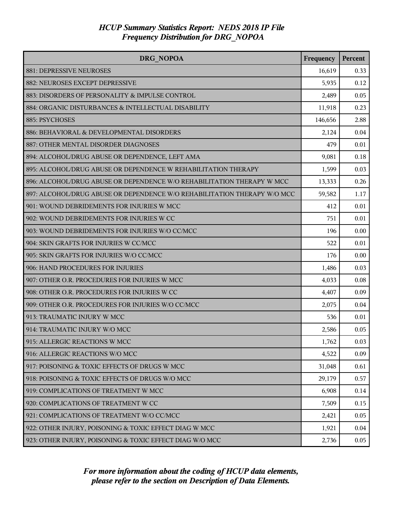| DRG NOPOA                                                                | Frequency | Percent |
|--------------------------------------------------------------------------|-----------|---------|
| 881: DEPRESSIVE NEUROSES                                                 | 16,619    | 0.33    |
| 882: NEUROSES EXCEPT DEPRESSIVE                                          | 5,935     | 0.12    |
| 883: DISORDERS OF PERSONALITY & IMPULSE CONTROL                          | 2,489     | 0.05    |
| 884: ORGANIC DISTURBANCES & INTELLECTUAL DISABILITY                      | 11,918    | 0.23    |
| 885: PSYCHOSES                                                           | 146,656   | 2.88    |
| 886: BEHAVIORAL & DEVELOPMENTAL DISORDERS                                | 2,124     | 0.04    |
| 887: OTHER MENTAL DISORDER DIAGNOSES                                     | 479       | 0.01    |
| 894: ALCOHOL/DRUG ABUSE OR DEPENDENCE, LEFT AMA                          | 9,081     | 0.18    |
| 895: ALCOHOL/DRUG ABUSE OR DEPENDENCE W REHABILITATION THERAPY           | 1,599     | 0.03    |
| 896: ALCOHOL/DRUG ABUSE OR DEPENDENCE W/O REHABILITATION THERAPY W MCC   | 13,333    | 0.26    |
| 897: ALCOHOL/DRUG ABUSE OR DEPENDENCE W/O REHABILITATION THERAPY W/O MCC | 59,582    | 1.17    |
| 901: WOUND DEBRIDEMENTS FOR INJURIES W MCC                               | 412       | 0.01    |
| 902: WOUND DEBRIDEMENTS FOR INJURIES W CC                                | 751       | 0.01    |
| 903: WOUND DEBRIDEMENTS FOR INJURIES W/O CC/MCC                          | 196       | 0.00    |
| 904: SKIN GRAFTS FOR INJURIES W CC/MCC                                   | 522       | 0.01    |
| 905: SKIN GRAFTS FOR INJURIES W/O CC/MCC                                 | 176       | 0.00    |
| 906: HAND PROCEDURES FOR INJURIES                                        | 1,486     | 0.03    |
| 907: OTHER O.R. PROCEDURES FOR INJURIES W MCC                            | 4,033     | 0.08    |
| 908: OTHER O.R. PROCEDURES FOR INJURIES W CC                             | 4,407     | 0.09    |
| 909: OTHER O.R. PROCEDURES FOR INJURIES W/O CC/MCC                       | 2,075     | 0.04    |
| 913: TRAUMATIC INJURY W MCC                                              | 536       | 0.01    |
| 914: TRAUMATIC INJURY W/O MCC                                            | 2,586     | 0.05    |
| 915: ALLERGIC REACTIONS W MCC                                            | 1,762     | 0.03    |
| 916: ALLERGIC REACTIONS W/O MCC                                          | 4,522     | 0.09    |
| 917: POISONING & TOXIC EFFECTS OF DRUGS W MCC                            | 31,048    | 0.61    |
| 918: POISONING & TOXIC EFFECTS OF DRUGS W/O MCC                          | 29,179    | 0.57    |
| 919: COMPLICATIONS OF TREATMENT W MCC                                    | 6,908     | 0.14    |
| 920: COMPLICATIONS OF TREATMENT W CC                                     | 7,509     | 0.15    |
| 921: COMPLICATIONS OF TREATMENT W/O CC/MCC                               | 2,421     | 0.05    |
| 922: OTHER INJURY, POISONING & TOXIC EFFECT DIAG W MCC                   | 1,921     | 0.04    |
| 923: OTHER INJURY, POISONING & TOXIC EFFECT DIAG W/O MCC                 | 2,736     | 0.05    |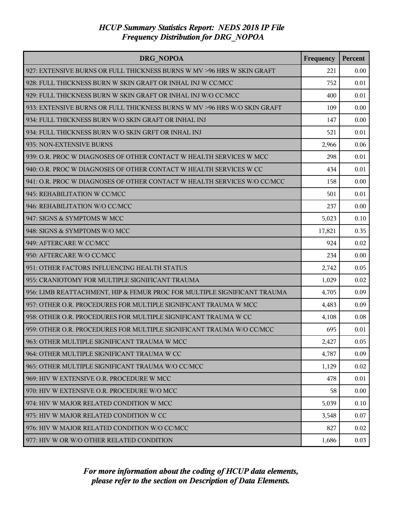| <b>DRG NOPOA</b>                                                         | Frequency | Percent |
|--------------------------------------------------------------------------|-----------|---------|
| 927: EXTENSIVE BURNS OR FULL THICKNESS BURNS W MV > 96 HRS W SKIN GRAFT  | 221       | 0.00    |
| 928: FULL THICKNESS BURN W SKIN GRAFT OR INHAL INJ W CC/MCC              | 752       | 0.01    |
| 929: FULL THICKNESS BURN W SKIN GRAFT OR INHAL INJ W/O CC/MCC            | 400       | 0.01    |
| 933: EXTENSIVE BURNS OR FULL THICKNESS BURNS W MV >96 HRS W/O SKIN GRAFT | 109       | 0.00    |
| 934: FULL THICKNESS BURN W/O SKIN GRAFT OR INHAL INJ                     | 147       | 0.00    |
| 934: FULL THICKNESS BURN W/O SKIN GRFT OR INHAL INJ                      | 521       | 0.01    |
| 935: NON-EXTENSIVE BURNS                                                 | 2,966     | 0.06    |
| 939: O.R. PROC W DIAGNOSES OF OTHER CONTACT W HEALTH SERVICES W MCC      | 298       | 0.01    |
| 940: O.R. PROC W DIAGNOSES OF OTHER CONTACT W HEALTH SERVICES W CC       | 434       | 0.01    |
| 941: O.R. PROC W DIAGNOSES OF OTHER CONTACT W HEALTH SERVICES W/O CC/MCC | 158       | 0.00    |
| 945: REHABILITATION W CC/MCC                                             | 501       | 0.01    |
| 946: REHABILITATION W/O CC/MCC                                           | 237       | 0.00    |
| 947: SIGNS & SYMPTOMS W MCC                                              | 5,023     | 0.10    |
| 948: SIGNS & SYMPTOMS W/O MCC                                            | 17,821    | 0.35    |
| 949: AFTERCARE W CC/MCC                                                  | 924       | 0.02    |
| 950: AFTERCARE W/O CC/MCC                                                | 234       | 0.00    |
| 951: OTHER FACTORS INFLUENCING HEALTH STATUS                             | 2,742     | 0.05    |
| 955: CRANIOTOMY FOR MULTIPLE SIGNIFICANT TRAUMA                          | 1,029     | 0.02    |
| 956: LIMB REATTACHMENT, HIP & FEMUR PROC FOR MULTIPLE SIGNIFICANT TRAUMA | 4,705     | 0.09    |
| 957: OTHER O.R. PROCEDURES FOR MULTIPLE SIGNIFICANT TRAUMA W MCC         | 4,483     | 0.09    |
| 958: OTHER O.R. PROCEDURES FOR MULTIPLE SIGNIFICANT TRAUMA W CC          | 4,108     | 0.08    |
| 959: OTHER O.R. PROCEDURES FOR MULTIPLE SIGNIFICANT TRAUMA W/O CC/MCC    | 695       | 0.01    |
| 963: OTHER MULTIPLE SIGNIFICANT TRAUMA W MCC                             | 2,427     | 0.05    |
| 964: OTHER MULTIPLE SIGNIFICANT TRAUMA W CC                              | 4,787     | 0.09    |
| 965: OTHER MULTIPLE SIGNIFICANT TRAUMA W/O CC/MCC                        | 1,129     | 0.02    |
| 969: HIV W EXTENSIVE O.R. PROCEDURE W MCC                                | 478       | 0.01    |
| 970: HIV W EXTENSIVE O.R. PROCEDURE W/O MCC                              | 58        | 0.00    |
| 974: HIV W MAJOR RELATED CONDITION W MCC                                 | 5,039     | 0.10    |
| 975: HIV W MAJOR RELATED CONDITION W CC                                  | 3,548     | 0.07    |
| 976: HIV W MAJOR RELATED CONDITION W/O CC/MCC                            | 827       | 0.02    |
| 977: HIV W OR W/O OTHER RELATED CONDITION                                | 1,686     | 0.03    |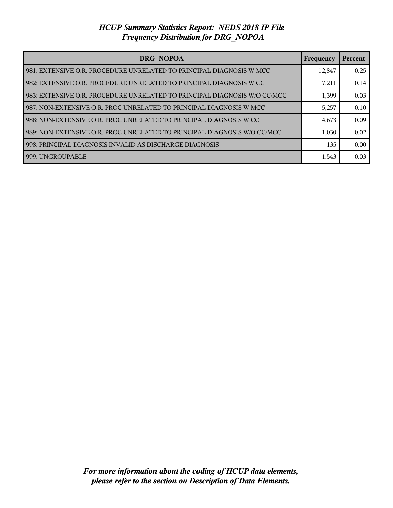| <b>DRG NOPOA</b>                                                            | <b>Frequency</b> | Percent |
|-----------------------------------------------------------------------------|------------------|---------|
| 981: EXTENSIVE O.R. PROCEDURE UNRELATED TO PRINCIPAL DIAGNOSIS W MCC        | 12,847           | 0.25    |
| l 982: EXTENSIVE O.R. PROCEDURE UNRELATED TO PRINCIPAL DIAGNOSIS W CC       | 7,211            | 0.14    |
| l 983: EXTENSIVE O.R. PROCEDURE UNRELATED TO PRINCIPAL DIAGNOSIS W/O CC/MCC | 1,399            | 0.03    |
| l 987: NON-EXTENSIVE O.R. PROC UNRELATED TO PRINCIPAL DIAGNOSIS W MCC       | 5,257            | 0.10    |
| l 988: NON-EXTENSIVE O.R. PROC UNRELATED TO PRINCIPAL DIAGNOSIS W CC        | 4,673            | 0.09    |
| 989: NON-EXTENSIVE O.R. PROC UNRELATED TO PRINCIPAL DIAGNOSIS W/O CC/MCC    | 1,030            | 0.02    |
| 998: PRINCIPAL DIAGNOSIS INVALID AS DISCHARGE DIAGNOSIS                     | 135              | 0.00    |
| 999: UNGROUPABLE                                                            | 1,543            | 0.03    |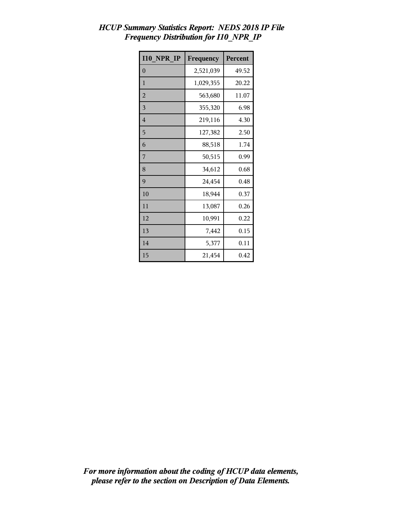| <b>I10 NPR IP</b> | Frequency | Percent |
|-------------------|-----------|---------|
| $\overline{0}$    | 2,521,039 | 49.52   |
| 1                 | 1,029,355 | 20.22   |
| $\overline{2}$    | 563,680   | 11.07   |
| 3                 | 355,320   | 6.98    |
| $\overline{4}$    | 219,116   | 4.30    |
| 5                 | 127,382   | 2.50    |
| 6                 | 88,518    | 1.74    |
| 7                 | 50,515    | 0.99    |
| 8                 | 34,612    | 0.68    |
| 9                 | 24,454    | 0.48    |
| 10                | 18,944    | 0.37    |
| 11                | 13,087    | 0.26    |
| 12                | 10,991    | 0.22    |
| 13                | 7,442     | 0.15    |
| 14                | 5,377     | 0.11    |
| 15                | 21,454    | 0.42    |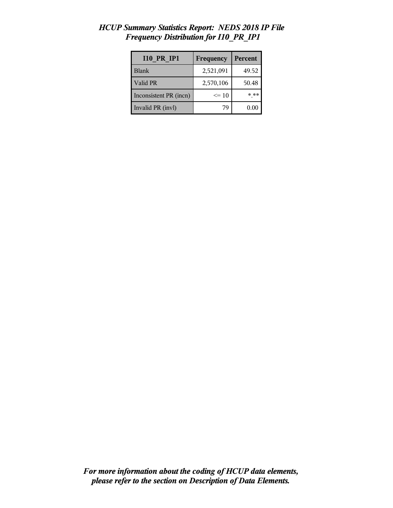| <b>I10 PR IP1</b>      | Frequency | Percent |
|------------------------|-----------|---------|
| <b>Blank</b>           | 2,521,091 | 49.52   |
| Valid PR               | 2,570,106 | 50.48   |
| Inconsistent PR (incn) | $\leq 10$ | $***$   |
| Invalid PR (invl)      | 79        | 0.00    |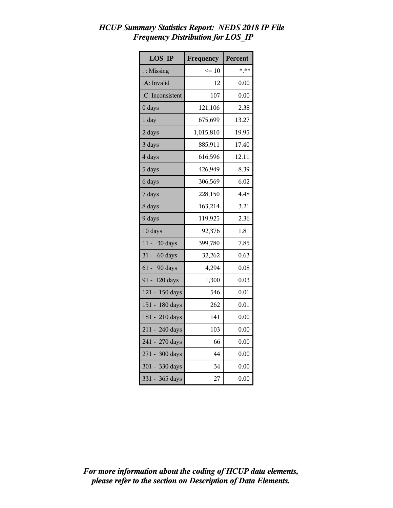| <b>LOS IP</b>      | Frequency | Percent |
|--------------------|-----------|---------|
| : Missing          | $\leq 10$ | $***$   |
| A: Invalid         | 12        | 0.00    |
| .C: Inconsistent   | 107       | 0.00    |
| 0 days             | 121,106   | 2.38    |
| $1$ day            | 675,699   | 13.27   |
| 2 days             | 1,015,810 | 19.95   |
| 3 days             | 885,911   | 17.40   |
| 4 days             | 616,596   | 12.11   |
| 5 days             | 426,949   | 8.39    |
| 6 days             | 306,569   | 6.02    |
| 7 days             | 228,150   | 4.48    |
| 8 days             | 163,214   | 3.21    |
| 9 days             | 119,925   | 2.36    |
| 10 days            | 92,376    | 1.81    |
| 11 - 30 days       | 399,780   | 7.85    |
| 31 - 60 days       | 32,262    | 0.63    |
| 61 - 90 days       | 4,294     | 0.08    |
| 120 days<br>$91 -$ | 1,300     | 0.03    |
| 121 - 150 days     | 546       | 0.01    |
| 151 - 180 days     | 262       | 0.01    |
| 181 - 210 days     | 141       | 0.00    |
| 211 - 240 days     | 103       | 0.00    |
| 241 - 270 days     | 66        | 0.00    |
| 271 - 300 days     | 44        | 0.00    |
| 301 - 330 days     | 34        | 0.00    |
| 331 - 365 days     | 27        | 0.00    |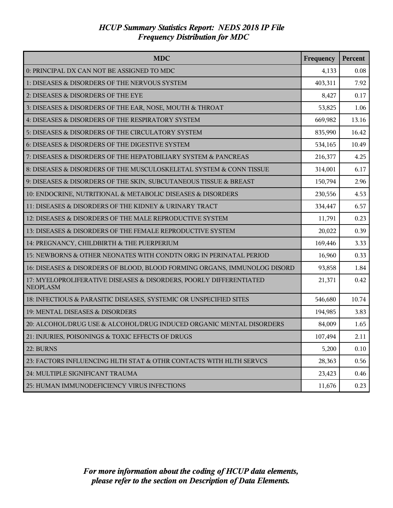| <b>MDC</b>                                                                            | Frequency | Percent |
|---------------------------------------------------------------------------------------|-----------|---------|
| 0: PRINCIPAL DX CAN NOT BE ASSIGNED TO MDC                                            | 4,133     | 0.08    |
| 1: DISEASES & DISORDERS OF THE NERVOUS SYSTEM                                         | 403,311   | 7.92    |
| 2: DISEASES & DISORDERS OF THE EYE                                                    | 8,427     | 0.17    |
| 3: DISEASES & DISORDERS OF THE EAR, NOSE, MOUTH & THROAT                              | 53,825    | 1.06    |
| 4: DISEASES & DISORDERS OF THE RESPIRATORY SYSTEM                                     | 669,982   | 13.16   |
| 5: DISEASES & DISORDERS OF THE CIRCULATORY SYSTEM                                     | 835,990   | 16.42   |
| 6: DISEASES & DISORDERS OF THE DIGESTIVE SYSTEM                                       | 534,165   | 10.49   |
| 7: DISEASES & DISORDERS OF THE HEPATOBILIARY SYSTEM & PANCREAS                        | 216,377   | 4.25    |
| 8: DISEASES & DISORDERS OF THE MUSCULOSKELETAL SYSTEM & CONN TISSUE                   | 314,001   | 6.17    |
| 9: DISEASES & DISORDERS OF THE SKIN, SUBCUTANEOUS TISSUE & BREAST                     | 150,794   | 2.96    |
| 10: ENDOCRINE, NUTRITIONAL & METABOLIC DISEASES & DISORDERS                           | 230,556   | 4.53    |
| 11: DISEASES & DISORDERS OF THE KIDNEY & URINARY TRACT                                | 334,447   | 6.57    |
| 12: DISEASES & DISORDERS OF THE MALE REPRODUCTIVE SYSTEM                              | 11,791    | 0.23    |
| 13: DISEASES & DISORDERS OF THE FEMALE REPRODUCTIVE SYSTEM                            | 20,022    | 0.39    |
| 14: PREGNANCY, CHILDBIRTH & THE PUERPERIUM                                            | 169,446   | 3.33    |
| 15: NEWBORNS & OTHER NEONATES WITH CONDTN ORIG IN PERINATAL PERIOD                    | 16,960    | 0.33    |
| 16: DISEASES & DISORDERS OF BLOOD, BLOOD FORMING ORGANS, IMMUNOLOG DISORD             | 93,858    | 1.84    |
| 17: MYELOPROLIFERATIVE DISEASES & DISORDERS, POORLY DIFFERENTIATED<br><b>NEOPLASM</b> | 21,371    | 0.42    |
| 18: INFECTIOUS & PARASITIC DISEASES, SYSTEMIC OR UNSPECIFIED SITES                    | 546,680   | 10.74   |
| 19: MENTAL DISEASES & DISORDERS                                                       | 194,985   | 3.83    |
| 20: ALCOHOL/DRUG USE & ALCOHOL/DRUG INDUCED ORGANIC MENTAL DISORDERS                  | 84,009    | 1.65    |
| 21: INJURIES, POISONINGS & TOXIC EFFECTS OF DRUGS                                     | 107,494   | 2.11    |
| 22: BURNS                                                                             | 5,200     | 0.10    |
| 23: FACTORS INFLUENCING HLTH STAT & OTHR CONTACTS WITH HLTH SERVCS                    | 28,363    | 0.56    |
| 24: MULTIPLE SIGNIFICANT TRAUMA                                                       | 23,423    | 0.46    |
| 25: HUMAN IMMUNODEFICIENCY VIRUS INFECTIONS                                           | 11,676    | 0.23    |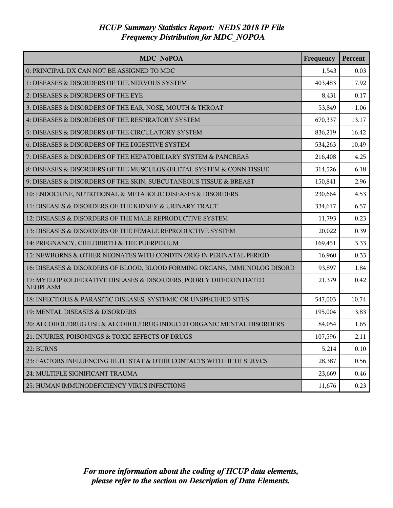| MDC NoPOA                                                                             | Frequency | Percent |
|---------------------------------------------------------------------------------------|-----------|---------|
| 0: PRINCIPAL DX CAN NOT BE ASSIGNED TO MDC                                            | 1,543     | 0.03    |
| 1: DISEASES & DISORDERS OF THE NERVOUS SYSTEM                                         | 403,483   | 7.92    |
| 2: DISEASES & DISORDERS OF THE EYE                                                    | 8,431     | 0.17    |
| 3: DISEASES & DISORDERS OF THE EAR, NOSE, MOUTH & THROAT                              | 53,849    | 1.06    |
| 4: DISEASES & DISORDERS OF THE RESPIRATORY SYSTEM                                     | 670,337   | 13.17   |
| 5: DISEASES & DISORDERS OF THE CIRCULATORY SYSTEM                                     | 836,219   | 16.42   |
| 6: DISEASES & DISORDERS OF THE DIGESTIVE SYSTEM                                       | 534,263   | 10.49   |
| 7: DISEASES & DISORDERS OF THE HEPATOBILIARY SYSTEM & PANCREAS                        | 216,408   | 4.25    |
| 8: DISEASES & DISORDERS OF THE MUSCULOSKELETAL SYSTEM & CONN TISSUE                   | 314,526   | 6.18    |
| 9: DISEASES & DISORDERS OF THE SKIN, SUBCUTANEOUS TISSUE & BREAST                     | 150,841   | 2.96    |
| 10: ENDOCRINE, NUTRITIONAL & METABOLIC DISEASES & DISORDERS                           | 230,664   | 4.53    |
| 11: DISEASES & DISORDERS OF THE KIDNEY & URINARY TRACT                                | 334,617   | 6.57    |
| 12: DISEASES & DISORDERS OF THE MALE REPRODUCTIVE SYSTEM                              | 11,793    | 0.23    |
| 13: DISEASES & DISORDERS OF THE FEMALE REPRODUCTIVE SYSTEM                            | 20,022    | 0.39    |
| 14: PREGNANCY, CHILDBIRTH & THE PUERPERIUM                                            | 169,451   | 3.33    |
| 15: NEWBORNS & OTHER NEONATES WITH CONDTN ORIG IN PERINATAL PERIOD                    | 16,960    | 0.33    |
| 16: DISEASES & DISORDERS OF BLOOD, BLOOD FORMING ORGANS, IMMUNOLOG DISORD             | 93,897    | 1.84    |
| 17: MYELOPROLIFERATIVE DISEASES & DISORDERS, POORLY DIFFERENTIATED<br><b>NEOPLASM</b> | 21,379    | 0.42    |
| 18: INFECTIOUS & PARASITIC DISEASES, SYSTEMIC OR UNSPECIFIED SITES                    | 547,003   | 10.74   |
| 19: MENTAL DISEASES & DISORDERS                                                       | 195,004   | 3.83    |
| 20: ALCOHOL/DRUG USE & ALCOHOL/DRUG INDUCED ORGANIC MENTAL DISORDERS                  | 84,054    | 1.65    |
| 21: INJURIES, POISONINGS & TOXIC EFFECTS OF DRUGS                                     | 107,596   | 2.11    |
| 22: BURNS                                                                             | 5,214     | 0.10    |
| 23: FACTORS INFLUENCING HLTH STAT & OTHR CONTACTS WITH HLTH SERVCS                    | 28,387    | 0.56    |
| 24: MULTIPLE SIGNIFICANT TRAUMA                                                       | 23,669    | 0.46    |
| 25: HUMAN IMMUNODEFICIENCY VIRUS INFECTIONS                                           | 11,676    | 0.23    |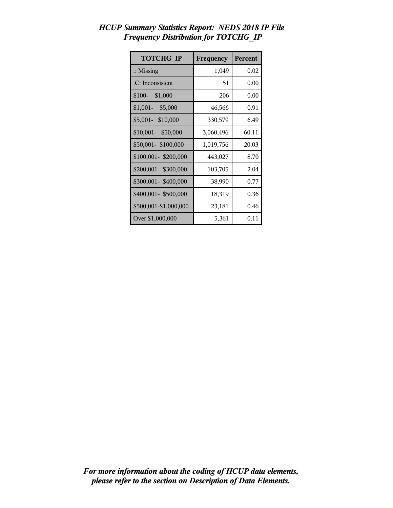| <b>TOTCHG IP</b>      | Frequency | Percent |
|-----------------------|-----------|---------|
| $\therefore$ Missing  | 1,049     | 0.02    |
| .C: Inconsistent      | 51        | 0.00    |
| $$100-$ \$1,000       | 206       | 0.00    |
| $$1,001 - $5,000$     | 46,566    | 0.91    |
| \$5,001- \$10,000     | 330,579   | 6.49    |
| \$10,001- \$50,000    | 3,060,496 | 60.11   |
| \$50,001-\$100,000    | 1,019,756 | 20.03   |
| \$100,001-\$200,000   | 443,027   | 8.70    |
| \$200,001- \$300,000  | 103,705   | 2.04    |
| \$300,001-\$400,000   | 38,990    | 0.77    |
| \$400,001- \$500,000  | 18,319    | 0.36    |
| \$500,001-\$1,000,000 | 23,181    | 0.46    |
| Over \$1,000,000      | 5,361     | 0.11    |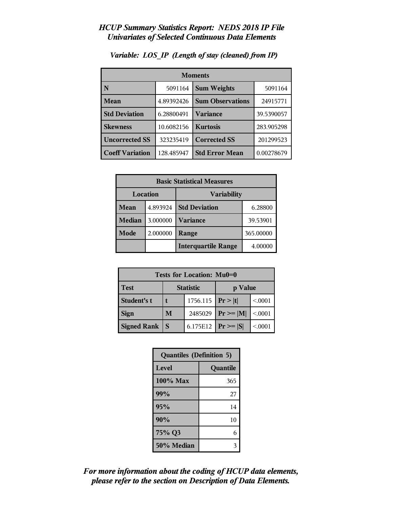| <b>Moments</b>         |            |                         |            |
|------------------------|------------|-------------------------|------------|
| N                      | 5091164    | <b>Sum Weights</b>      | 5091164    |
| Mean                   | 4.89392426 | <b>Sum Observations</b> | 24915771   |
| <b>Std Deviation</b>   | 6.28800491 | Variance                | 39.5390057 |
| <b>Skewness</b>        | 10.6082156 | <b>Kurtosis</b>         | 283.905298 |
| <b>Uncorrected SS</b>  | 323235419  | <b>Corrected SS</b>     | 201299523  |
| <b>Coeff Variation</b> | 128.485947 | <b>Std Error Mean</b>   | 0.00278679 |

### *Variable: LOS\_IP (Length of stay (cleaned) from IP)*

| <b>Basic Statistical Measures</b> |          |                            |           |  |
|-----------------------------------|----------|----------------------------|-----------|--|
|                                   | Location | <b>Variability</b>         |           |  |
| Mean                              | 4.893924 | <b>Std Deviation</b>       | 6.28800   |  |
| Median                            | 3.000000 | <b>Variance</b>            | 39.53901  |  |
| Mode                              | 2.000000 | Range                      | 365.00000 |  |
|                                   |          | <b>Interquartile Range</b> | 4.00000   |  |

| Tests for Location: Mu0=0 |                             |          |                 |         |  |  |
|---------------------------|-----------------------------|----------|-----------------|---------|--|--|
| <b>Test</b>               | <b>Statistic</b><br>p Value |          |                 |         |  |  |
| Student's t               | 1756.115 $ Pr> t $          |          |                 | < 0.001 |  |  |
| <b>Sign</b>               | M                           | 2485029  | $Pr \geq  M $   | < .0001 |  |  |
| <b>Signed Rank</b>        | S                           | 6.175E12 | $ Pr \ge =  S $ | < 0001  |  |  |

| <b>Quantiles (Definition 5)</b> |          |  |
|---------------------------------|----------|--|
| Level                           | Quantile |  |
| 100% Max                        | 365      |  |
| 99%                             | 27       |  |
| 95%                             | 14       |  |
| 90%                             | 10       |  |
| 75% Q3                          | 6        |  |
| 50% Median                      |          |  |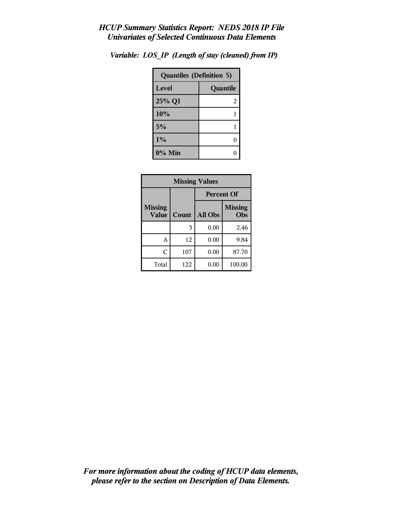| <b>Quantiles (Definition 5)</b> |          |  |
|---------------------------------|----------|--|
| Level                           | Quantile |  |
| 25% Q1                          | 2        |  |
| 10%                             |          |  |
| 5%                              |          |  |
| 1%                              |          |  |
| $0\%$ Min                       |          |  |

*Variable: LOS\_IP (Length of stay (cleaned) from IP)*

| <b>Missing Values</b>   |       |                   |                       |  |
|-------------------------|-------|-------------------|-----------------------|--|
|                         |       | <b>Percent Of</b> |                       |  |
| <b>Missing</b><br>Value | Count | <b>All Obs</b>    | <b>Missing</b><br>Obs |  |
|                         | 3     | 0.00              | 2.46                  |  |
| Α                       | 12    | 0.00              | 9.84                  |  |
| Ċ                       | 107   | 0.00              | 87.70                 |  |
| Total                   | 122   | 0.00              | 100.00                |  |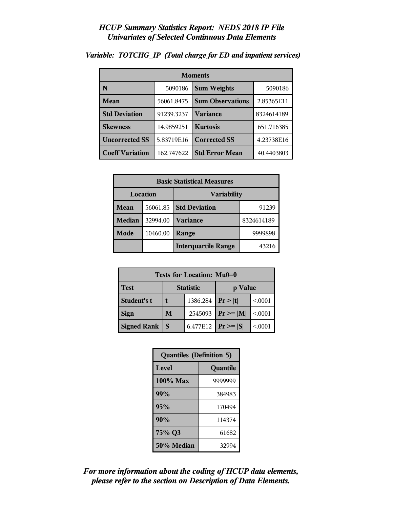| <b>Moments</b>         |            |                         |            |
|------------------------|------------|-------------------------|------------|
| N                      | 5090186    | <b>Sum Weights</b>      | 5090186    |
| <b>Mean</b>            | 56061.8475 | <b>Sum Observations</b> | 2.85365E11 |
| <b>Std Deviation</b>   | 91239.3237 | Variance                | 8324614189 |
| <b>Skewness</b>        | 14.9859251 | <b>Kurtosis</b>         | 651.716385 |
| <b>Uncorrected SS</b>  | 5.83719E16 | <b>Corrected SS</b>     | 4.23738E16 |
| <b>Coeff Variation</b> | 162.747622 | <b>Std Error Mean</b>   | 40.4403803 |

#### *Variable: TOTCHG\_IP (Total charge for ED and inpatient services)*

| <b>Basic Statistical Measures</b> |          |                            |            |  |
|-----------------------------------|----------|----------------------------|------------|--|
|                                   | Location | <b>Variability</b>         |            |  |
| Mean                              | 56061.85 | <b>Std Deviation</b>       | 91239      |  |
| <b>Median</b>                     | 32994.00 | <b>Variance</b>            | 8324614189 |  |
| Mode                              | 10460.00 | Range                      | 9999898    |  |
|                                   |          | <b>Interquartile Range</b> | 43216      |  |

| Tests for Location: Mu0=0 |                             |          |               |         |
|---------------------------|-----------------------------|----------|---------------|---------|
| <b>Test</b>               | <b>Statistic</b><br>p Value |          |               |         |
| Student's t               | 1386.284                    |          | Pr >  t       | < 0.001 |
| <b>Sign</b>               | M                           | 2545093  | $Pr \geq  M $ | < 0.001 |
| <b>Signed Rank</b>        | S                           | 6.477E12 | $Pr \geq  S $ | < 0001  |

| <b>Quantiles (Definition 5)</b> |          |  |
|---------------------------------|----------|--|
| Level                           | Quantile |  |
| $100\%$ Max                     | 9999999  |  |
| 99%                             | 384983   |  |
| 95%                             | 170494   |  |
| 90%                             | 114374   |  |
| 75% Q3                          | 61682    |  |
| 50% Median                      | 32994    |  |